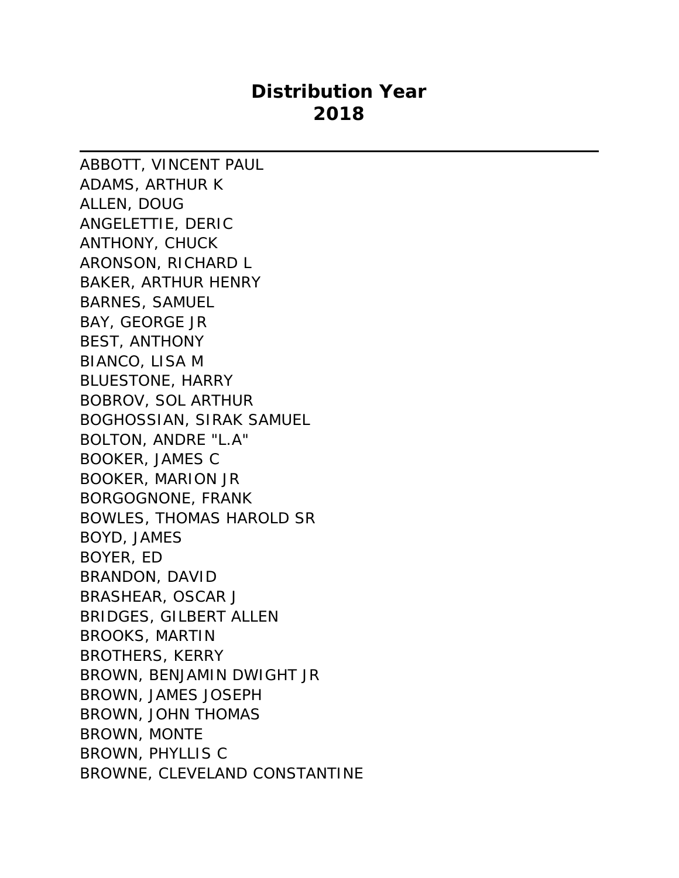## **Distribution Year 2018**

ABBOTT, VINCENT PAUL ADAMS, ARTHUR K ALLEN, DOUG ANGELETTIE, DERIC ANTHONY, CHUCK ARONSON, RICHARD L BAKER, ARTHUR HENRY BARNES, SAMUEL BAY, GEORGE JR BEST, ANTHONY BIANCO, LISA M BLUESTONE, HARRY BOBROV, SOL ARTHUR BOGHOSSIAN, SIRAK SAMUEL BOLTON, ANDRE "L.A" BOOKER, JAMES C BOOKER, MARION JR BORGOGNONE, FRANK BOWLES, THOMAS HAROLD SR BOYD, JAMES BOYER, ED BRANDON, DAVID BRASHEAR, OSCAR J BRIDGES, GILBERT ALLEN BROOKS, MARTIN BROTHERS, KERRY BROWN, BENJAMIN DWIGHT JR BROWN, JAMES JOSEPH BROWN, JOHN THOMAS BROWN, MONTE BROWN, PHYLLIS C BROWNE, CLEVELAND CONSTANTINE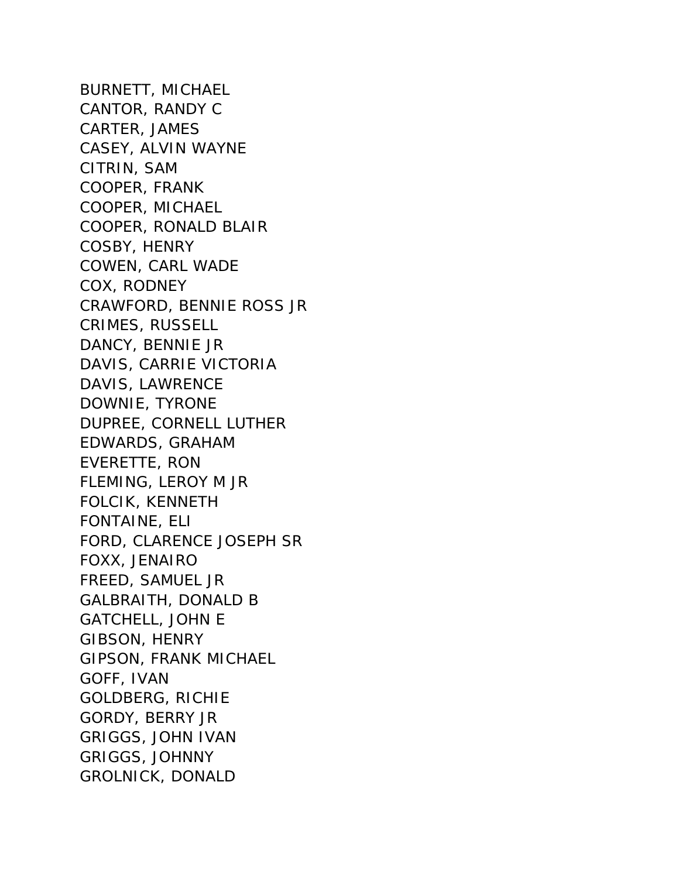BURNETT, MICHAEL CANTOR, RANDY C CARTER, JAMES CASEY, ALVIN WAYNE CITRIN, SAM COOPER, FRANK COOPER, MICHAEL COOPER, RONALD BLAIR COSBY, HENRY COWEN, CARL WADE COX, RODNEY CRAWFORD, BENNIE ROSS JR CRIMES, RUSSELL DANCY, BENNIE JR DAVIS, CARRIE VICTORIA DAVIS, LAWRENCE DOWNIE, TYRONE DUPREE, CORNELL LUTHER EDWARDS, GRAHAM EVERETTE, RON FLEMING, LEROY M JR FOLCIK, KENNETH FONTAINE, ELI FORD, CLARENCE JOSEPH SR FOXX, JENAIRO FREED, SAMUEL JR GALBRAITH, DONALD B GATCHELL, JOHN E GIBSON, HENRY GIPSON, FRANK MICHAEL GOFF, IVAN GOLDBERG, RICHIE GORDY, BERRY JR GRIGGS, JOHN IVAN GRIGGS, JOHNNY GROLNICK, DONALD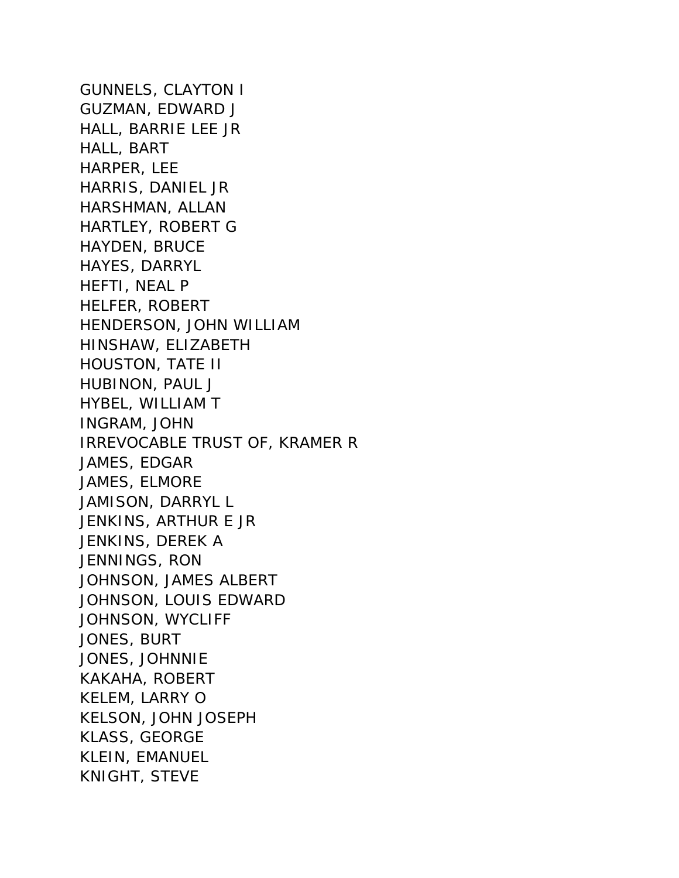GUNNELS, CLAYTON I GUZMAN, EDWARD J HALL, BARRIE LEE JR HALL, BART HARPER, LEE HARRIS, DANIEL JR HARSHMAN, ALLAN HARTLEY, ROBERT G HAYDEN, BRUCE HAYES, DARRYL HEFTI, NEAL P HELFER, ROBERT HENDERSON, JOHN WILLIAM HINSHAW, ELIZABETH HOUSTON, TATE II HUBINON, PAUL J HYBEL, WILLIAM T INGRAM, JOHN IRREVOCABLE TRUST OF, KRAMER R JAMES, EDGAR JAMES, ELMORE JAMISON, DARRYL L JENKINS, ARTHUR E JR JENKINS, DEREK A JENNINGS, RON JOHNSON, JAMES ALBERT JOHNSON, LOUIS EDWARD JOHNSON, WYCLIFF JONES, BURT JONES, JOHNNIE KAKAHA, ROBERT KELEM, LARRY O KELSON, JOHN JOSEPH KLASS, GEORGE KLEIN, EMANUEL KNIGHT, STEVE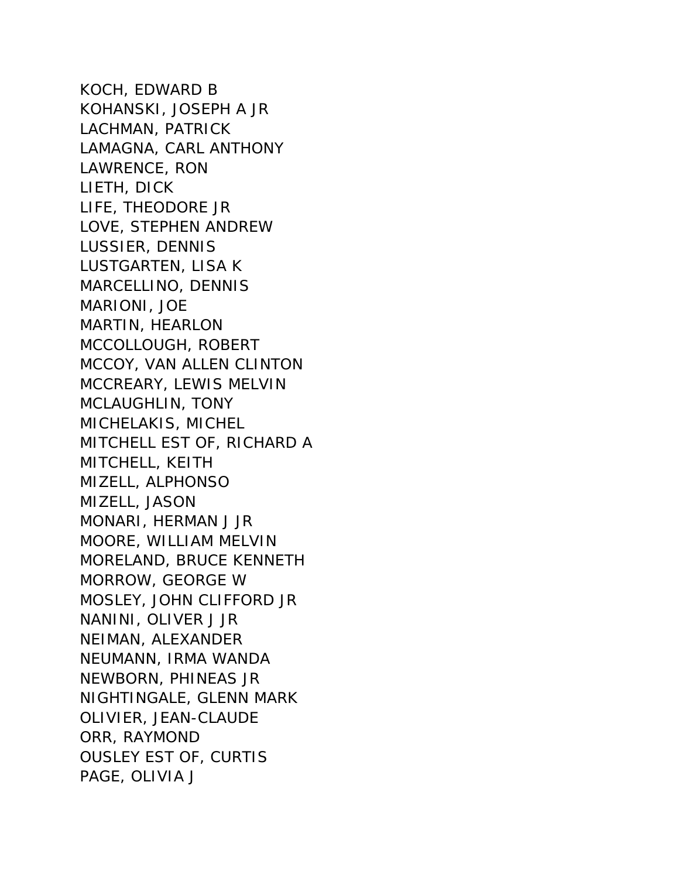KOCH, EDWARD B KOHANSKI, JOSEPH A JR LACHMAN, PATRICK LAMAGNA, CARL ANTHONY LAWRENCE, RON LIETH, DICK LIFE, THEODORE JR LOVE, STEPHEN ANDREW LUSSIER, DENNIS LUSTGARTEN, LISA K MARCELLINO, DENNIS MARIONI, JOE MARTIN, HEARLON MCCOLLOUGH, ROBERT MCCOY, VAN ALLEN CLINTON MCCREARY, LEWIS MELVIN MCLAUGHLIN, TONY MICHELAKIS, MICHEL MITCHELL EST OF, RICHARD A MITCHELL, KEITH MIZELL, ALPHONSO MIZELL, JASON MONARI, HERMAN J JR MOORE, WILLIAM MELVIN MORELAND, BRUCE KENNETH MORROW, GEORGE W MOSLEY, JOHN CLIFFORD JR NANINI, OLIVER J JR NEIMAN, ALEXANDER NEUMANN, IRMA WANDA NEWBORN, PHINEAS JR NIGHTINGALE, GLENN MARK OLIVIER, JEAN-CLAUDE ORR, RAYMOND OUSLEY EST OF, CURTIS PAGE, OLIVIA J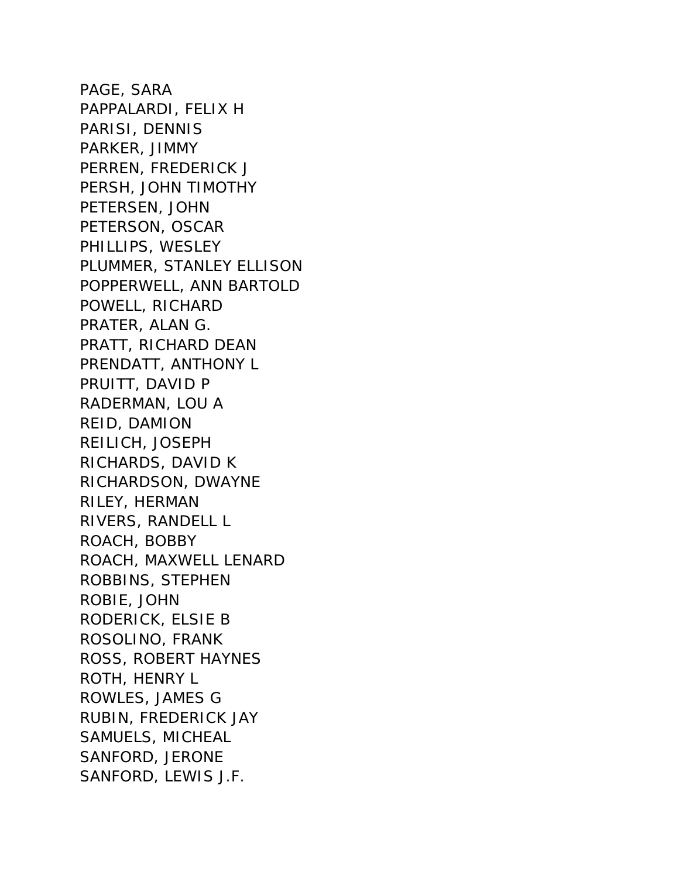PAGE, SARA PAPPALARDI, FELIX H PARISI, DENNIS PARKER, JIMMY PERREN, FREDERICK J PERSH, JOHN TIMOTHY PETERSEN, JOHN PETERSON, OSCAR PHILLIPS, WESLEY PLUMMER, STANLEY ELLISON POPPERWELL, ANN BARTOLD POWELL, RICHARD PRATER, ALAN G. PRATT, RICHARD DEAN PRENDATT, ANTHONY L PRUITT, DAVID P RADERMAN, LOU A REID, DAMION REILICH, JOSEPH RICHARDS, DAVID K RICHARDSON, DWAYNE RILEY, HERMAN RIVERS, RANDELL L ROACH, BOBBY ROACH, MAXWELL LENARD ROBBINS, STEPHEN ROBIE, JOHN RODERICK, ELSIE B ROSOLINO, FRANK ROSS, ROBERT HAYNES ROTH, HENRY L ROWLES, JAMES G RUBIN, FREDERICK JAY SAMUELS, MICHEAL SANFORD, JERONE SANFORD, LEWIS J.F.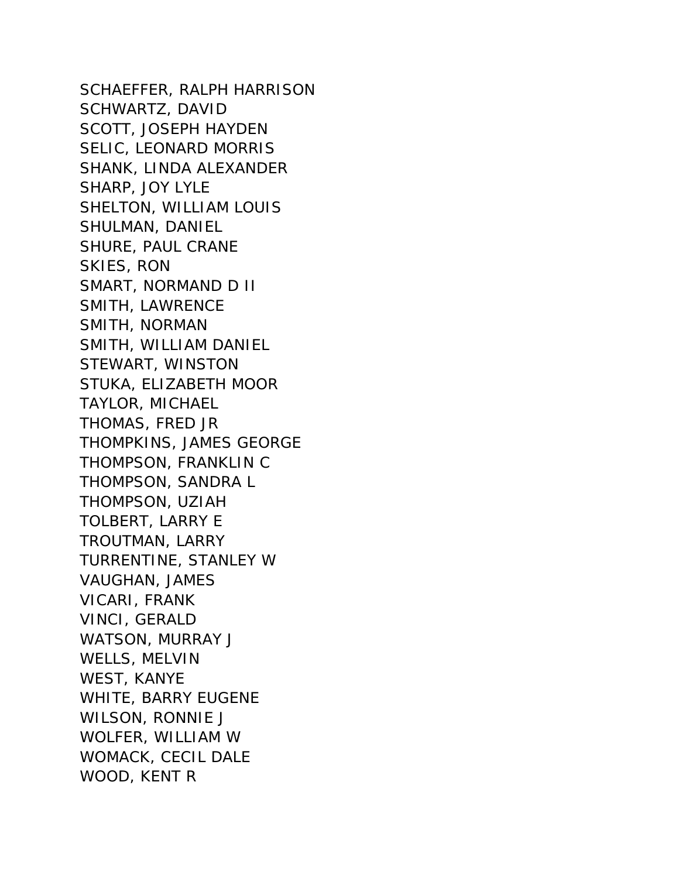SCHAEFFER, RALPH HARRISON SCHWARTZ, DAVID SCOTT, JOSEPH HAYDEN SELIC, LEONARD MORRIS SHANK, LINDA ALEXANDER SHARP, JOY LYLE SHELTON, WILLIAM LOUIS SHULMAN, DANIEL SHURE, PAUL CRANE SKIES, RON SMART, NORMAND D II SMITH, LAWRENCE SMITH, NORMAN SMITH, WILLIAM DANIEL STEWART, WINSTON STUKA, ELIZABETH MOOR TAYLOR, MICHAEL THOMAS, FRED JR THOMPKINS, JAMES GEORGE THOMPSON, FRANKLIN C THOMPSON, SANDRA L THOMPSON, UZIAH TOLBERT, LARRY E TROUTMAN, LARRY TURRENTINE, STANLEY W VAUGHAN, JAMES VICARI, FRANK VINCI, GERALD WATSON, MURRAY J WELLS, MELVIN WEST, KANYE WHITE, BARRY EUGENE WILSON, RONNIE J WOLFER, WILLIAM W WOMACK, CECIL DALE WOOD, KENT R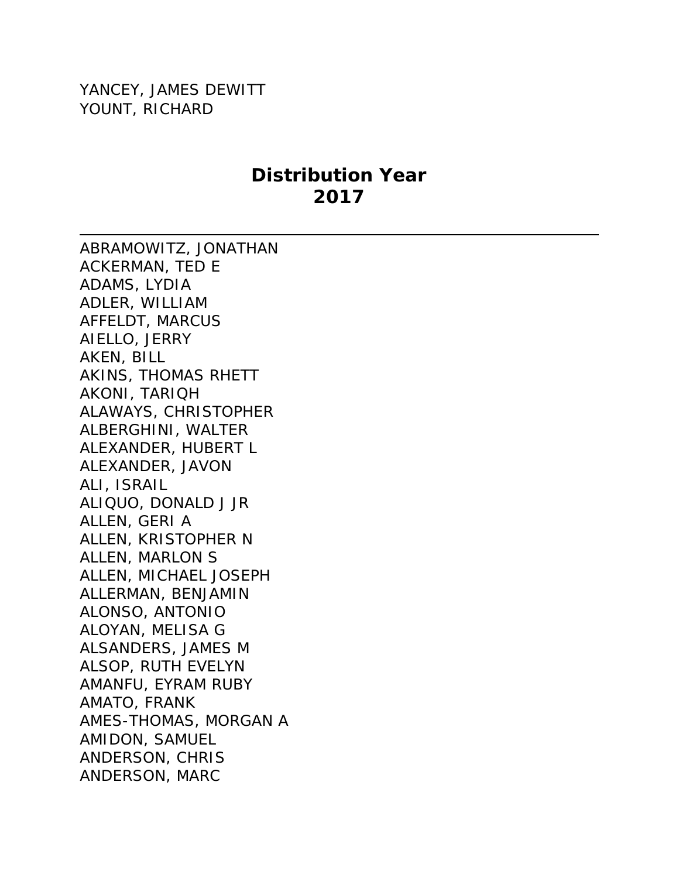YANCEY, JAMES DEWITT YOUNT, RICHARD

## **Distribution Year 2017**

ABRAMOWITZ, JONATHAN ACKERMAN, TED E ADAMS, LYDIA ADLER, WILLIAM AFFELDT, MARCUS AIELLO, JERRY AKEN, BILL AKINS, THOMAS RHETT AKONI, TARIQH ALAWAYS, CHRISTOPHER ALBERGHINI, WALTER ALEXANDER, HUBERT L ALEXANDER, JAVON ALI, ISRAIL ALIQUO, DONALD J JR ALLEN, GERI A ALLEN, KRISTOPHER N ALLEN, MARLON S ALLEN, MICHAEL JOSEPH ALLERMAN, BENJAMIN ALONSO, ANTONIO ALOYAN, MELISA G ALSANDERS, JAMES M ALSOP, RUTH EVELYN AMANFU, EYRAM RUBY AMATO, FRANK AMES-THOMAS, MORGAN A AMIDON, SAMUEL ANDERSON, CHRIS ANDERSON, MARC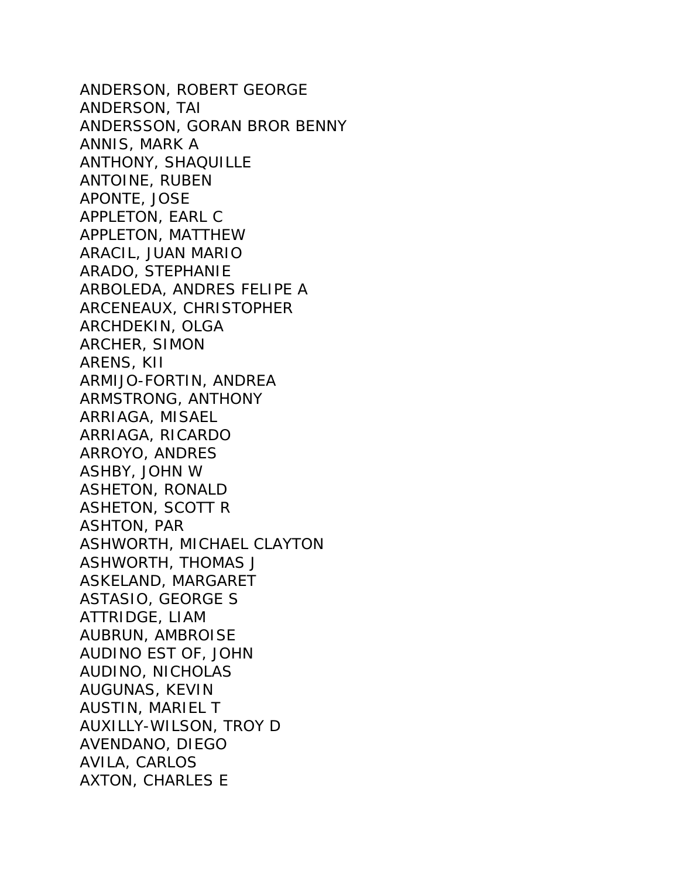ANDERSON, ROBERT GEORGE ANDERSON, TAI ANDERSSON, GORAN BROR BENNY ANNIS, MARK A ANTHONY, SHAQUILLE ANTOINE, RUBEN APONTE, JOSE APPLETON, EARL C APPLETON, MATTHEW ARACIL, JUAN MARIO ARADO, STEPHANIE ARBOLEDA, ANDRES FELIPE A ARCENEAUX, CHRISTOPHER ARCHDEKIN, OLGA ARCHER, SIMON ARENS, KII ARMIJO-FORTIN, ANDREA ARMSTRONG, ANTHONY ARRIAGA, MISAEL ARRIAGA, RICARDO ARROYO, ANDRES ASHBY, JOHN W ASHETON, RONALD ASHETON, SCOTT R ASHTON, PAR ASHWORTH, MICHAEL CLAYTON ASHWORTH, THOMAS J ASKELAND, MARGARET ASTASIO, GEORGE S ATTRIDGE, LIAM AUBRUN, AMBROISE AUDINO EST OF, JOHN AUDINO, NICHOLAS AUGUNAS, KEVIN AUSTIN, MARIEL T AUXILLY-WILSON, TROY D AVENDANO, DIEGO AVILA, CARLOS AXTON, CHARLES E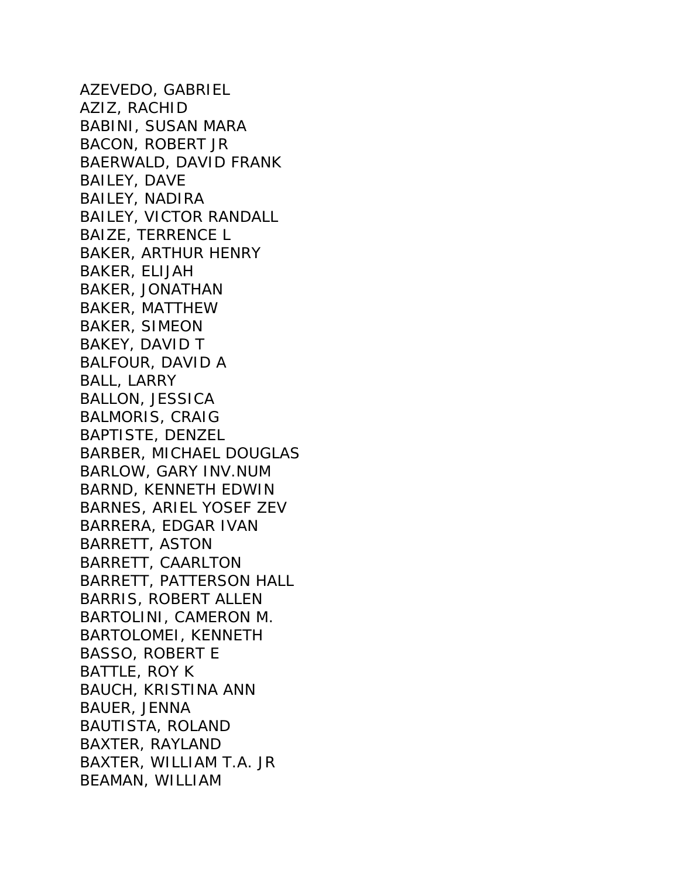AZEVEDO, GABRIEL AZIZ, RACHID BABINI, SUSAN MARA BACON, ROBERT JR BAERWALD, DAVID FRANK BAILEY, DAVE BAILEY, NADIRA BAILEY, VICTOR RANDALL BAIZE, TERRENCE L BAKER, ARTHUR HENRY BAKER, ELIJAH BAKER, JONATHAN BAKER, MATTHEW BAKER, SIMEON BAKEY, DAVID T BALFOUR, DAVID A BALL, LARRY BALLON, JESSICA BALMORIS, CRAIG BAPTISTE, DENZEL BARBER, MICHAEL DOUGLAS BARLOW, GARY INV.NUM BARND, KENNETH EDWIN BARNES, ARIEL YOSEF ZEV BARRERA, EDGAR IVAN BARRETT, ASTON BARRETT, CAARLTON BARRETT, PATTERSON HALL BARRIS, ROBERT ALLEN BARTOLINI, CAMERON M. BARTOLOMEI, KENNETH BASSO, ROBERT E BATTLE, ROY K BAUCH, KRISTINA ANN BAUER, JENNA BAUTISTA, ROLAND BAXTER, RAYLAND BAXTER, WILLIAM T.A. JR BEAMAN, WILLIAM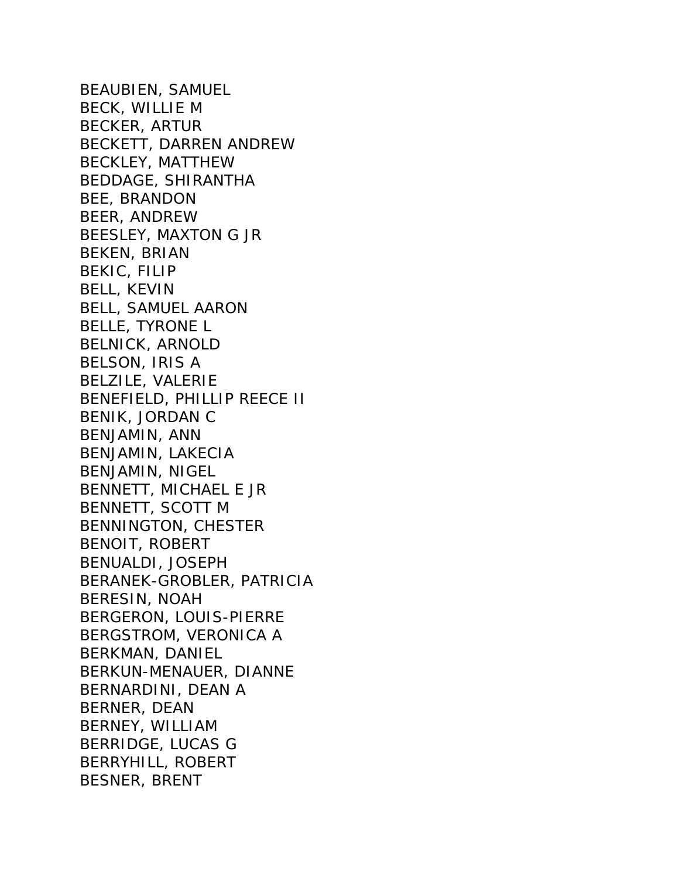BEAUBIEN, SAMUEL BECK, WILLIE M BECKER, ARTUR BECKETT, DARREN ANDREW BECKLEY, MATTHEW BEDDAGE, SHIRANTHA BEE, BRANDON BEER, ANDREW BEESLEY, MAXTON G JR BEKEN, BRIAN BEKIC, FILIP BELL, KEVIN BELL, SAMUEL AARON BELLE, TYRONE L BELNICK, ARNOLD BELSON, IRIS A BELZILE, VALERIE BENEFIELD, PHILLIP REECE II BENIK, JORDAN C BENJAMIN, ANN BENJAMIN, LAKECIA BENJAMIN, NIGEL BENNETT, MICHAEL E JR BENNETT, SCOTT M BENNINGTON, CHESTER BENOIT, ROBERT BENUALDI, JOSEPH BERANEK-GROBLER, PATRICIA BERESIN, NOAH BERGERON, LOUIS-PIERRE BERGSTROM, VERONICA A BERKMAN, DANIEL BERKUN-MENAUER, DIANNE BERNARDINI, DEAN A BERNER, DEAN BERNEY, WILLIAM BERRIDGE, LUCAS G BERRYHILL, ROBERT BESNER, BRENT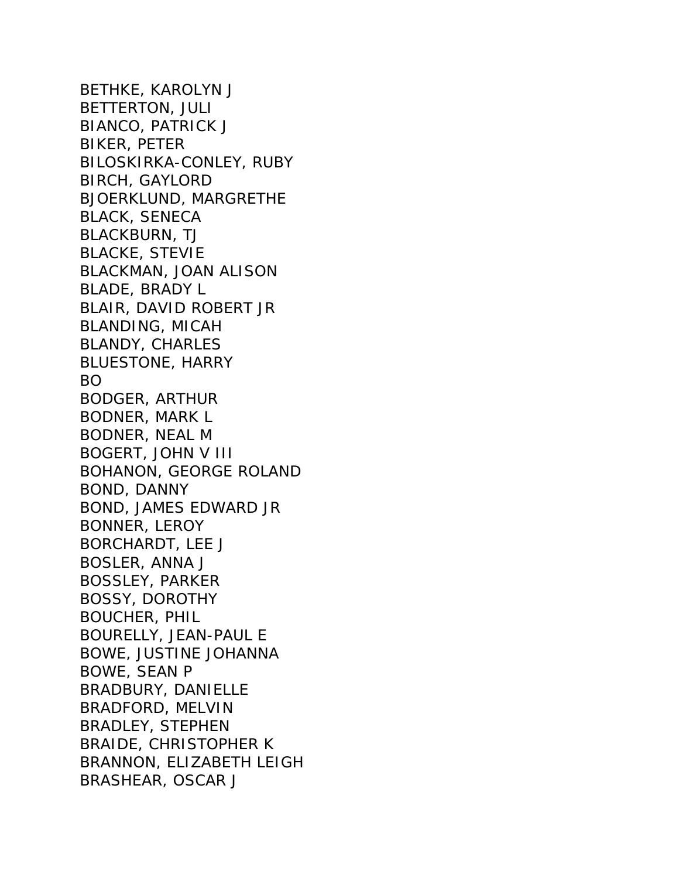BETHKE, KAROLYN J BETTERTON, JULI BIANCO, PATRICK J BIKER, PETER BILOSKIRKA-CONLEY, RUBY BIRCH, GAYLORD BJOERKLUND, MARGRETHE BLACK, SENECA BLACKBURN, TJ BLACKE, STEVIE BLACKMAN, JOAN ALISON BLADE, BRADY L BLAIR, DAVID ROBERT JR BLANDING, MICAH BLANDY, CHARLES BLUESTONE, HARRY BO BODGER, ARTHUR BODNER, MARK L BODNER, NEAL M BOGERT, JOHN V III BOHANON, GEORGE ROLAND BOND, DANNY BOND, JAMES EDWARD JR BONNER, LEROY BORCHARDT, LEE J BOSLER, ANNA J BOSSLEY, PARKER BOSSY, DOROTHY BOUCHER, PHIL BOURELLY, JEAN-PAUL E BOWE, JUSTINE JOHANNA BOWE, SEAN P BRADBURY, DANIELLE BRADFORD, MELVIN BRADLEY, STEPHEN BRAIDE, CHRISTOPHER K BRANNON, ELIZABETH LEIGH BRASHEAR, OSCAR J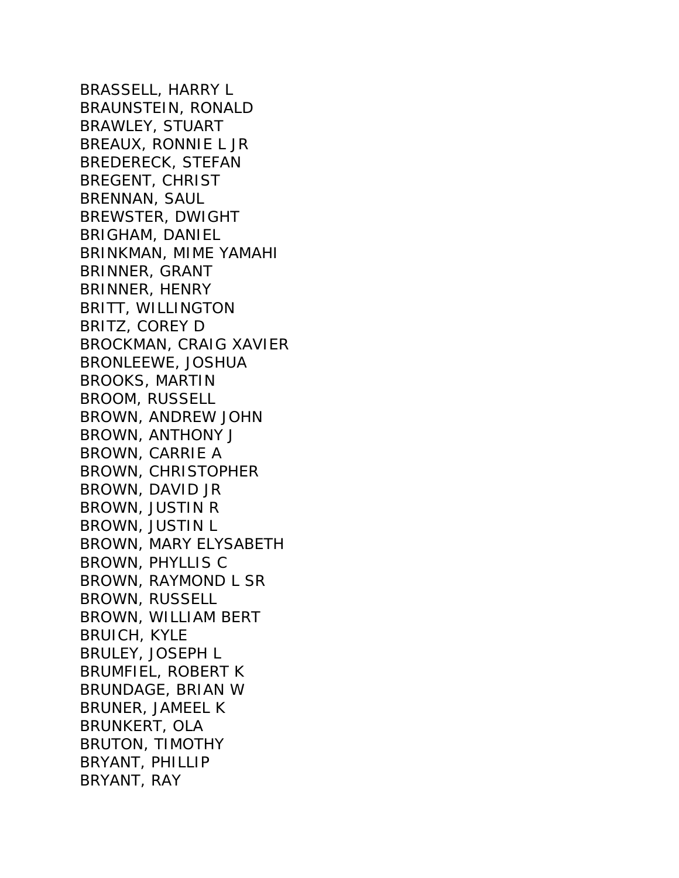BRASSELL, HARRY L BRAUNSTEIN, RONALD BRAWLEY, STUART BREAUX, RONNIE L JR BREDERECK, STEFAN BREGENT, CHRIST BRENNAN, SAUL BREWSTER, DWIGHT BRIGHAM, DANIEL BRINKMAN, MIME YAMAHI BRINNER, GRANT BRINNER, HENRY BRITT, WILLINGTON BRITZ, COREY D BROCKMAN, CRAIG XAVIER BRONLEEWE, JOSHUA BROOKS, MARTIN BROOM, RUSSELL BROWN, ANDREW JOHN BROWN, ANTHONY J BROWN, CARRIE A BROWN, CHRISTOPHER BROWN, DAVID JR BROWN, JUSTIN R BROWN, JUSTIN L BROWN, MARY ELYSABETH BROWN, PHYLLIS C BROWN, RAYMOND L SR BROWN, RUSSELL BROWN, WILLIAM BERT BRUICH, KYLE BRULEY, JOSEPH L BRUMFIEL, ROBERT K BRUNDAGE, BRIAN W BRUNER, JAMEEL K BRUNKERT, OLA BRUTON, TIMOTHY BRYANT, PHILLIP BRYANT, RAY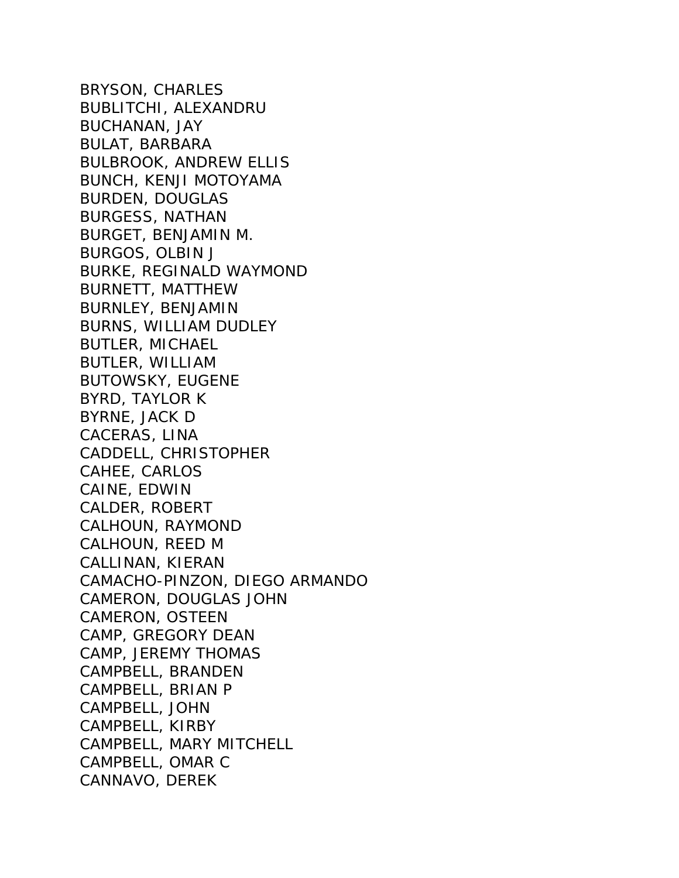BRYSON, CHARLES BUBLITCHI, ALEXANDRU BUCHANAN, JAY BULAT, BARBARA BULBROOK, ANDREW ELLIS BUNCH, KENJI MOTOYAMA BURDEN, DOUGLAS BURGESS, NATHAN BURGET, BENJAMIN M. BURGOS, OLBIN J BURKE, REGINALD WAYMOND BURNETT, MATTHEW BURNLEY, BENJAMIN BURNS, WILLIAM DUDLEY BUTLER, MICHAEL BUTLER, WILLIAM BUTOWSKY, EUGENE BYRD, TAYLOR K BYRNE, JACK D CACERAS, LINA CADDELL, CHRISTOPHER CAHEE, CARLOS CAINE, EDWIN CALDER, ROBERT CALHOUN, RAYMOND CALHOUN, REED M CALLINAN, KIERAN CAMACHO-PINZON, DIEGO ARMANDO CAMERON, DOUGLAS JOHN CAMERON, OSTEEN CAMP, GREGORY DEAN CAMP, JEREMY THOMAS CAMPBELL, BRANDEN CAMPBELL, BRIAN P CAMPBELL, JOHN CAMPBELL, KIRBY CAMPBELL, MARY MITCHELL CAMPBELL, OMAR C CANNAVO, DEREK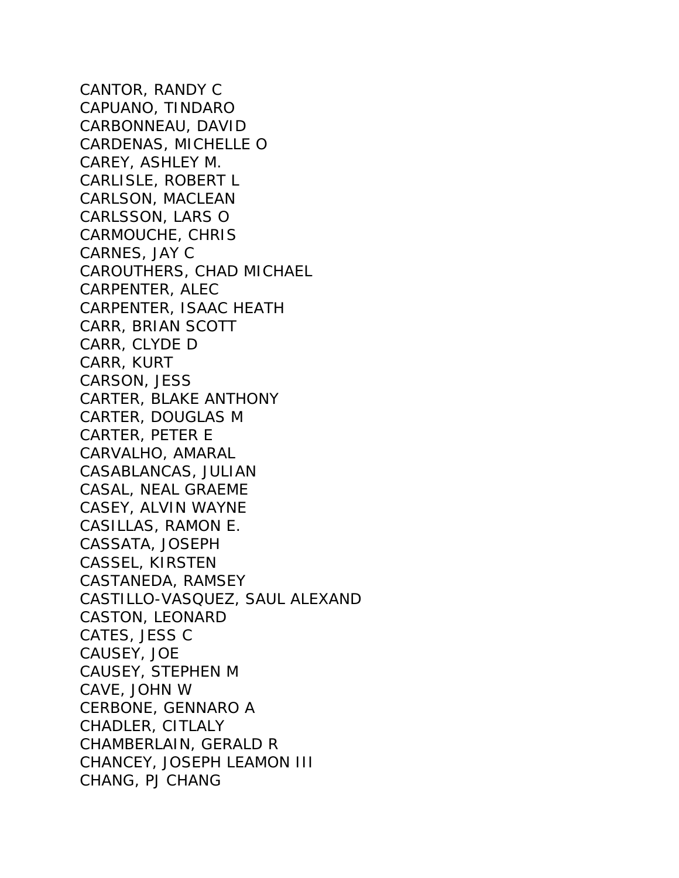CANTOR, RANDY C CAPUANO, TINDARO CARBONNEAU, DAVID CARDENAS, MICHELLE O CAREY, ASHLEY M. CARLISLE, ROBERT L CARLSON, MACLEAN CARLSSON, LARS O CARMOUCHE, CHRIS CARNES, JAY C CAROUTHERS, CHAD MICHAEL CARPENTER, ALEC CARPENTER, ISAAC HEATH CARR, BRIAN SCOTT CARR, CLYDE D CARR, KURT CARSON, JESS CARTER, BLAKE ANTHONY CARTER, DOUGLAS M CARTER, PETER E CARVALHO, AMARAL CASABLANCAS, JULIAN CASAL, NEAL GRAEME CASEY, ALVIN WAYNE CASILLAS, RAMON E. CASSATA, JOSEPH CASSEL, KIRSTEN CASTANEDA, RAMSEY CASTILLO-VASQUEZ, SAUL ALEXAND CASTON, LEONARD CATES, JESS C CAUSEY, JOE CAUSEY, STEPHEN M CAVE, JOHN W CERBONE, GENNARO A CHADLER, CITLALY CHAMBERLAIN, GERALD R CHANCEY, JOSEPH LEAMON III CHANG, PJ CHANG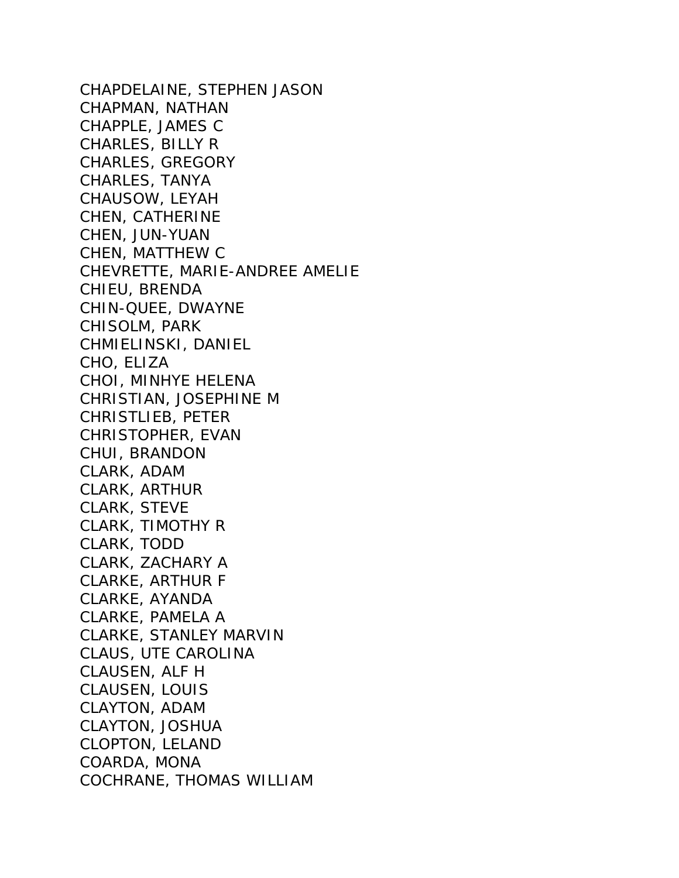CHAPDELAINE, STEPHEN JASON CHAPMAN, NATHAN CHAPPLE, JAMES C CHARLES, BILLY R CHARLES, GREGORY CHARLES, TANYA CHAUSOW, LEYAH CHEN, CATHERINE CHEN, JUN-YUAN CHEN, MATTHEW C CHEVRETTE, MARIE-ANDREE AMELIE CHIEU, BRENDA CHIN-QUEE, DWAYNE CHISOLM, PARK CHMIELINSKI, DANIEL CHO, ELIZA CHOI, MINHYE HELENA CHRISTIAN, JOSEPHINE M CHRISTLIEB, PETER CHRISTOPHER, EVAN CHUI, BRANDON CLARK, ADAM CLARK, ARTHUR CLARK, STEVE CLARK, TIMOTHY R CLARK, TODD CLARK, ZACHARY A CLARKE, ARTHUR F CLARKE, AYANDA CLARKE, PAMELA A CLARKE, STANLEY MARVIN CLAUS, UTE CAROLINA CLAUSEN, ALF H CLAUSEN, LOUIS CLAYTON, ADAM CLAYTON, JOSHUA CLOPTON, LELAND COARDA, MONA COCHRANE, THOMAS WILLIAM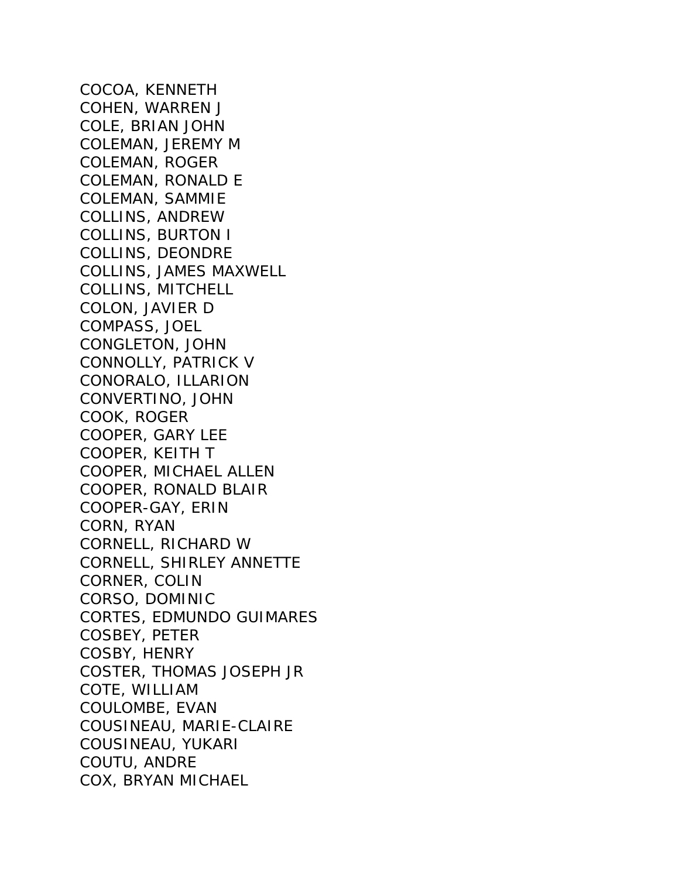COCOA, KENNETH COHEN, WARREN J COLE, BRIAN JOHN COLEMAN, JEREMY M COLEMAN, ROGER COLEMAN, RONALD E COLEMAN, SAMMIE COLLINS, ANDREW COLLINS, BURTON I COLLINS, DEONDRE COLLINS, JAMES MAXWELL COLLINS, MITCHELL COLON, JAVIER D COMPASS, JOEL CONGLETON, JOHN CONNOLLY, PATRICK V CONORALO, ILLARION CONVERTINO, JOHN COOK, ROGER COOPER, GARY LEE COOPER, KEITH T COOPER, MICHAEL ALLEN COOPER, RONALD BLAIR COOPER-GAY, ERIN CORN, RYAN CORNELL, RICHARD W CORNELL, SHIRLEY ANNETTE CORNER, COLIN CORSO, DOMINIC CORTES, EDMUNDO GUIMARES COSBEY, PETER COSBY, HENRY COSTER, THOMAS JOSEPH JR COTE, WILLIAM COULOMBE, EVAN COUSINEAU, MARIE-CLAIRE COUSINEAU, YUKARI COUTU, ANDRE COX, BRYAN MICHAEL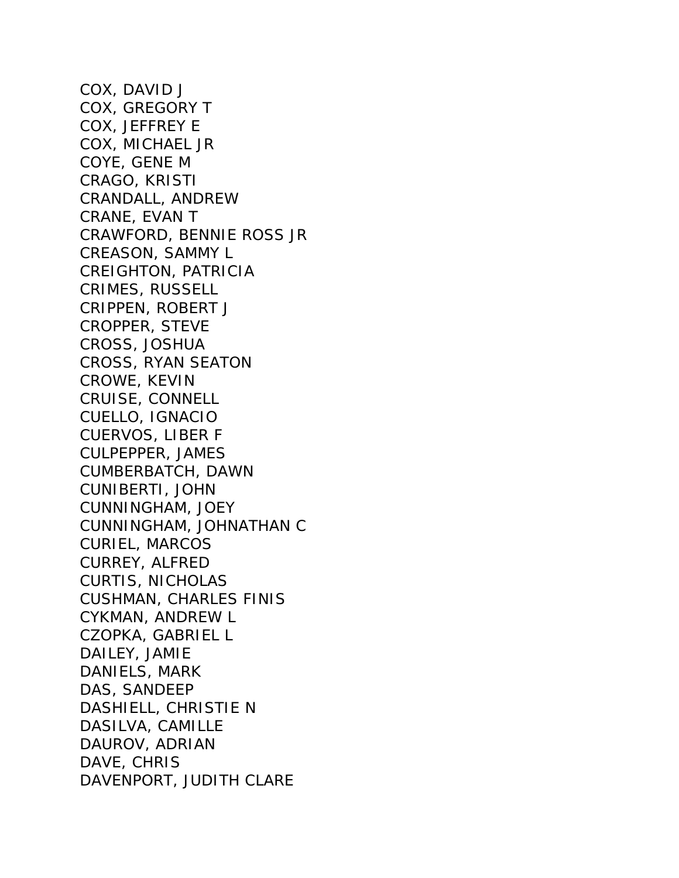COX, DAVID J COX, GREGORY T COX, JEFFREY E COX, MICHAEL JR COYE, GENE M CRAGO, KRISTI CRANDALL, ANDREW CRANE, EVAN T CRAWFORD, BENNIE ROSS JR CREASON, SAMMY L CREIGHTON, PATRICIA CRIMES, RUSSELL CRIPPEN, ROBERT J CROPPER, STEVE CROSS, JOSHUA CROSS, RYAN SEATON CROWE, KEVIN CRUISE, CONNELL CUELLO, IGNACIO CUERVOS, LIBER F CULPEPPER, JAMES CUMBERBATCH, DAWN CUNIBERTI, JOHN CUNNINGHAM, JOEY CUNNINGHAM, JOHNATHAN C CURIEL, MARCOS CURREY, ALFRED CURTIS, NICHOLAS CUSHMAN, CHARLES FINIS CYKMAN, ANDREW L CZOPKA, GABRIEL L DAILEY, JAMIE DANIELS, MARK DAS, SANDEEP DASHIELL, CHRISTIE N DASILVA, CAMILLE DAUROV, ADRIAN DAVE, CHRIS DAVENPORT, JUDITH CLARE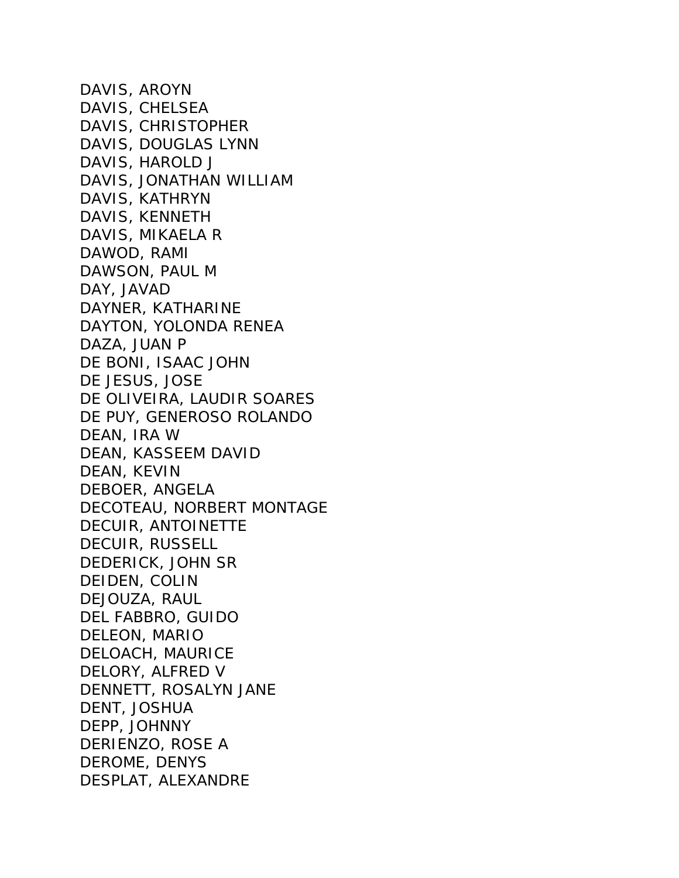DAVIS, AROYN DAVIS, CHELSEA DAVIS, CHRISTOPHER DAVIS, DOUGLAS LYNN DAVIS, HAROLD J DAVIS, JONATHAN WILLIAM DAVIS, KATHRYN DAVIS, KENNETH DAVIS, MIKAELA R DAWOD, RAMI DAWSON, PAUL M DAY, JAVAD DAYNER, KATHARINE DAYTON, YOLONDA RENEA DAZA, JUAN P DE BONI, ISAAC JOHN DE JESUS, JOSE DE OLIVEIRA, LAUDIR SOARES DE PUY, GENEROSO ROLANDO DEAN, IRA W DEAN, KASSEEM DAVID DEAN, KEVIN DEBOER, ANGELA DECOTEAU, NORBERT MONTAGE DECUIR, ANTOINETTE DECUIR, RUSSELL DEDERICK, JOHN SR DEIDEN, COLIN DEJOUZA, RAUL DEL FABBRO, GUIDO DELEON, MARIO DELOACH, MAURICE DELORY, ALFRED V DENNETT, ROSALYN JANE DENT, JOSHUA DEPP, JOHNNY DERIENZO, ROSE A DEROME, DENYS DESPLAT, ALEXANDRE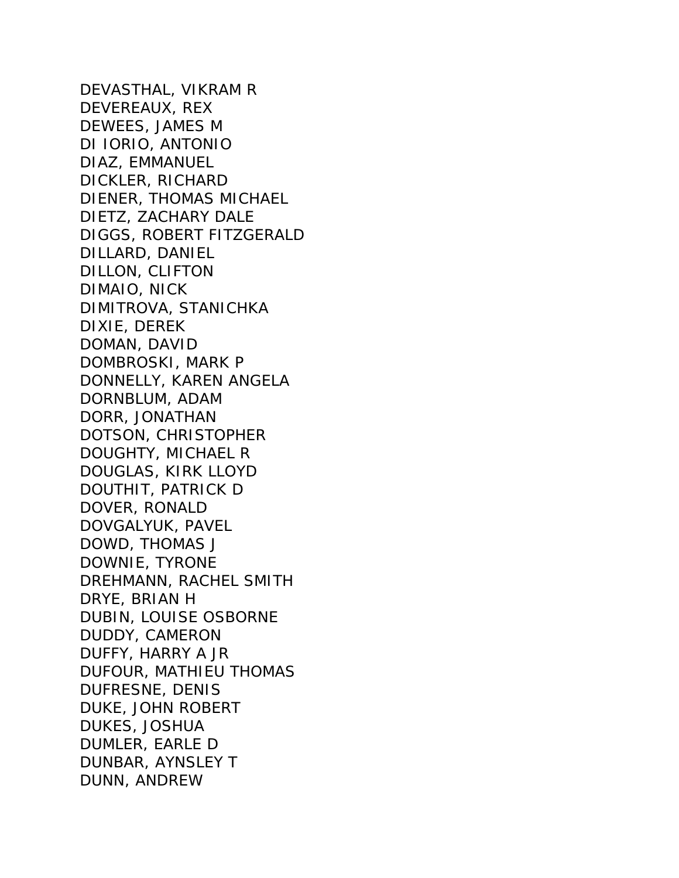DEVASTHAL, VIKRAM R DEVEREAUX, REX DEWEES, JAMES M DI IORIO, ANTONIO DIAZ, EMMANUEL DICKLER, RICHARD DIENER, THOMAS MICHAEL DIETZ, ZACHARY DALE DIGGS, ROBERT FITZGERALD DILLARD, DANIEL DILLON, CLIFTON DIMAIO, NICK DIMITROVA, STANICHKA DIXIE, DEREK DOMAN, DAVID DOMBROSKI, MARK P DONNELLY, KAREN ANGELA DORNBLUM, ADAM DORR, JONATHAN DOTSON, CHRISTOPHER DOUGHTY, MICHAEL R DOUGLAS, KIRK LLOYD DOUTHIT, PATRICK D DOVER, RONALD DOVGALYUK, PAVEL DOWD, THOMAS J DOWNIE, TYRONE DREHMANN, RACHEL SMITH DRYE, BRIAN H DUBIN, LOUISE OSBORNE DUDDY, CAMERON DUFFY, HARRY A JR DUFOUR, MATHIEU THOMAS DUFRESNE, DENIS DUKE, JOHN ROBERT DUKES, JOSHUA DUMLER, EARLE D DUNBAR, AYNSLEY T DUNN, ANDREW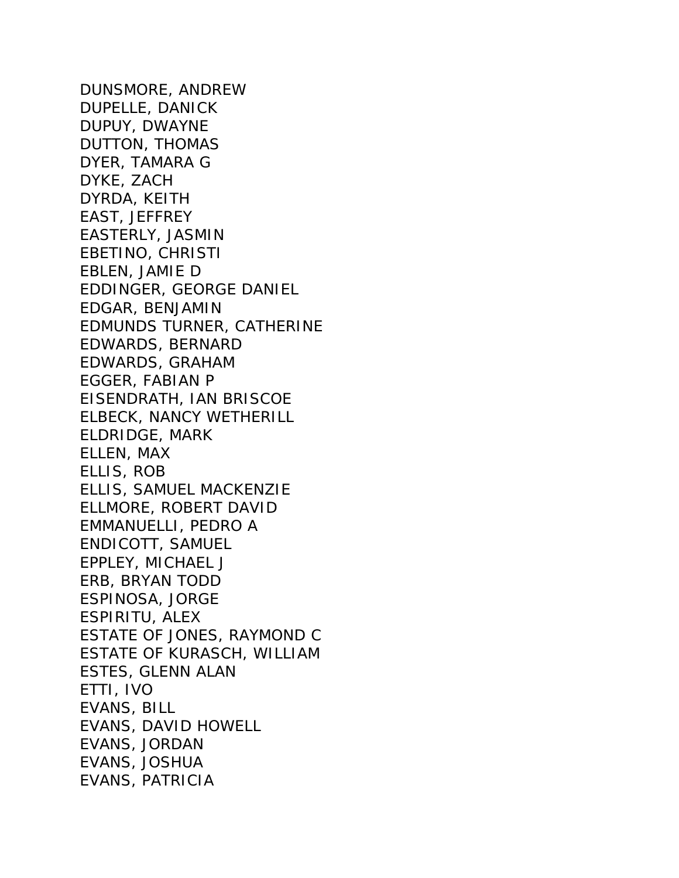DUNSMORE, ANDREW DUPELLE, DANICK DUPUY, DWAYNE DUTTON, THOMAS DYER, TAMARA G DYKE, ZACH DYRDA, KEITH EAST, JEFFREY EASTERLY, JASMIN EBETINO, CHRISTI EBLEN, JAMIE D EDDINGER, GEORGE DANIEL EDGAR, BENJAMIN EDMUNDS TURNER, CATHERINE EDWARDS, BERNARD EDWARDS, GRAHAM EGGER, FABIAN P EISENDRATH, IAN BRISCOE ELBECK, NANCY WETHERILL ELDRIDGE, MARK ELLEN, MAX ELLIS, ROB ELLIS, SAMUEL MACKENZIE ELLMORE, ROBERT DAVID EMMANUELLI, PEDRO A ENDICOTT, SAMUEL EPPLEY, MICHAEL J ERB, BRYAN TODD ESPINOSA, JORGE ESPIRITU, ALEX ESTATE OF JONES, RAYMOND C ESTATE OF KURASCH, WILLIAM ESTES, GLENN ALAN ETTI, IVO EVANS, BILL EVANS, DAVID HOWELL EVANS, JORDAN EVANS, JOSHUA EVANS, PATRICIA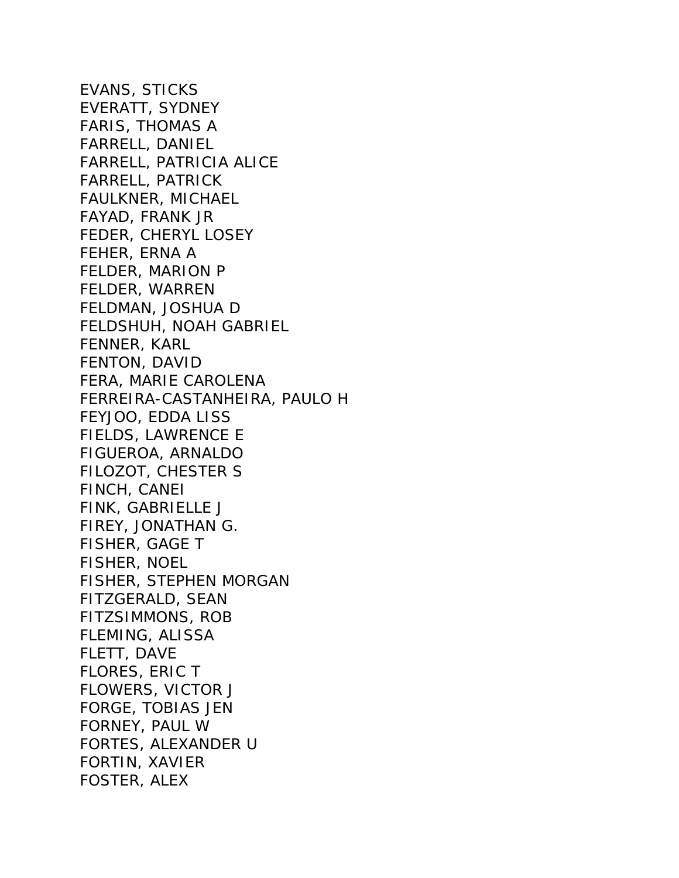EVANS, STICKS EVERATT, SYDNEY FARIS, THOMAS A FARRELL, DANIEL FARRELL, PATRICIA ALICE FARRELL, PATRICK FAULKNER, MICHAEL FAYAD, FRANK JR FEDER, CHERYL LOSEY FEHER, ERNA A FELDER, MARION P FELDER, WARREN FELDMAN, JOSHUA D FELDSHUH, NOAH GABRIEL FENNER, KARL FENTON, DAVID FERA, MARIE CAROLENA FERREIRA-CASTANHEIRA, PAULO H FEYJOO, EDDA LISS FIELDS, LAWRENCE E FIGUEROA, ARNALDO FILOZOT, CHESTER S FINCH, CANEI FINK, GABRIELLE J FIREY, JONATHAN G. FISHER, GAGE T FISHER, NOEL FISHER, STEPHEN MORGAN FITZGERALD, SEAN FITZSIMMONS, ROB FLEMING, ALISSA FLETT, DAVE FLORES, ERIC T FLOWERS, VICTOR J FORGE, TOBIAS JEN FORNEY, PAUL W FORTES, ALEXANDER U FORTIN, XAVIER FOSTER, ALEX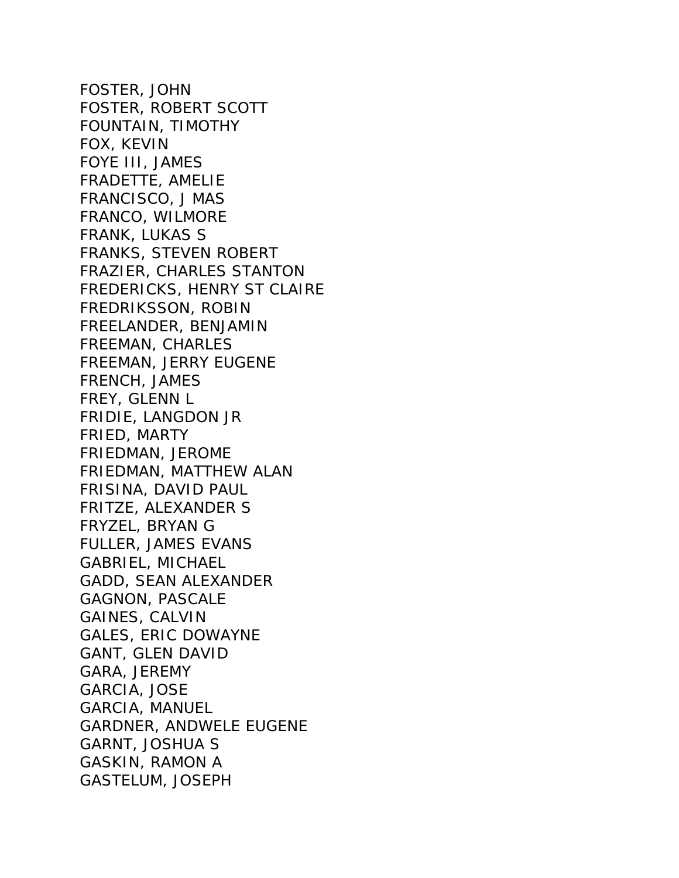FOSTER, JOHN FOSTER, ROBERT SCOTT FOUNTAIN, TIMOTHY FOX, KEVIN FOYE III, JAMES FRADETTE, AMELIE FRANCISCO, J MAS FRANCO, WILMORE FRANK, LUKAS S FRANKS, STEVEN ROBERT FRAZIER, CHARLES STANTON FREDERICKS, HENRY ST CLAIRE FREDRIKSSON, ROBIN FREELANDER, BENJAMIN FREEMAN, CHARLES FREEMAN, JERRY EUGENE FRENCH, JAMES FREY, GLENN L FRIDIE, LANGDON JR FRIED, MARTY FRIEDMAN, JEROME FRIEDMAN, MATTHEW ALAN FRISINA, DAVID PAUL FRITZE, ALEXANDER S FRYZEL, BRYAN G FULLER, JAMES EVANS GABRIEL, MICHAEL GADD, SEAN ALEXANDER GAGNON, PASCALE GAINES, CALVIN GALES, ERIC DOWAYNE GANT, GLEN DAVID GARA, JEREMY GARCIA, JOSE GARCIA, MANUEL GARDNER, ANDWELE EUGENE GARNT, JOSHUA S GASKIN, RAMON A GASTELUM, JOSEPH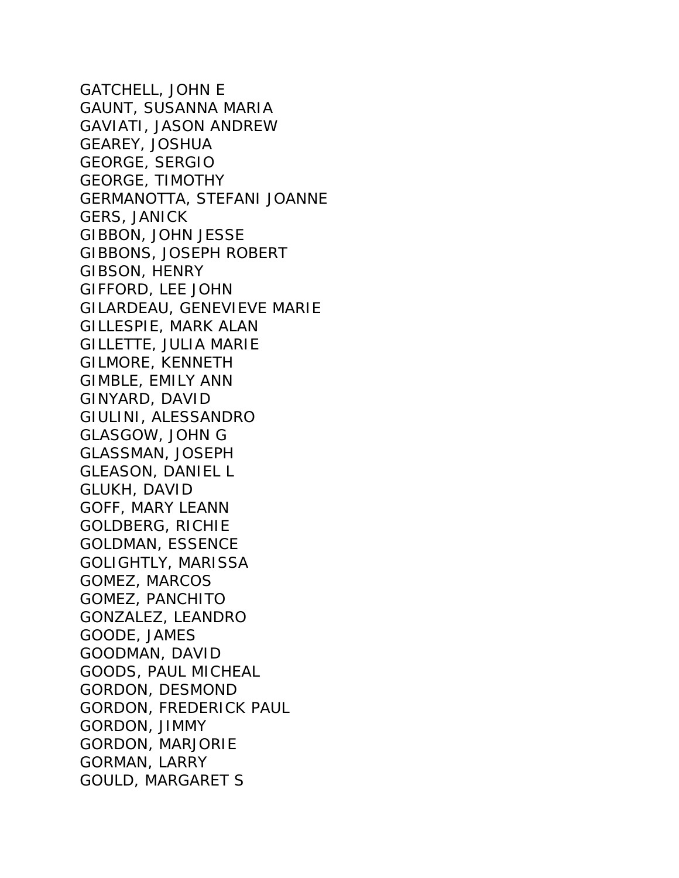GATCHELL, JOHN E GAUNT, SUSANNA MARIA GAVIATI, JASON ANDREW GEAREY, JOSHUA GEORGE, SERGIO GEORGE, TIMOTHY GERMANOTTA, STEFANI JOANNE GERS, JANICK GIBBON, JOHN JESSE GIBBONS, JOSEPH ROBERT GIBSON, HENRY GIFFORD, LEE JOHN GILARDEAU, GENEVIEVE MARIE GILLESPIE, MARK ALAN GILLETTE, JULIA MARIE GILMORE, KENNETH GIMBLE, EMILY ANN GINYARD, DAVID GIULINI, ALESSANDRO GLASGOW, JOHN G GLASSMAN, JOSEPH GLEASON, DANIEL L GLUKH, DAVID GOFF, MARY LEANN GOLDBERG, RICHIE GOLDMAN, ESSENCE GOLIGHTLY, MARISSA GOMEZ, MARCOS GOMEZ, PANCHITO GONZALEZ, LEANDRO GOODE, JAMES GOODMAN, DAVID GOODS, PAUL MICHEAL GORDON, DESMOND GORDON, FREDERICK PAUL GORDON, JIMMY GORDON, MARJORIE GORMAN, LARRY GOULD, MARGARET S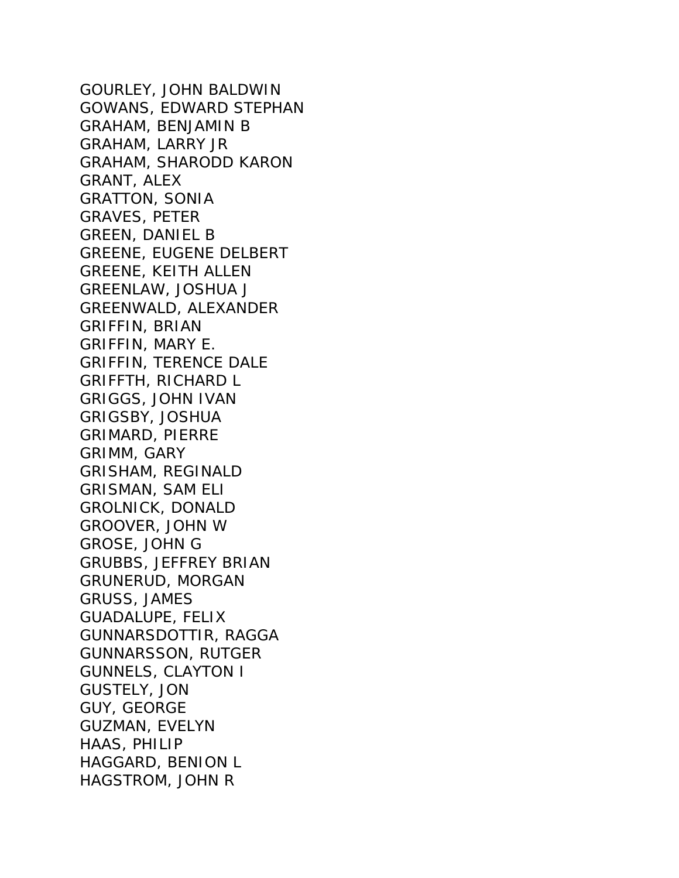GOURLEY, JOHN BALDWIN GOWANS, EDWARD STEPHAN GRAHAM, BENJAMIN B GRAHAM, LARRY JR GRAHAM, SHARODD KARON GRANT, ALEX GRATTON, SONIA GRAVES, PETER GREEN, DANIEL B GREENE, EUGENE DELBERT GREENE, KEITH ALLEN GREENLAW, JOSHUA J GREENWALD, ALEXANDER GRIFFIN, BRIAN GRIFFIN, MARY E. GRIFFIN, TERENCE DALE GRIFFTH, RICHARD L GRIGGS, JOHN IVAN GRIGSBY, JOSHUA GRIMARD, PIERRE GRIMM, GARY GRISHAM, REGINALD GRISMAN, SAM ELI GROLNICK, DONALD GROOVER, JOHN W GROSE, JOHN G GRUBBS, JEFFREY BRIAN GRUNERUD, MORGAN GRUSS, JAMES GUADALUPE, FELIX GUNNARSDOTTIR, RAGGA GUNNARSSON, RUTGER GUNNELS, CLAYTON I GUSTELY, JON GUY, GEORGE GUZMAN, EVELYN HAAS, PHILIP HAGGARD, BENION L HAGSTROM, JOHN R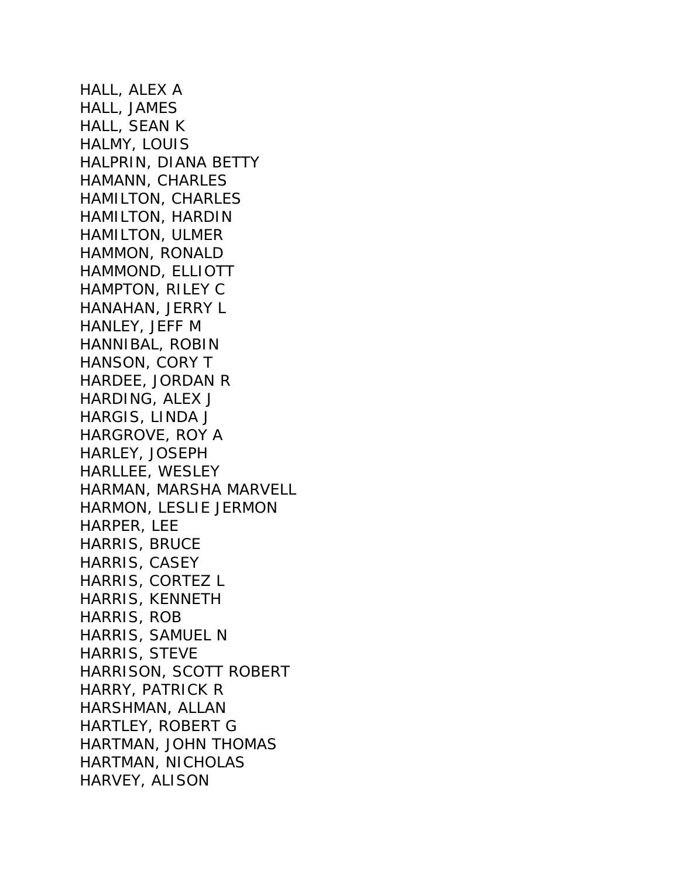HALL, ALEX A HALL, JAMES HALL, SEAN K HALMY, LOUIS HALPRIN, DIANA BETTY HAMANN, CHARLES HAMILTON, CHARLES HAMILTON, HARDIN HAMILTON, ULMER HAMMON, RONALD HAMMOND, ELLIOTT HAMPTON, RILEY C HANAHAN, JERRY L HANLEY, JEFF M HANNIBAL, ROBIN HANSON, CORY T HARDEE, JORDAN R HARDING, ALEX J HARGIS, LINDA J HARGROVE, ROY A HARLEY, JOSEPH HARLLEE, WESLEY HARMAN, MARSHA MARVELL HARMON, LESLIE JERMON HARPER, LEE HARRIS, BRUCE HARRIS, CASEY HARRIS, CORTEZ L HARRIS, KENNETH HARRIS, ROB HARRIS, SAMUEL N HARRIS, STEVE HARRISON, SCOTT ROBERT HARRY, PATRICK R HARSHMAN, ALLAN HARTLEY, ROBERT G HARTMAN, JOHN THOMAS HARTMAN, NICHOLAS HARVEY, ALISON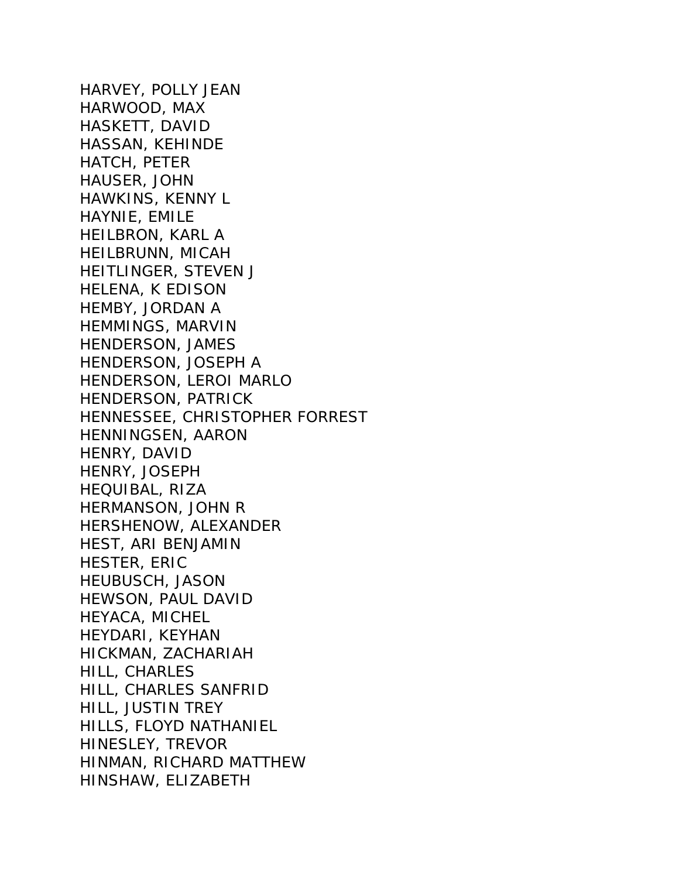HARVEY, POLLY JEAN HARWOOD, MAX HASKETT, DAVID HASSAN, KEHINDE HATCH, PETER HAUSER, JOHN HAWKINS, KENNY L HAYNIE, EMILE HEILBRON, KARL A HEILBRUNN, MICAH HEITLINGER, STEVEN J HELENA, K EDISON HEMBY, JORDAN A HEMMINGS, MARVIN HENDERSON, JAMES HENDERSON, JOSEPH A HENDERSON, LEROI MARLO HENDERSON, PATRICK HENNESSEE, CHRISTOPHER FORREST HENNINGSEN, AARON HENRY, DAVID HENRY, JOSEPH HEQUIBAL, RIZA HERMANSON, JOHN R HERSHENOW, ALEXANDER HEST, ARI BENJAMIN HESTER, ERIC HEUBUSCH, JASON HEWSON, PAUL DAVID HEYACA, MICHEL HEYDARI, KEYHAN HICKMAN, ZACHARIAH HILL, CHARLES HILL, CHARLES SANFRID HILL, JUSTIN TREY HILLS, FLOYD NATHANIEL HINESLEY, TREVOR HINMAN, RICHARD MATTHEW HINSHAW, ELIZABETH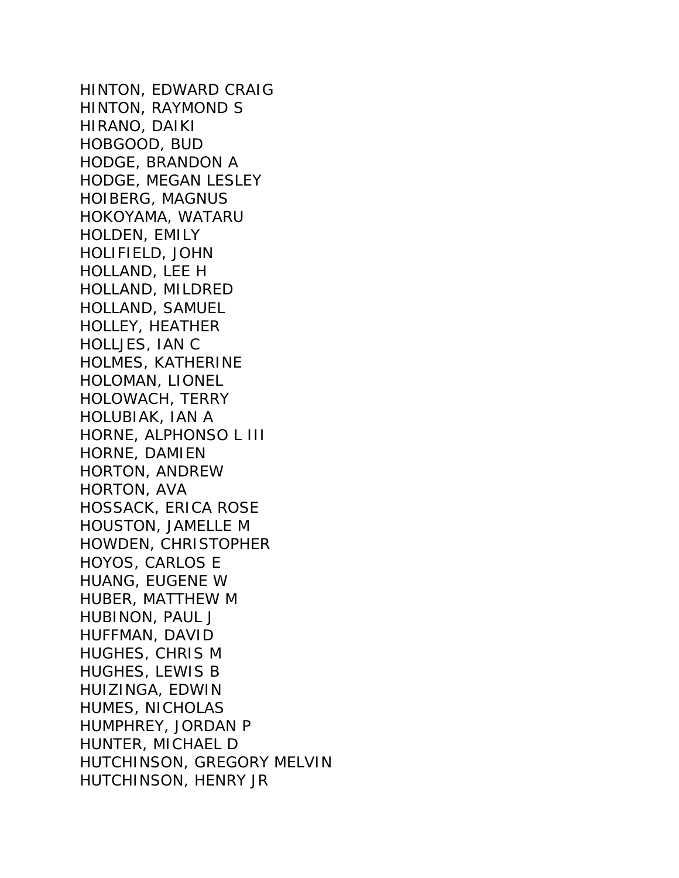HINTON, EDWARD CRAIG HINTON, RAYMOND S HIRANO, DAIKI HOBGOOD, BUD HODGE, BRANDON A HODGE, MEGAN LESLEY HOIBERG, MAGNUS HOKOYAMA, WATARU HOLDEN, EMILY HOLIFIELD, JOHN HOLLAND, LEE H HOLLAND, MILDRED HOLLAND, SAMUEL HOLLEY, HEATHER HOLLJES, IAN C HOLMES, KATHERINE HOLOMAN, LIONEL HOLOWACH, TERRY HOLUBIAK, IAN A HORNE, ALPHONSO L III HORNE, DAMIEN HORTON, ANDREW HORTON, AVA HOSSACK, ERICA ROSE HOUSTON, JAMELLE M HOWDEN, CHRISTOPHER HOYOS, CARLOS E HUANG, EUGENE W HUBER, MATTHEW M HUBINON, PAUL J HUFFMAN, DAVID HUGHES, CHRIS M HUGHES, LEWIS B HUIZINGA, EDWIN HUMES, NICHOLAS HUMPHREY, JORDAN P HUNTER, MICHAEL D HUTCHINSON, GREGORY MELVIN HUTCHINSON, HENRY JR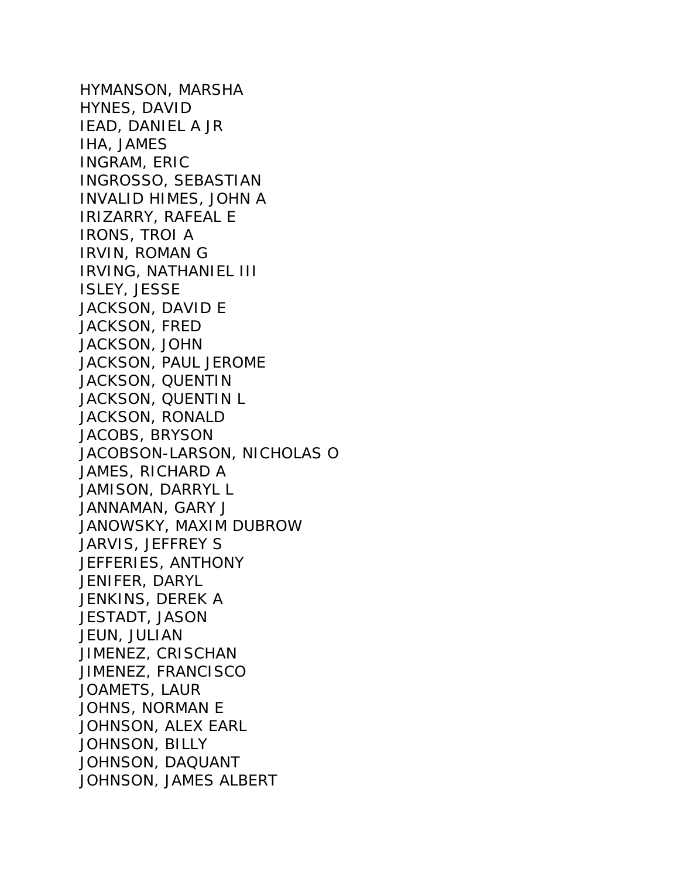HYMANSON, MARSHA HYNES, DAVID IEAD, DANIEL A JR IHA, JAMES INGRAM, ERIC INGROSSO, SEBASTIAN INVALID HIMES, JOHN A IRIZARRY, RAFEAL E IRONS, TROI A IRVIN, ROMAN G IRVING, NATHANIEL III ISLEY, JESSE JACKSON, DAVID E JACKSON, FRED JACKSON, JOHN JACKSON, PAUL JEROME JACKSON, QUENTIN JACKSON, QUENTIN L JACKSON, RONALD JACOBS, BRYSON JACOBSON-LARSON, NICHOLAS O JAMES, RICHARD A JAMISON, DARRYL L JANNAMAN, GARY J JANOWSKY, MAXIM DUBROW JARVIS, JEFFREY S JEFFERIES, ANTHONY JENIFER, DARYL JENKINS, DEREK A JESTADT, JASON JEUN, JULIAN JIMENEZ, CRISCHAN JIMENEZ, FRANCISCO JOAMETS, LAUR JOHNS, NORMAN E JOHNSON, ALEX EARL JOHNSON, BILLY JOHNSON, DAQUANT JOHNSON, JAMES ALBERT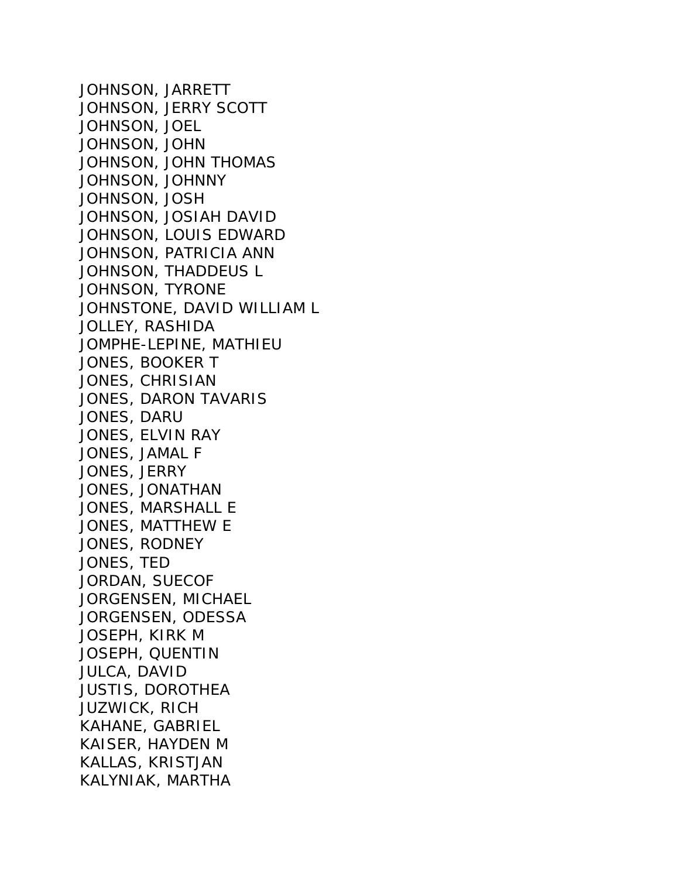JOHNSON, JARRETT JOHNSON, JERRY SCOTT JOHNSON, JOEL JOHNSON, JOHN JOHNSON, JOHN THOMAS JOHNSON, JOHNNY JOHNSON, JOSH JOHNSON, JOSIAH DAVID JOHNSON, LOUIS EDWARD JOHNSON, PATRICIA ANN JOHNSON, THADDEUS L JOHNSON, TYRONE JOHNSTONE, DAVID WILLIAM L JOLLEY, RASHIDA JOMPHE-LEPINE, MATHIEU JONES, BOOKER T JONES, CHRISIAN JONES, DARON TAVARIS JONES, DARU JONES, ELVIN RAY JONES, JAMAL F JONES, JERRY JONES, JONATHAN JONES, MARSHALL E JONES, MATTHEW E JONES, RODNEY JONES, TED JORDAN, SUECOF JORGENSEN, MICHAEL JORGENSEN, ODESSA JOSEPH, KIRK M JOSEPH, QUENTIN JULCA, DAVID JUSTIS, DOROTHEA JUZWICK, RICH KAHANE, GABRIEL KAISER, HAYDEN M KALLAS, KRISTJAN KALYNIAK, MARTHA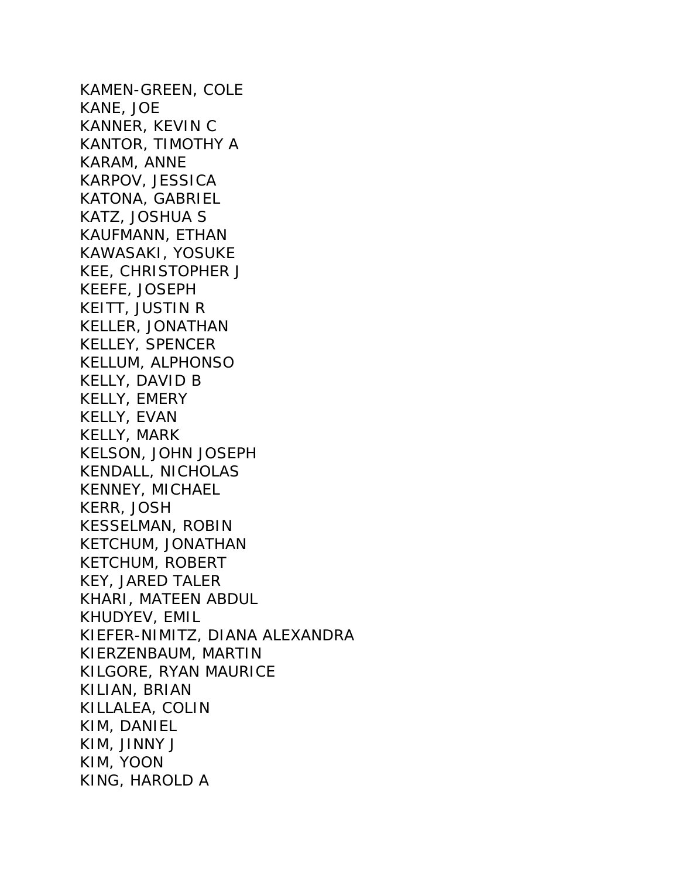KAMEN-GREEN, COLE KANE, JOE KANNER, KEVIN C KANTOR, TIMOTHY A KARAM, ANNE KARPOV, JESSICA KATONA, GABRIEL KATZ, JOSHUA S KAUFMANN, ETHAN KAWASAKI, YOSUKE KEE, CHRISTOPHER J KEEFE, JOSEPH KEITT, JUSTIN R KELLER, JONATHAN KELLEY, SPENCER KELLUM, ALPHONSO KELLY, DAVID B KELLY, EMERY KELLY, EVAN KELLY, MARK KELSON, JOHN JOSEPH KENDALL, NICHOLAS KENNEY, MICHAEL KERR, JOSH KESSELMAN, ROBIN KETCHUM, JONATHAN KETCHUM, ROBERT KEY, JARED TALER KHARI, MATEEN ABDUL KHUDYEV, EMIL KIEFER-NIMITZ, DIANA ALEXANDRA KIERZENBAUM, MARTIN KILGORE, RYAN MAURICE KILIAN, BRIAN KILLALEA, COLIN KIM, DANIEL KIM, JINNY J KIM, YOON KING, HAROLD A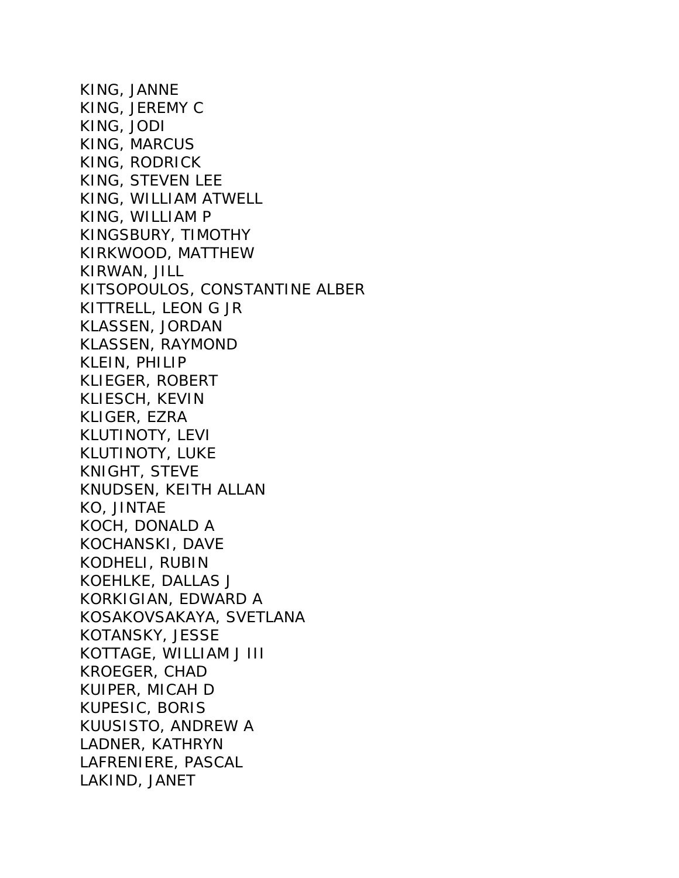KING, JANNE KING, JEREMY C KING, JODI KING, MARCUS KING, RODRICK KING, STEVEN LEE KING, WILLIAM ATWELL KING, WILLIAM P KINGSBURY, TIMOTHY KIRKWOOD, MATTHEW KIRWAN, JILL KITSOPOULOS, CONSTANTINE ALBER KITTRELL, LEON G JR KLASSEN, JORDAN KLASSEN, RAYMOND KLEIN, PHILIP KLIEGER, ROBERT KLIESCH, KEVIN KLIGER, EZRA KLUTINOTY, LEVI KLUTINOTY, LUKE KNIGHT, STEVE KNUDSEN, KEITH ALLAN KO, JINTAE KOCH, DONALD A KOCHANSKI, DAVE KODHELI, RUBIN KOEHLKE, DALLAS J KORKIGIAN, EDWARD A KOSAKOVSAKAYA, SVETLANA KOTANSKY, JESSE KOTTAGE, WILLIAM J III KROEGER, CHAD KUIPER, MICAH D KUPESIC, BORIS KUUSISTO, ANDREW A LADNER, KATHRYN LAFRENIERE, PASCAL LAKIND, JANET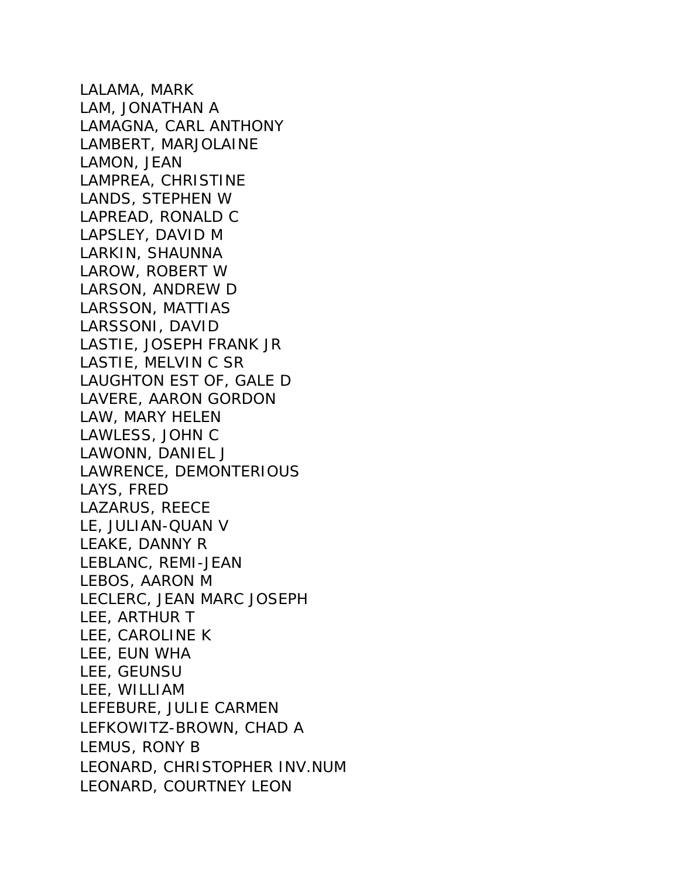LALAMA, MARK LAM, JONATHAN A LAMAGNA, CARL ANTHONY LAMBERT, MARJOLAINE LAMON, JEAN LAMPREA, CHRISTINE LANDS, STEPHEN W LAPREAD, RONALD C LAPSLEY, DAVID M LARKIN, SHAUNNA LAROW, ROBERT W LARSON, ANDREW D LARSSON, MATTIAS LARSSONI, DAVID LASTIE, JOSEPH FRANK JR LASTIE, MELVIN C SR LAUGHTON EST OF, GALE D LAVERE, AARON GORDON LAW, MARY HELEN LAWLESS, JOHN C LAWONN, DANIEL J LAWRENCE, DEMONTERIOUS LAYS, FRED LAZARUS, REECE LE, JULIAN-QUAN V LEAKE, DANNY R LEBLANC, REMI-JEAN LEBOS, AARON M LECLERC, JEAN MARC JOSEPH LEE, ARTHUR T LEE, CAROLINE K LEE, EUN WHA LEE, GEUNSU LEE, WILLIAM LEFEBURE, JULIE CARMEN LEFKOWITZ-BROWN, CHAD A LEMUS, RONY B LEONARD, CHRISTOPHER INV.NUM LEONARD, COURTNEY LEON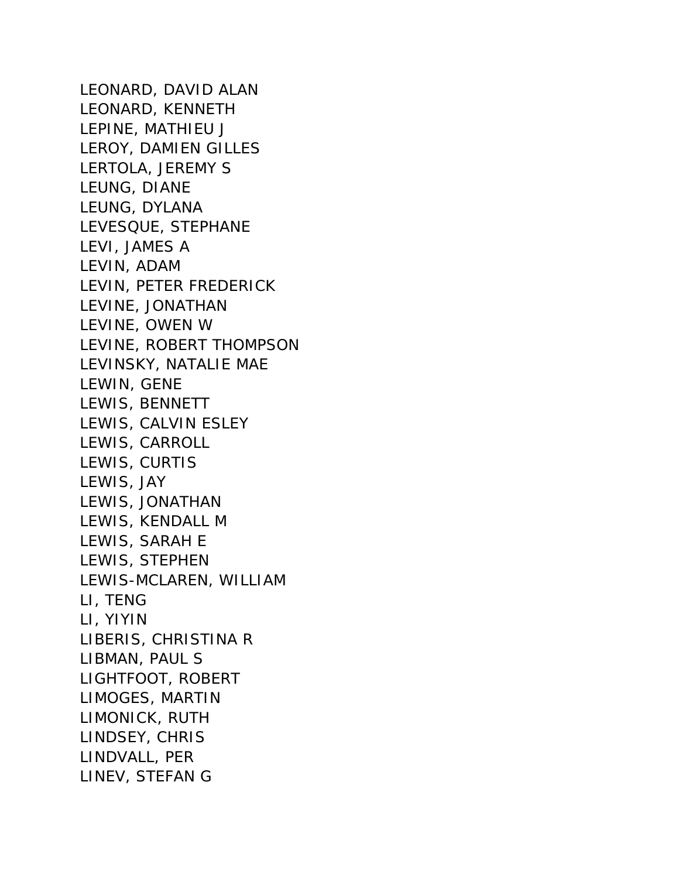LEONARD, DAVID ALAN LEONARD, KENNETH LEPINE, MATHIEU J LEROY, DAMIEN GILLES LERTOLA, JEREMY S LEUNG, DIANE LEUNG, DYLANA LEVESQUE, STEPHANE LEVI, JAMES A LEVIN, ADAM LEVIN, PETER FREDERICK LEVINE, JONATHAN LEVINE, OWEN W LEVINE, ROBERT THOMPSON LEVINSKY, NATALIE MAE LEWIN, GENE LEWIS, BENNETT LEWIS, CALVIN ESLEY LEWIS, CARROLL LEWIS, CURTIS LEWIS, JAY LEWIS, JONATHAN LEWIS, KENDALL M LEWIS, SARAH E LEWIS, STEPHEN LEWIS-MCLAREN, WILLIAM LI, TENG LI, YIYIN LIBERIS, CHRISTINA R LIBMAN, PAUL S LIGHTFOOT, ROBERT LIMOGES, MARTIN LIMONICK, RUTH LINDSEY, CHRIS LINDVALL, PER LINEV, STEFAN G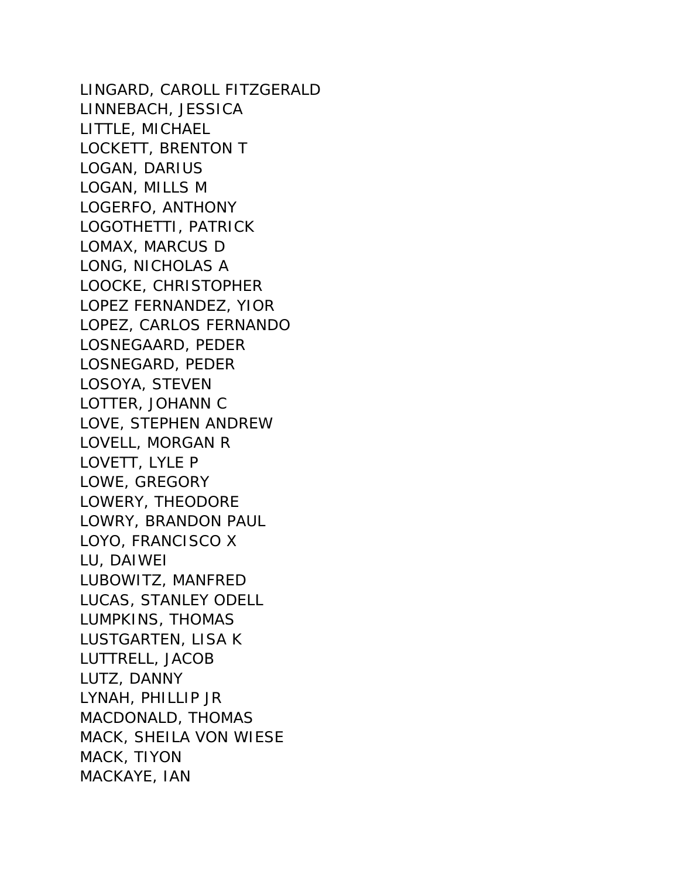LINGARD, CAROLL FITZGERALD LINNEBACH, JESSICA LITTLE, MICHAEL LOCKETT, BRENTON T LOGAN, DARIUS LOGAN, MILLS M LOGERFO, ANTHONY LOGOTHETTI, PATRICK LOMAX, MARCUS D LONG, NICHOLAS A LOOCKE, CHRISTOPHER LOPEZ FERNANDEZ, YIOR LOPEZ, CARLOS FERNANDO LOSNEGAARD, PEDER LOSNEGARD, PEDER LOSOYA, STEVEN LOTTER, JOHANN C LOVE, STEPHEN ANDREW LOVELL, MORGAN R LOVETT, LYLE P LOWE, GREGORY LOWERY, THEODORE LOWRY, BRANDON PAUL LOYO, FRANCISCO X LU, DAIWEI LUBOWITZ, MANFRED LUCAS, STANLEY ODELL LUMPKINS, THOMAS LUSTGARTEN, LISA K LUTTRELL, JACOB LUTZ, DANNY LYNAH, PHILLIP JR MACDONALD, THOMAS MACK, SHEILA VON WIESE MACK, TIYON MACKAYE, IAN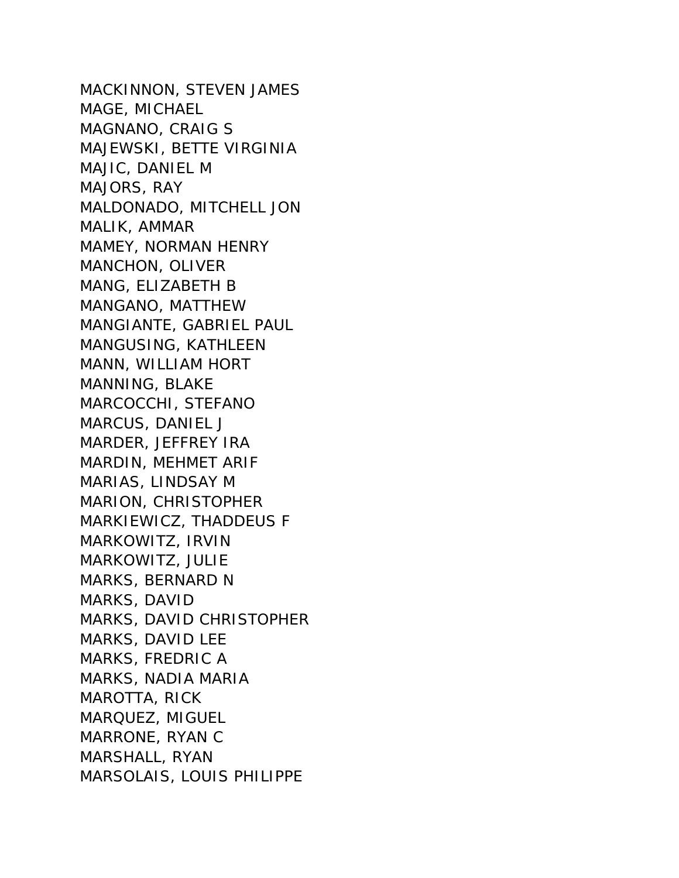MACKINNON, STEVEN JAMES MAGE, MICHAEL MAGNANO, CRAIG S MAJEWSKI, BETTE VIRGINIA MAJIC, DANIEL M MAJORS, RAY MALDONADO, MITCHELL JON MALIK, AMMAR MAMEY, NORMAN HENRY MANCHON, OLIVER MANG, ELIZABETH B MANGANO, MATTHEW MANGIANTE, GABRIEL PAUL MANGUSING, KATHLEEN MANN, WILLIAM HORT MANNING, BLAKE MARCOCCHI, STEFANO MARCUS, DANIEL J MARDER, JEFFREY IRA MARDIN, MEHMET ARIF MARIAS, LINDSAY M MARION, CHRISTOPHER MARKIEWICZ, THADDEUS F MARKOWITZ, IRVIN MARKOWITZ, JULIE MARKS, BERNARD N MARKS, DAVID MARKS, DAVID CHRISTOPHER MARKS, DAVID LEE MARKS, FREDRIC A MARKS, NADIA MARIA MAROTTA, RICK MARQUEZ, MIGUEL MARRONE, RYAN C MARSHALL, RYAN MARSOLAIS, LOUIS PHILIPPE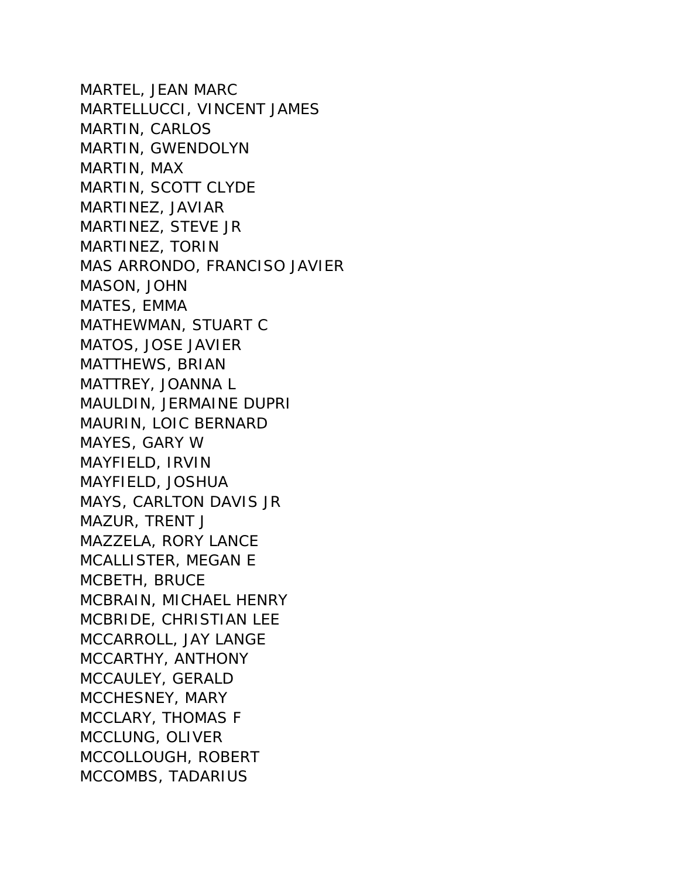MARTEL, JEAN MARC MARTELLUCCI, VINCENT JAMES MARTIN, CARLOS MARTIN, GWENDOLYN MARTIN, MAX MARTIN, SCOTT CLYDE MARTINEZ, JAVIAR MARTINEZ, STEVE JR MARTINEZ, TORIN MAS ARRONDO, FRANCISO JAVIER MASON, JOHN MATES, EMMA MATHEWMAN, STUART C MATOS, JOSE JAVIER MATTHEWS, BRIAN MATTREY, JOANNA L MAULDIN, JERMAINE DUPRI MAURIN, LOIC BERNARD MAYES, GARY W MAYFIELD, IRVIN MAYFIELD, JOSHUA MAYS, CARLTON DAVIS JR MAZUR, TRENT J MAZZELA, RORY LANCE MCALLISTER, MEGAN E MCBETH, BRUCE MCBRAIN, MICHAEL HENRY MCBRIDE, CHRISTIAN LEE MCCARROLL, JAY LANGE MCCARTHY, ANTHONY MCCAULEY, GERALD MCCHESNEY, MARY MCCLARY, THOMAS F MCCLUNG, OLIVER MCCOLLOUGH, ROBERT MCCOMBS, TADARIUS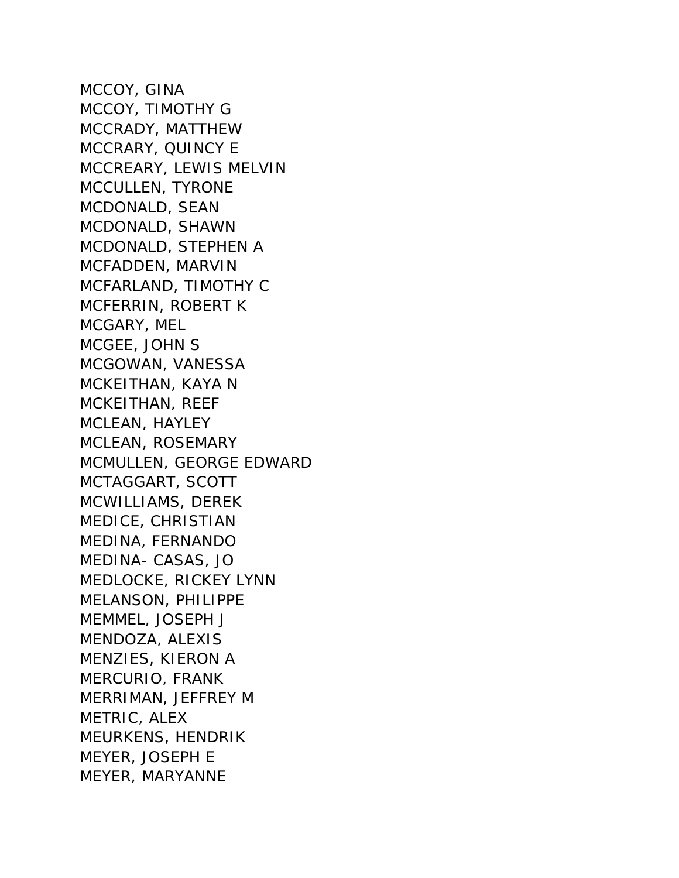MCCOY, GINA MCCOY, TIMOTHY G MCCRADY, MATTHEW MCCRARY, QUINCY E MCCREARY, LEWIS MELVIN MCCULLEN, TYRONE MCDONALD, SEAN MCDONALD, SHAWN MCDONALD, STEPHEN A MCFADDEN, MARVIN MCFARLAND, TIMOTHY C MCFERRIN, ROBERT K MCGARY, MEL MCGEE, JOHN S MCGOWAN, VANESSA MCKEITHAN, KAYA N MCKEITHAN, REEF MCLEAN, HAYLEY MCLEAN, ROSEMARY MCMULLEN, GEORGE EDWARD MCTAGGART, SCOTT MCWILLIAMS, DEREK MEDICE, CHRISTIAN MEDINA, FERNANDO MEDINA- CASAS, JO MEDLOCKE, RICKEY LYNN MELANSON, PHILIPPE MEMMEL, JOSEPH J MENDOZA, ALEXIS MENZIES, KIERON A MERCURIO, FRANK MERRIMAN, JEFFREY M METRIC, ALEX MEURKENS, HENDRIK MEYER, JOSEPH E MEYER, MARYANNE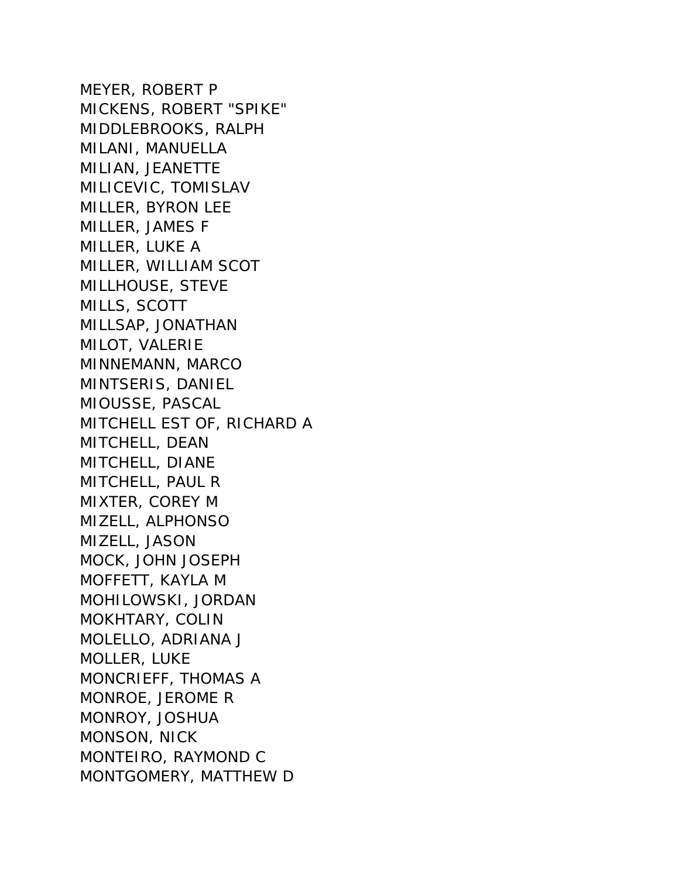MEYER, ROBERT P MICKENS, ROBERT "SPIKE" MIDDLEBROOKS, RALPH MILANI, MANUELLA MILIAN, JEANETTE MILICEVIC, TOMISLAV MILLER, BYRON LEE MILLER, JAMES F MILLER, LUKE A MILLER, WILLIAM SCOT MILLHOUSE, STEVE MILLS, SCOTT MILLSAP, JONATHAN MILOT, VALERIE MINNEMANN, MARCO MINTSERIS, DANIEL MIOUSSE, PASCAL MITCHELL EST OF, RICHARD A MITCHELL, DEAN MITCHELL, DIANE MITCHELL, PAUL R MIXTER, COREY M MIZELL, ALPHONSO MIZELL, JASON MOCK, JOHN JOSEPH MOFFETT, KAYLA M MOHILOWSKI, JORDAN MOKHTARY, COLIN MOLELLO, ADRIANA J MOLLER, LUKE MONCRIEFF, THOMAS A MONROE, JEROME R MONROY, JOSHUA MONSON, NICK MONTEIRO, RAYMOND C MONTGOMERY, MATTHEW D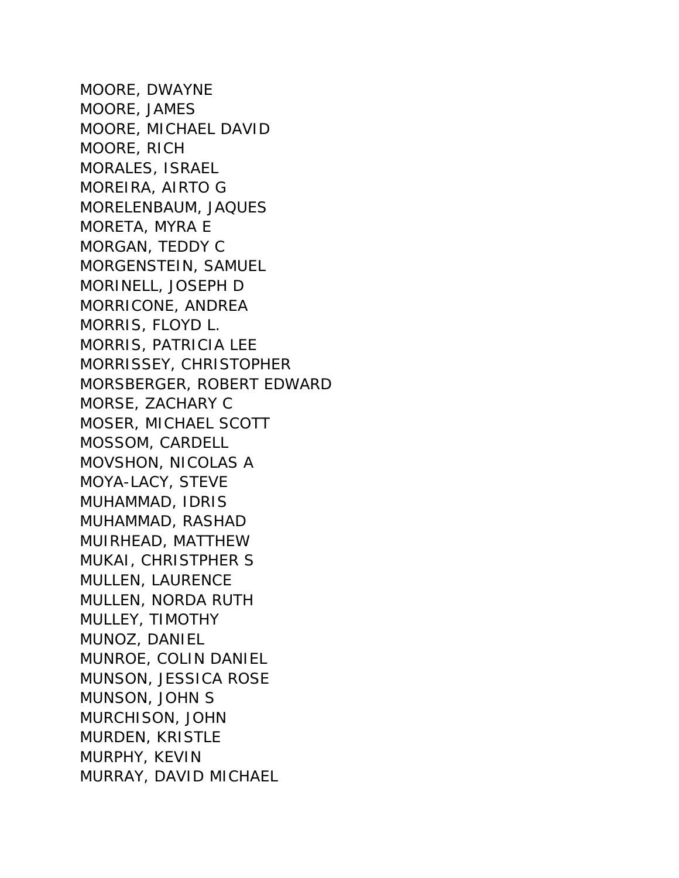MOORE, DWAYNE MOORE, JAMES MOORE, MICHAEL DAVID MOORE, RICH MORALES, ISRAEL MOREIRA, AIRTO G MORELENBAUM, JAQUES MORETA, MYRA E MORGAN, TEDDY C MORGENSTEIN, SAMUEL MORINELL, JOSEPH D MORRICONE, ANDREA MORRIS, FLOYD L. MORRIS, PATRICIA LEE MORRISSEY, CHRISTOPHER MORSBERGER, ROBERT EDWARD MORSE, ZACHARY C MOSER, MICHAEL SCOTT MOSSOM, CARDELL MOVSHON, NICOLAS A MOYA-LACY, STEVE MUHAMMAD, IDRIS MUHAMMAD, RASHAD MUIRHEAD, MATTHEW MUKAI, CHRISTPHER S MULLEN, LAURENCE MULLEN, NORDA RUTH MULLEY, TIMOTHY MUNOZ, DANIEL MUNROE, COLIN DANIEL MUNSON, JESSICA ROSE MUNSON, JOHN S MURCHISON, JOHN MURDEN, KRISTLE MURPHY, KEVIN MURRAY, DAVID MICHAEL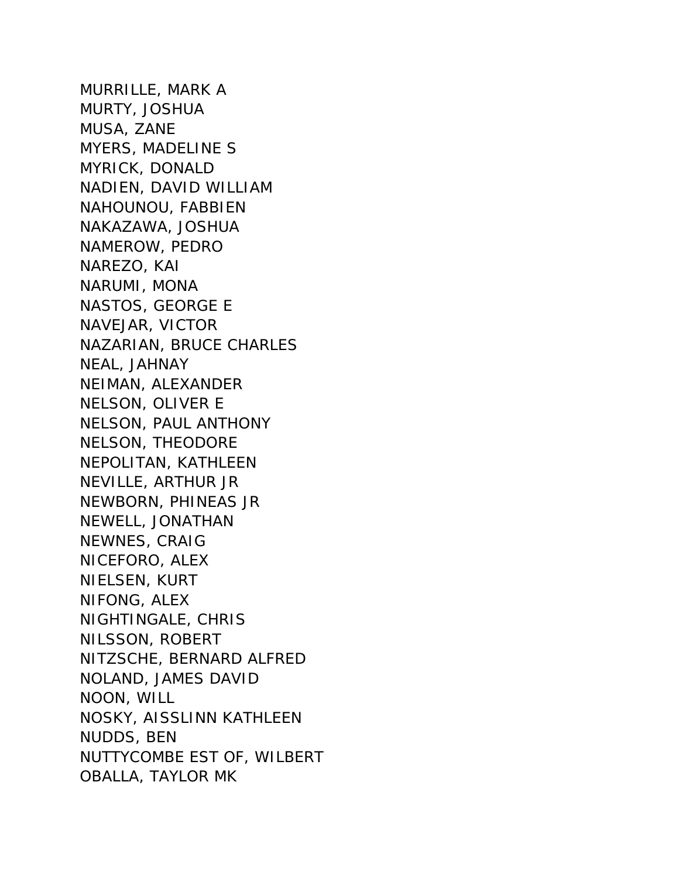MURRILLE, MARK A MURTY, JOSHUA MUSA, ZANE MYERS, MADELINE S MYRICK, DONALD NADIEN, DAVID WILLIAM NAHOUNOU, FABBIEN NAKAZAWA, JOSHUA NAMEROW, PEDRO NAREZO, KAI NARUMI, MONA NASTOS, GEORGE E NAVEJAR, VICTOR NAZARIAN, BRUCE CHARLES NEAL, JAHNAY NEIMAN, ALEXANDER NELSON, OLIVER E NELSON, PAUL ANTHONY NELSON, THEODORE NEPOLITAN, KATHLEEN NEVILLE, ARTHUR JR NEWBORN, PHINEAS JR NEWELL, JONATHAN NEWNES, CRAIG NICEFORO, ALEX NIELSEN, KURT NIFONG, ALEX NIGHTINGALE, CHRIS NILSSON, ROBERT NITZSCHE, BERNARD ALFRED NOLAND, JAMES DAVID NOON, WILL NOSKY, AISSLINN KATHLEEN NUDDS, BEN NUTTYCOMBE EST OF, WILBERT OBALLA, TAYLOR MK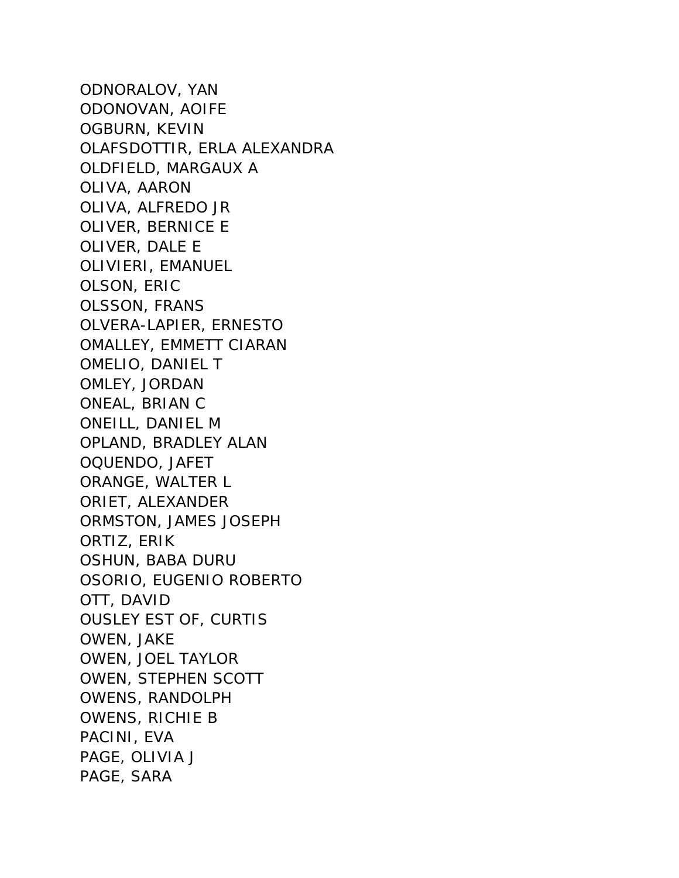ODNORALOV, YAN ODONOVAN, AOIFE OGBURN, KEVIN OLAFSDOTTIR, ERLA ALEXANDRA OLDFIELD, MARGAUX A OLIVA, AARON OLIVA, ALFREDO JR OLIVER, BERNICE E OLIVER, DALE E OLIVIERI, EMANUEL OLSON, ERIC OLSSON, FRANS OLVERA-LAPIER, ERNESTO OMALLEY, EMMETT CIARAN OMELIO, DANIEL T OMLEY, JORDAN ONEAL, BRIAN C ONEILL, DANIEL M OPLAND, BRADLEY ALAN OQUENDO, JAFET ORANGE, WALTER L ORIET, ALEXANDER ORMSTON, JAMES JOSEPH ORTIZ, ERIK OSHUN, BABA DURU OSORIO, EUGENIO ROBERTO OTT, DAVID OUSLEY EST OF, CURTIS OWEN, JAKE OWEN, JOEL TAYLOR OWEN, STEPHEN SCOTT OWENS, RANDOLPH OWENS, RICHIE B PACINI, EVA PAGE, OLIVIA J PAGE, SARA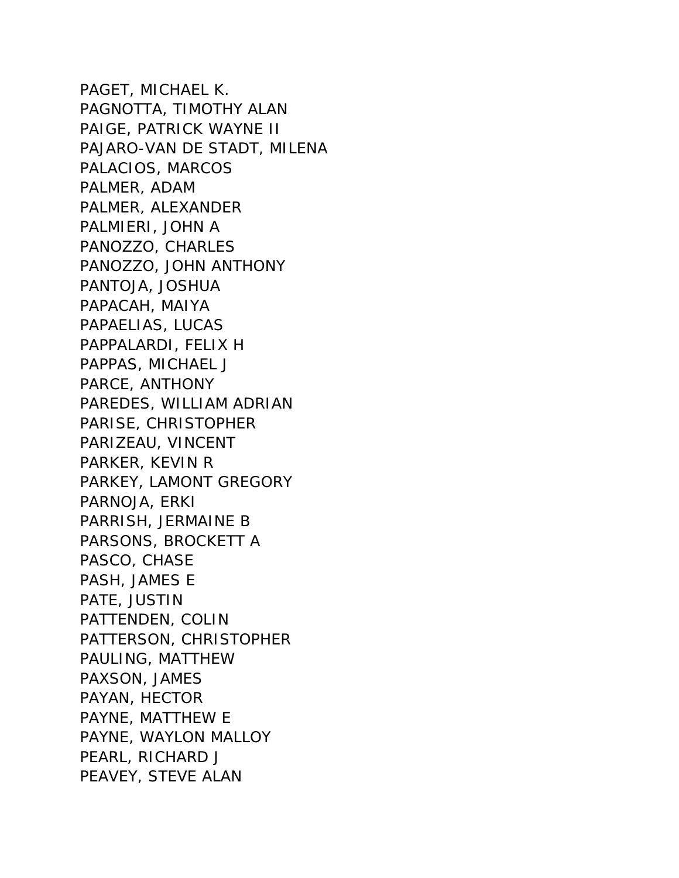PAGET, MICHAEL K. PAGNOTTA, TIMOTHY ALAN PAIGE, PATRICK WAYNE II PAJARO-VAN DE STADT, MILENA PALACIOS, MARCOS PALMER, ADAM PALMER, ALEXANDER PALMIERI, JOHN A PANOZZO, CHARLES PANOZZO, JOHN ANTHONY PANTOJA, JOSHUA PAPACAH, MAIYA PAPAELIAS, LUCAS PAPPALARDI, FELIX H PAPPAS, MICHAEL J PARCE, ANTHONY PAREDES, WILLIAM ADRIAN PARISE, CHRISTOPHER PARIZEAU, VINCENT PARKER, KEVIN R PARKEY, LAMONT GREGORY PARNOJA, ERKI PARRISH, JERMAINE B PARSONS, BROCKETT A PASCO, CHASE PASH, JAMES E PATE, JUSTIN PATTENDEN, COLIN PATTERSON, CHRISTOPHER PAULING, MATTHEW PAXSON, JAMES PAYAN, HECTOR PAYNE, MATTHEW E PAYNE, WAYLON MALLOY PEARL, RICHARD J PEAVEY, STEVE ALAN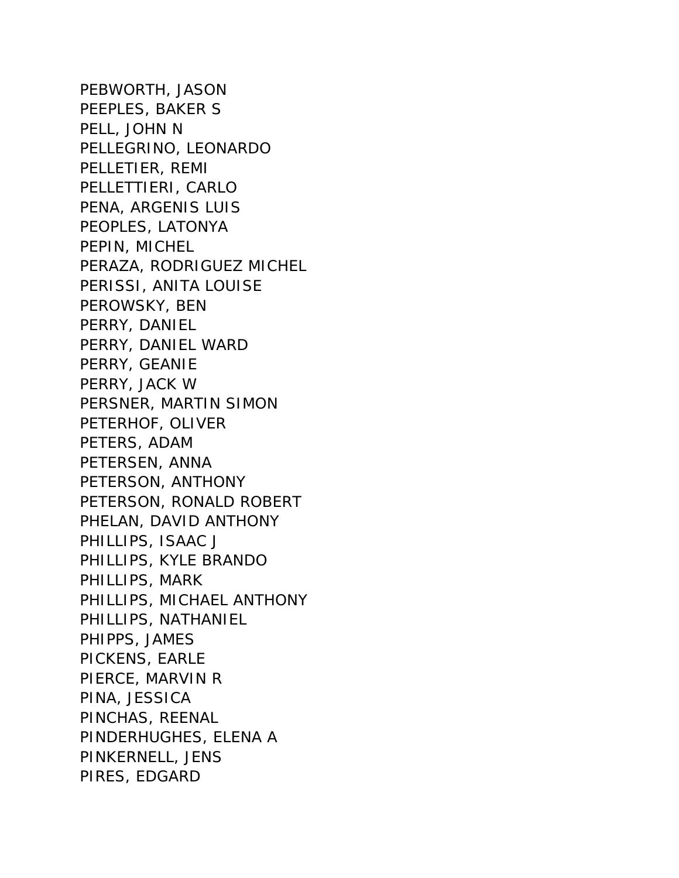PEBWORTH, JASON PEEPLES, BAKER S PELL, JOHN N PELLEGRINO, LEONARDO PELLETIER, REMI PELLETTIERI, CARLO PENA, ARGENIS LUIS PEOPLES, LATONYA PEPIN, MICHEL PERAZA, RODRIGUEZ MICHEL PERISSI, ANITA LOUISE PEROWSKY, BEN PERRY, DANIEL PERRY, DANIEL WARD PERRY, GEANIE PERRY, JACK W PERSNER, MARTIN SIMON PETERHOF, OLIVER PETERS, ADAM PETERSEN, ANNA PETERSON, ANTHONY PETERSON, RONALD ROBERT PHELAN, DAVID ANTHONY PHILLIPS, ISAAC J PHILLIPS, KYLE BRANDO PHILLIPS, MARK PHILLIPS, MICHAEL ANTHONY PHILLIPS, NATHANIEL PHIPPS, JAMES PICKENS, EARLE PIERCE, MARVIN R PINA, JESSICA PINCHAS, REENAL PINDERHUGHES, ELENA A PINKERNELL, JENS PIRES, EDGARD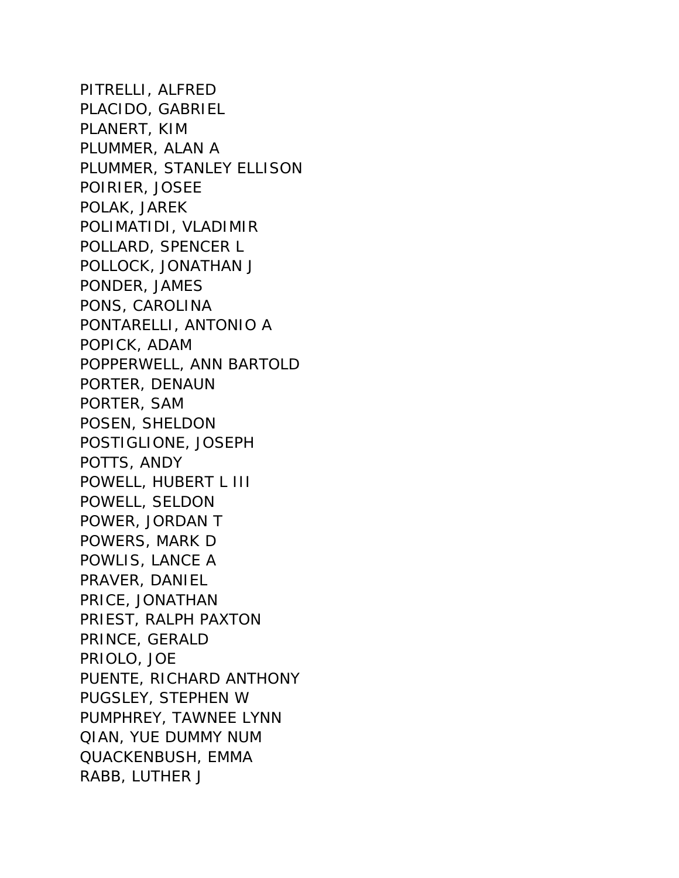PITRELLI, ALFRED PLACIDO, GABRIEL PLANERT, KIM PLUMMER, ALAN A PLUMMER, STANLEY ELLISON POIRIER, JOSEE POLAK, JAREK POLIMATIDI, VLADIMIR POLLARD, SPENCER L POLLOCK, JONATHAN J PONDER, JAMES PONS, CAROLINA PONTARELLI, ANTONIO A POPICK, ADAM POPPERWELL, ANN BARTOLD PORTER, DENAUN PORTER, SAM POSEN, SHELDON POSTIGLIONE, JOSEPH POTTS, ANDY POWELL, HUBERT L III POWELL, SELDON POWER, JORDAN T POWERS, MARK D POWLIS, LANCE A PRAVER, DANIEL PRICE, JONATHAN PRIEST, RALPH PAXTON PRINCE, GERALD PRIOLO, JOE PUENTE, RICHARD ANTHONY PUGSLEY, STEPHEN W PUMPHREY, TAWNEE LYNN QIAN, YUE DUMMY NUM QUACKENBUSH, EMMA RABB, LUTHER J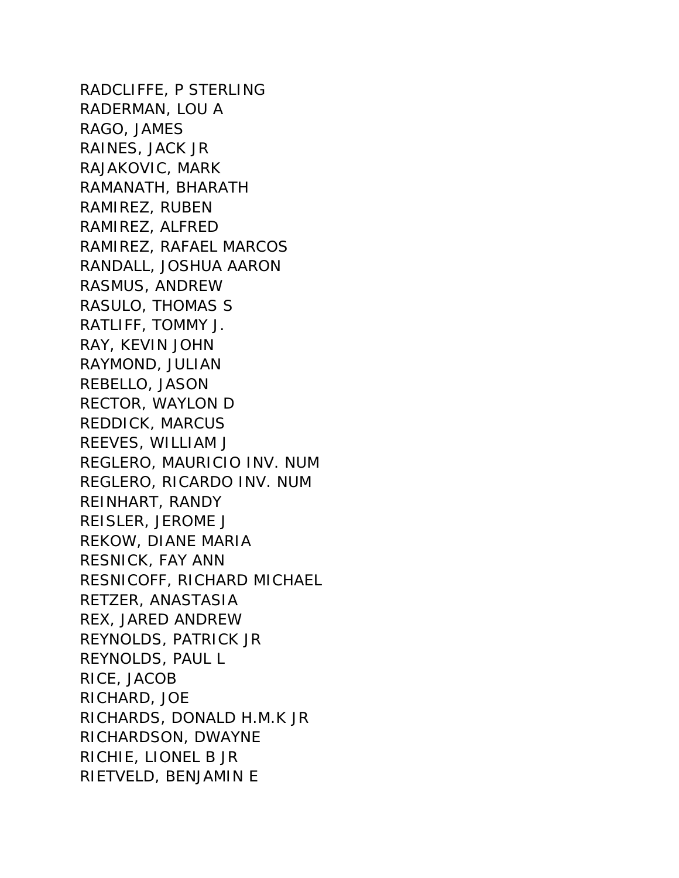RADCLIFFE, P STERLING RADERMAN, LOU A RAGO, JAMES RAINES, JACK JR RAJAKOVIC, MARK RAMANATH, BHARATH RAMIREZ, RUBEN RAMIREZ, ALFRED RAMIREZ, RAFAEL MARCOS RANDALL, JOSHUA AARON RASMUS, ANDREW RASULO, THOMAS S RATLIFF, TOMMY J. RAY, KEVIN JOHN RAYMOND, JULIAN REBELLO, JASON RECTOR, WAYLON D REDDICK, MARCUS REEVES, WILLIAM J REGLERO, MAURICIO INV. NUM REGLERO, RICARDO INV. NUM REINHART, RANDY REISLER, JEROME J REKOW, DIANE MARIA RESNICK, FAY ANN RESNICOFF, RICHARD MICHAEL RETZER, ANASTASIA REX, JARED ANDREW REYNOLDS, PATRICK JR REYNOLDS, PAUL L RICE, JACOB RICHARD, JOE RICHARDS, DONALD H.M.K JR RICHARDSON, DWAYNE RICHIE, LIONEL B JR RIETVELD, BENJAMIN E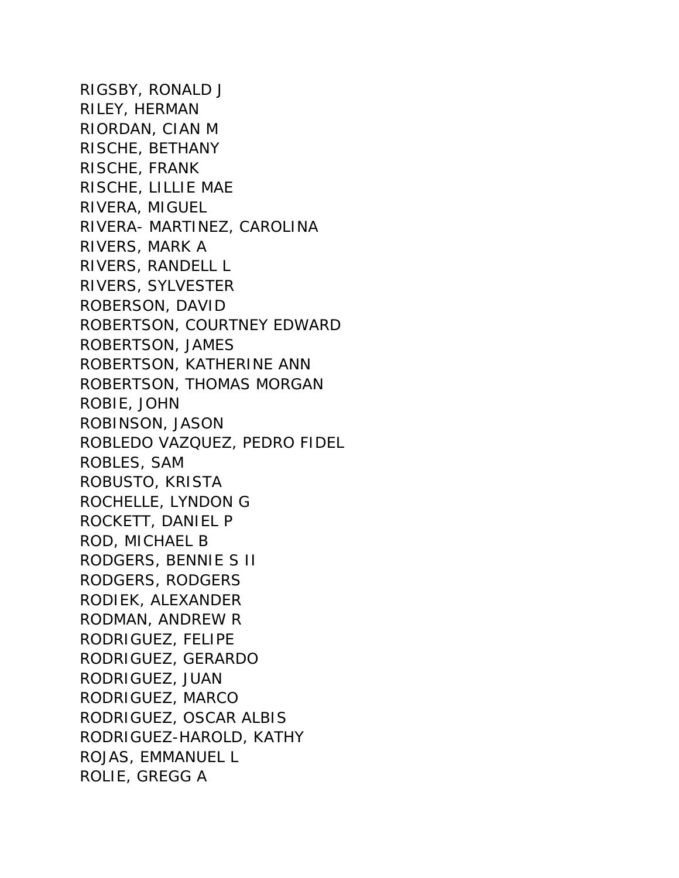RIGSBY, RONALD J RILEY, HERMAN RIORDAN, CIAN M RISCHE, BETHANY RISCHE, FRANK RISCHE, LILLIE MAE RIVERA, MIGUEL RIVERA- MARTINEZ, CAROLINA RIVERS, MARK A RIVERS, RANDELL L RIVERS, SYLVESTER ROBERSON, DAVID ROBERTSON, COURTNEY EDWARD ROBERTSON, JAMES ROBERTSON, KATHERINE ANN ROBERTSON, THOMAS MORGAN ROBIE, JOHN ROBINSON, JASON ROBLEDO VAZQUEZ, PEDRO FIDEL ROBLES, SAM ROBUSTO, KRISTA ROCHELLE, LYNDON G ROCKETT, DANIEL P ROD, MICHAEL B RODGERS, BENNIE S II RODGERS, RODGERS RODIEK, ALEXANDER RODMAN, ANDREW R RODRIGUEZ, FELIPE RODRIGUEZ, GERARDO RODRIGUEZ, JUAN RODRIGUEZ, MARCO RODRIGUEZ, OSCAR ALBIS RODRIGUEZ-HAROLD, KATHY ROJAS, EMMANUEL L ROLIE, GREGG A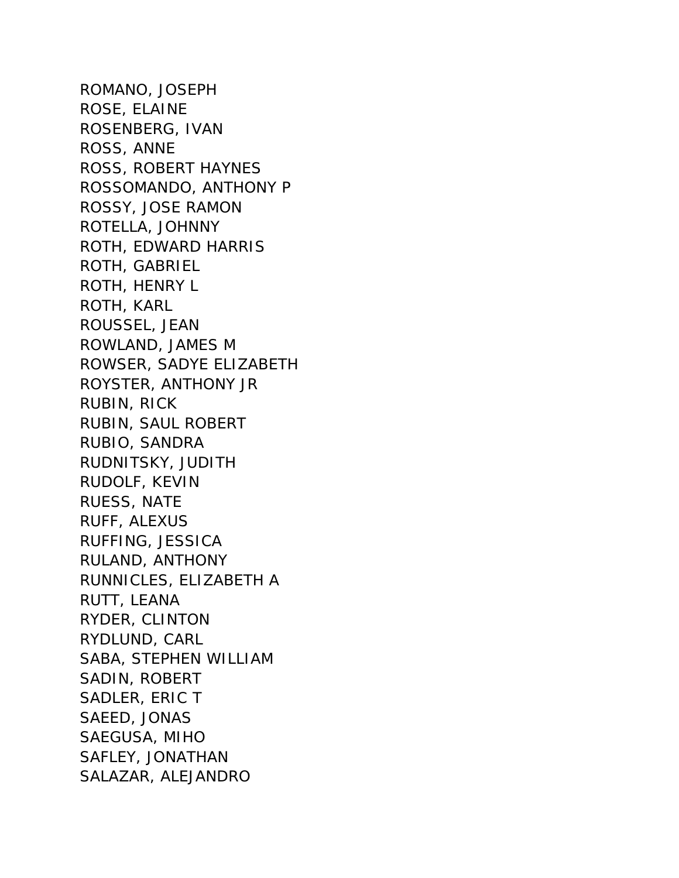ROMANO, JOSEPH ROSE, ELAINE ROSENBERG, IVAN ROSS, ANNE ROSS, ROBERT HAYNES ROSSOMANDO, ANTHONY P ROSSY, JOSE RAMON ROTELLA, JOHNNY ROTH, EDWARD HARRIS ROTH, GABRIEL ROTH, HENRY L ROTH, KARL ROUSSEL, JEAN ROWLAND, JAMES M ROWSER, SADYE ELIZABETH ROYSTER, ANTHONY JR RUBIN, RICK RUBIN, SAUL ROBERT RUBIO, SANDRA RUDNITSKY, JUDITH RUDOLF, KEVIN RUESS, NATE RUFF, ALEXUS RUFFING, JESSICA RULAND, ANTHONY RUNNICLES, ELIZABETH A RUTT, LEANA RYDER, CLINTON RYDLUND, CARL SABA, STEPHEN WILLIAM SADIN, ROBERT SADLER, ERIC T SAEED, JONAS SAEGUSA, MIHO SAFLEY, JONATHAN SALAZAR, ALEJANDRO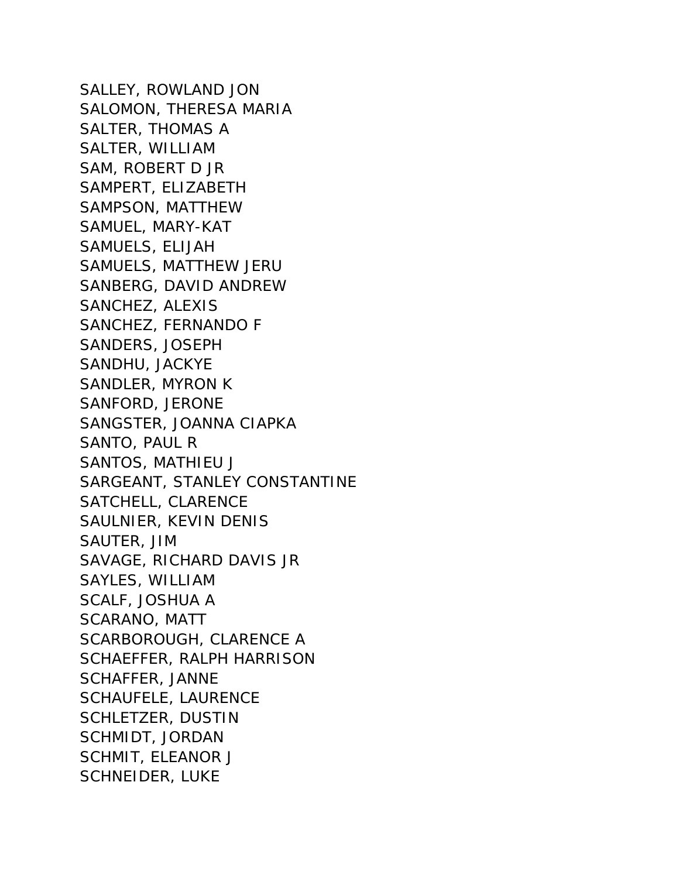SALLEY, ROWLAND JON SALOMON, THERESA MARIA SALTER, THOMAS A SALTER, WILLIAM SAM, ROBERT D JR SAMPERT, ELIZABETH SAMPSON, MATTHEW SAMUEL, MARY-KAT SAMUELS, ELIJAH SAMUELS, MATTHEW JERU SANBERG, DAVID ANDREW SANCHEZ, ALEXIS SANCHEZ, FERNANDO F SANDERS, JOSEPH SANDHU, JACKYE SANDLER, MYRON K SANFORD, JERONE SANGSTER, JOANNA CIAPKA SANTO, PAUL R SANTOS, MATHIEU J SARGEANT, STANLEY CONSTANTINE SATCHELL, CLARENCE SAULNIER, KEVIN DENIS SAUTER, JIM SAVAGE, RICHARD DAVIS JR SAYLES, WILLIAM SCALF, JOSHUA A SCARANO, MATT SCARBOROUGH, CLARENCE A SCHAEFFER, RALPH HARRISON SCHAFFER, JANNE SCHAUFELE, LAURENCE SCHLETZER, DUSTIN SCHMIDT, JORDAN SCHMIT, ELEANOR J SCHNEIDER, LUKE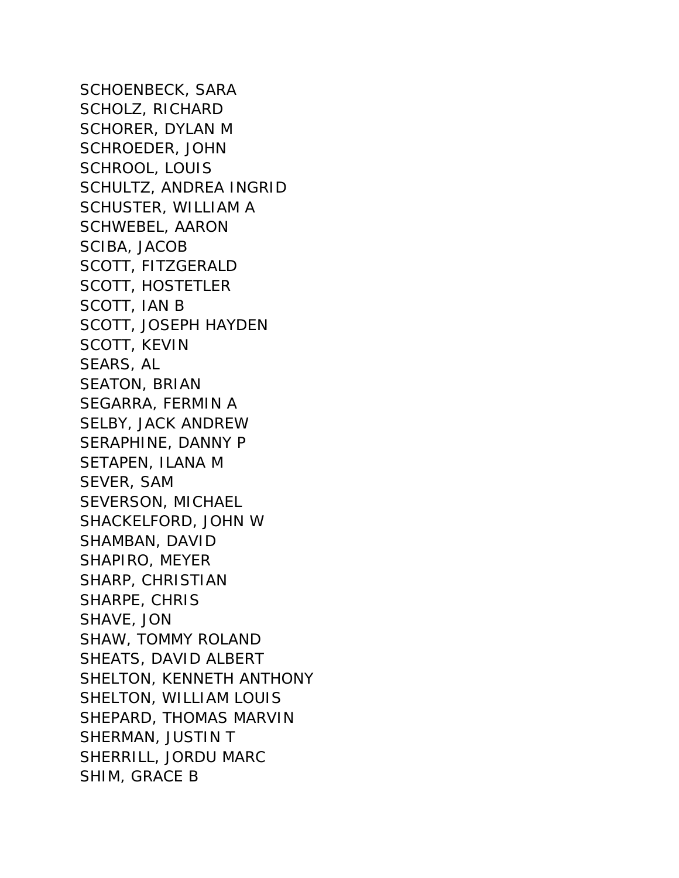SCHOENBECK, SARA SCHOLZ, RICHARD SCHORER, DYLAN M SCHROEDER, JOHN SCHROOL, LOUIS SCHULTZ, ANDREA INGRID SCHUSTER, WILLIAM A SCHWEBEL, AARON SCIBA, JACOB SCOTT, FITZGERALD SCOTT, HOSTETLER SCOTT, IAN B SCOTT, JOSEPH HAYDEN SCOTT, KEVIN SEARS, AL SEATON, BRIAN SEGARRA, FERMIN A SELBY, JACK ANDREW SERAPHINE, DANNY P SETAPEN, ILANA M SEVER, SAM SEVERSON, MICHAEL SHACKELFORD, JOHN W SHAMBAN, DAVID SHAPIRO, MEYER SHARP, CHRISTIAN SHARPE, CHRIS SHAVE, JON SHAW, TOMMY ROLAND SHEATS, DAVID ALBERT SHELTON, KENNETH ANTHONY SHELTON, WILLIAM LOUIS SHEPARD, THOMAS MARVIN SHERMAN, JUSTIN T SHERRILL, JORDU MARC SHIM, GRACE B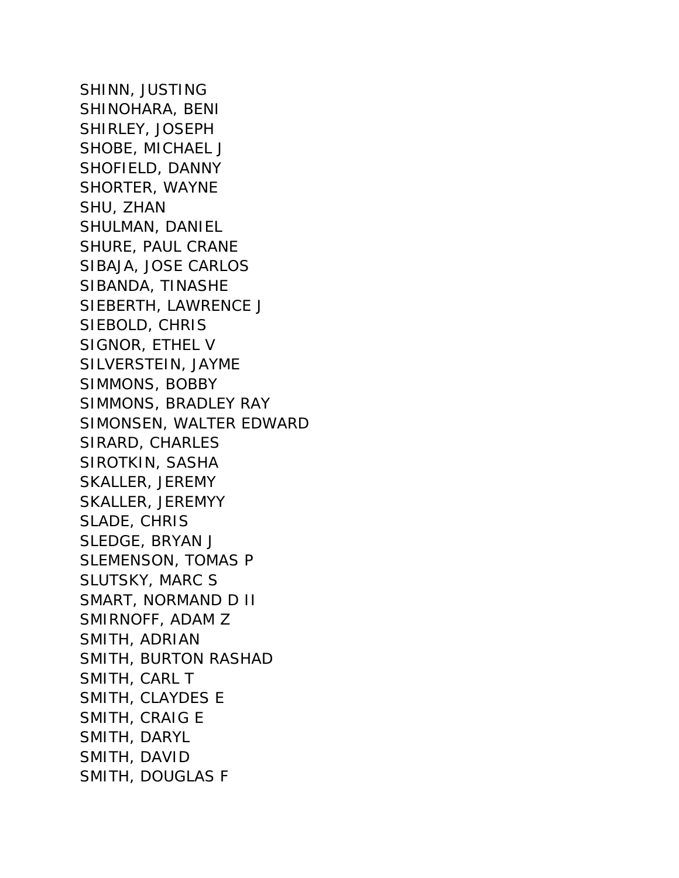SHINN, JUSTING SHINOHARA, BENI SHIRLEY, JOSEPH SHOBE, MICHAEL J SHOFIELD, DANNY SHORTER, WAYNE SHU, ZHAN SHULMAN, DANIEL SHURE, PAUL CRANE SIBAJA, JOSE CARLOS SIBANDA, TINASHE SIEBERTH, LAWRENCE J SIEBOLD, CHRIS SIGNOR, ETHEL V SILVERSTEIN, JAYME SIMMONS, BOBBY SIMMONS, BRADLEY RAY SIMONSEN, WALTER EDWARD SIRARD, CHARLES SIROTKIN, SASHA SKALLER, JEREMY SKALLER, JEREMYY SLADE, CHRIS SLEDGE, BRYAN J SLEMENSON, TOMAS P SLUTSKY, MARC S SMART, NORMAND D II SMIRNOFF, ADAM Z SMITH, ADRIAN SMITH, BURTON RASHAD SMITH, CARL T SMITH, CLAYDES E SMITH, CRAIG E SMITH, DARYL SMITH, DAVID SMITH, DOUGLAS F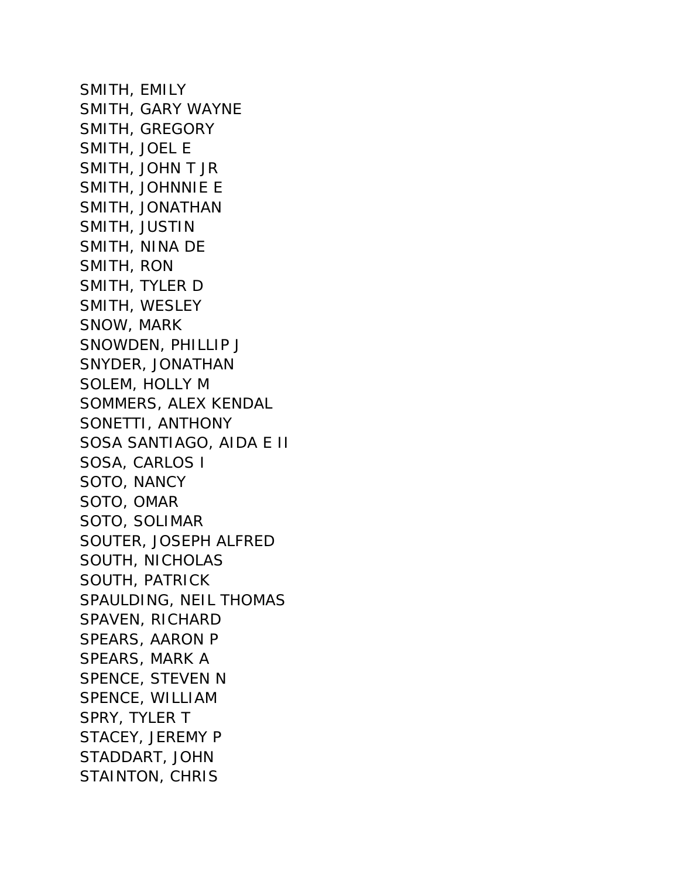SMITH, EMILY SMITH, GARY WAYNE SMITH, GREGORY SMITH, JOEL E SMITH, JOHN T JR SMITH, JOHNNIE E SMITH, JONATHAN SMITH, JUSTIN SMITH, NINA DE SMITH, RON SMITH, TYLER D SMITH, WESLEY SNOW, MARK SNOWDEN, PHILLIP J SNYDER, JONATHAN SOLEM, HOLLY M SOMMERS, ALEX KENDAL SONETTI, ANTHONY SOSA SANTIAGO, AIDA E II SOSA, CARLOS I SOTO, NANCY SOTO, OMAR SOTO, SOLIMAR SOUTER, JOSEPH ALFRED SOUTH, NICHOLAS SOUTH, PATRICK SPAULDING, NEIL THOMAS SPAVEN, RICHARD SPEARS, AARON P SPEARS, MARK A SPENCE, STEVEN N SPENCE, WILLIAM SPRY, TYLER T STACEY, JEREMY P STADDART, JOHN STAINTON, CHRIS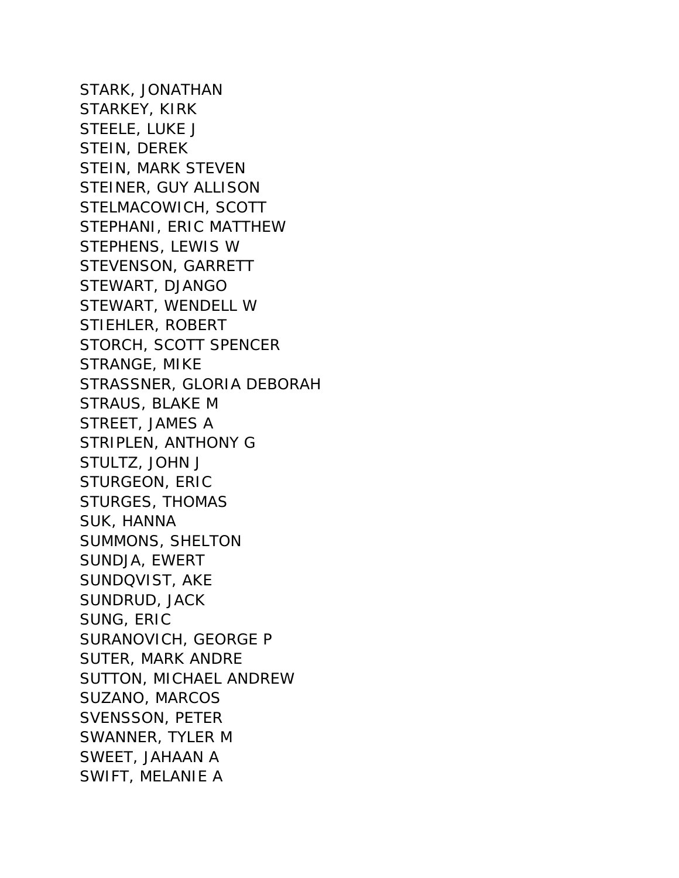STARK, JONATHAN STARKEY, KIRK STEELE, LUKE J STEIN, DEREK STEIN, MARK STEVEN STEINER, GUY ALLISON STELMACOWICH, SCOTT STEPHANI, ERIC MATTHEW STEPHENS, LEWIS W STEVENSON, GARRETT STEWART, DJANGO STEWART, WENDELL W STIEHLER, ROBERT STORCH, SCOTT SPENCER STRANGE, MIKE STRASSNER, GLORIA DEBORAH STRAUS, BLAKE M STREET, JAMES A STRIPLEN, ANTHONY G STULTZ, JOHN J STURGEON, ERIC STURGES, THOMAS SUK, HANNA SUMMONS, SHELTON SUNDJA, EWERT SUNDQVIST, AKE SUNDRUD, JACK SUNG, ERIC SURANOVICH, GEORGE P SUTER, MARK ANDRE SUTTON, MICHAEL ANDREW SUZANO, MARCOS SVENSSON, PETER SWANNER, TYLER M SWEET, JAHAAN A SWIFT, MELANIE A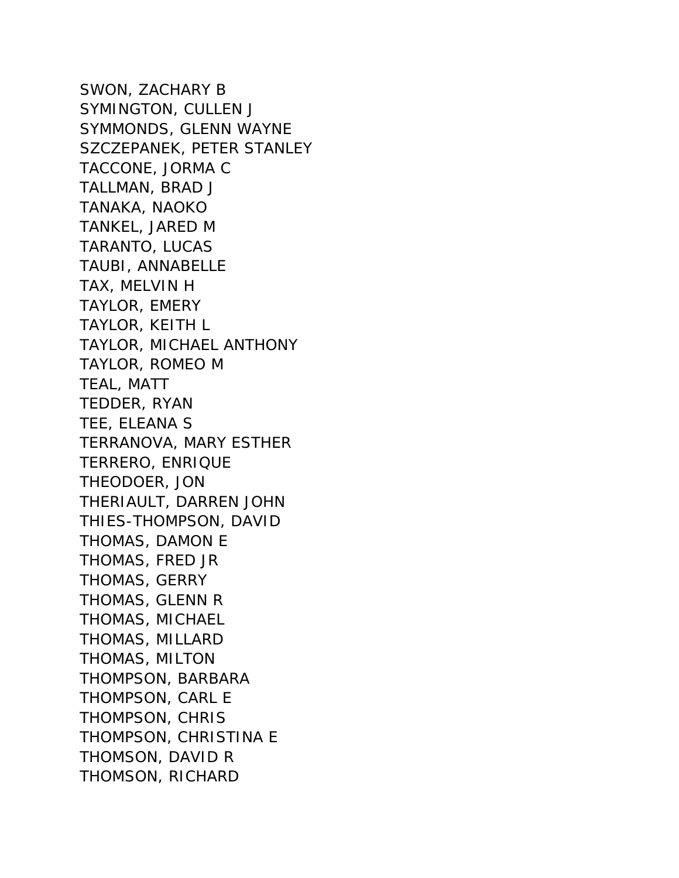SWON, ZACHARY B SYMINGTON, CULLEN J SYMMONDS, GLENN WAYNE SZCZEPANEK, PETER STANLEY TACCONE, JORMA C TALLMAN, BRAD J TANAKA, NAOKO TANKEL, JARED M TARANTO, LUCAS TAUBI, ANNABELLE TAX, MELVIN H TAYLOR, EMERY TAYLOR, KEITH L TAYLOR, MICHAEL ANTHONY TAYLOR, ROMEO M TEAL, MATT TEDDER, RYAN TEE, ELEANA S TERRANOVA, MARY ESTHER TERRERO, ENRIQUE THEODOER, JON THERIAULT, DARREN JOHN THIES-THOMPSON, DAVID THOMAS, DAMON E THOMAS, FRED JR THOMAS, GERRY THOMAS, GLENN R THOMAS, MICHAEL THOMAS, MILLARD THOMAS, MILTON THOMPSON, BARBARA THOMPSON, CARL E THOMPSON, CHRIS THOMPSON, CHRISTINA E THOMSON, DAVID R THOMSON, RICHARD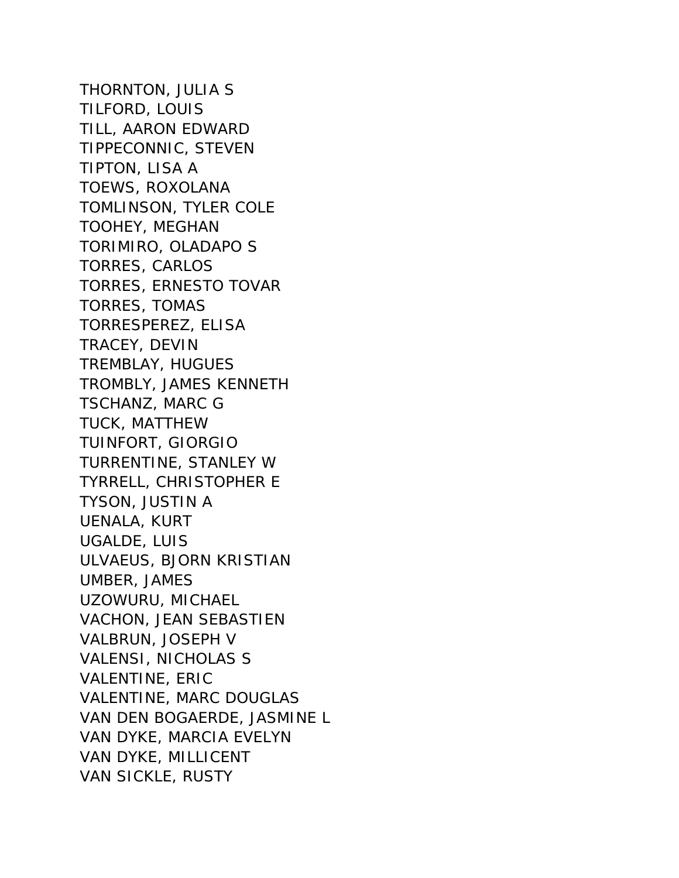THORNTON, JULIA S TILFORD, LOUIS TILL, AARON EDWARD TIPPECONNIC, STEVEN TIPTON, LISA A TOEWS, ROXOLANA TOMLINSON, TYLER COLE TOOHEY, MEGHAN TORIMIRO, OLADAPO S TORRES, CARLOS TORRES, ERNESTO TOVAR TORRES, TOMAS TORRESPEREZ, ELISA TRACEY, DEVIN TREMBLAY, HUGUES TROMBLY, JAMES KENNETH TSCHANZ, MARC G TUCK, MATTHEW TUINFORT, GIORGIO TURRENTINE, STANLEY W TYRRELL, CHRISTOPHER E TYSON, JUSTIN A UENALA, KURT UGALDE, LUIS ULVAEUS, BJORN KRISTIAN UMBER, JAMES UZOWURU, MICHAEL VACHON, JEAN SEBASTIEN VALBRUN, JOSEPH V VALENSI, NICHOLAS S VALENTINE, ERIC VALENTINE, MARC DOUGLAS VAN DEN BOGAERDE, JASMINE L VAN DYKE, MARCIA EVELYN VAN DYKE, MILLICENT VAN SICKLE, RUSTY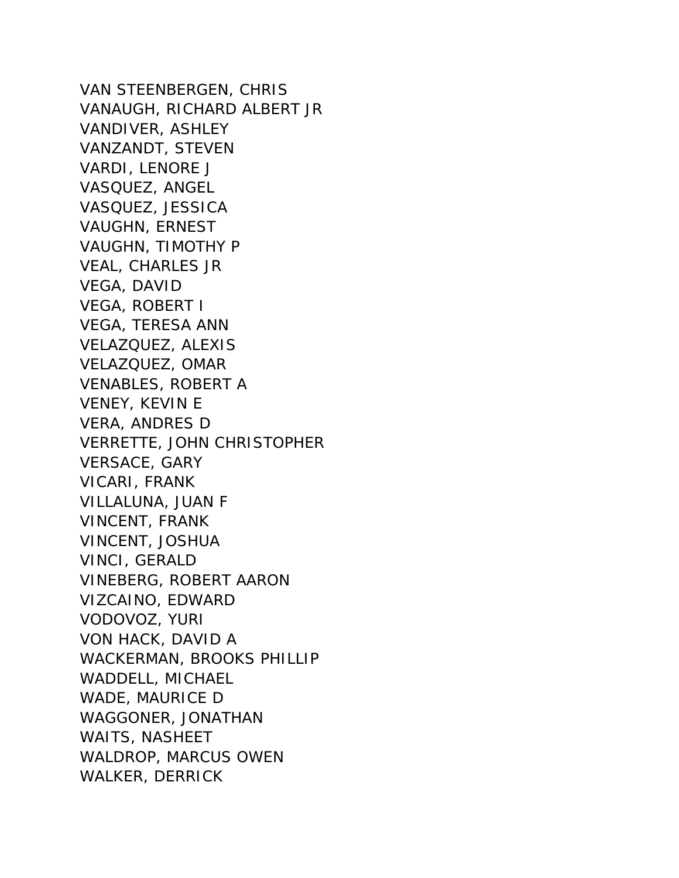VAN STEENBERGEN, CHRIS VANAUGH, RICHARD ALBERT JR VANDIVER, ASHLEY VANZANDT, STEVEN VARDI, LENORE J VASQUEZ, ANGEL VASQUEZ, JESSICA VAUGHN, ERNEST VAUGHN, TIMOTHY P VEAL, CHARLES JR VEGA, DAVID VEGA, ROBERT I VEGA, TERESA ANN VELAZQUEZ, ALEXIS VELAZQUEZ, OMAR VENABLES, ROBERT A VENEY, KEVIN E VERA, ANDRES D VERRETTE, JOHN CHRISTOPHER VERSACE, GARY VICARI, FRANK VILLALUNA, JUAN F VINCENT, FRANK VINCENT, JOSHUA VINCI, GERALD VINEBERG, ROBERT AARON VIZCAINO, EDWARD VODOVOZ, YURI VON HACK, DAVID A WACKERMAN, BROOKS PHILLIP WADDELL, MICHAEL WADE, MAURICE D WAGGONER, JONATHAN WAITS, NASHEET WALDROP, MARCUS OWEN WALKER, DERRICK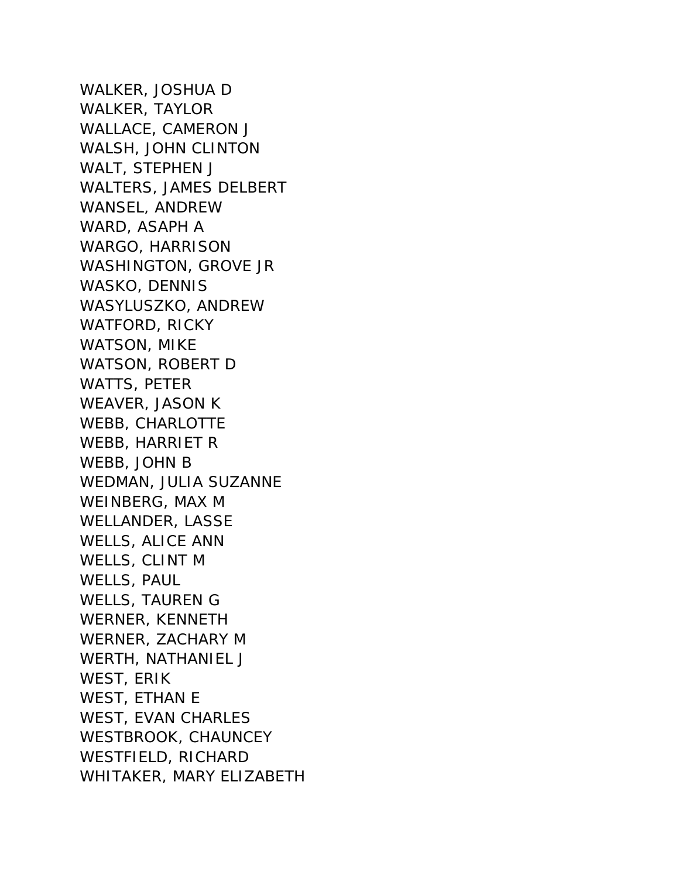WALKER, JOSHUA D WALKER, TAYLOR WALLACE, CAMERON J WALSH, JOHN CLINTON WALT, STEPHEN J WALTERS, JAMES DELBERT WANSEL, ANDREW WARD, ASAPH A WARGO, HARRISON WASHINGTON, GROVE JR WASKO, DENNIS WASYLUSZKO, ANDREW WATFORD, RICKY WATSON, MIKE WATSON, ROBERT D WATTS, PETER WEAVER, JASON K WEBB, CHARLOTTE WEBB, HARRIET R WEBB, JOHN B WEDMAN, JULIA SUZANNE WEINBERG, MAX M WELLANDER, LASSE WELLS, ALICE ANN WELLS, CLINT M WELLS, PAUL WELLS, TAUREN G WERNER, KENNETH WERNER, ZACHARY M WERTH, NATHANIEL J WEST, ERIK WEST, ETHAN E WEST, EVAN CHARLES WESTBROOK, CHAUNCEY WESTFIELD, RICHARD WHITAKER, MARY ELIZABETH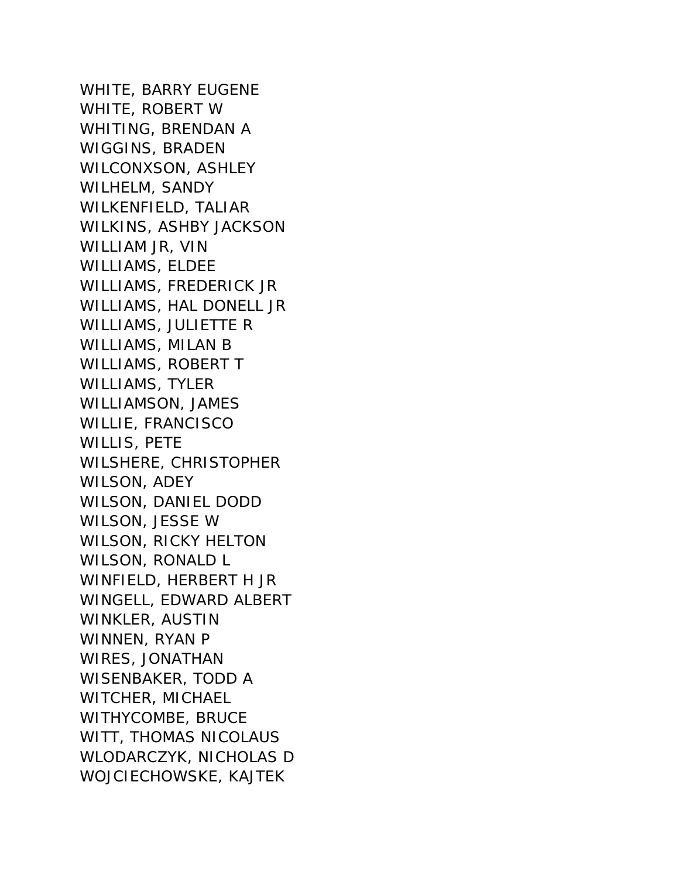WHITE, BARRY EUGENE WHITE, ROBERT W WHITING, BRENDAN A WIGGINS, BRADEN WILCONXSON, ASHLEY WILHELM, SANDY WILKENFIELD, TALIAR WILKINS, ASHBY JACKSON WILLIAM JR, VIN WILLIAMS, ELDEE WILLIAMS, FREDERICK JR WILLIAMS, HAL DONELL JR WILLIAMS, JULIETTE R WILLIAMS, MILAN B WILLIAMS, ROBERT T WILLIAMS, TYLER WILLIAMSON, JAMES WILLIE, FRANCISCO WILLIS, PETE WILSHERE, CHRISTOPHER WILSON, ADEY WILSON, DANIEL DODD WILSON, JESSE W WILSON, RICKY HELTON WILSON, RONALD L WINFIELD, HERBERT H JR WINGELL, EDWARD ALBERT WINKLER, AUSTIN WINNEN, RYAN P WIRES, JONATHAN WISENBAKER, TODD A WITCHER, MICHAEL WITHYCOMBE, BRUCE WITT, THOMAS NICOLAUS WLODARCZYK, NICHOLAS D WOJCIECHOWSKE, KAJTEK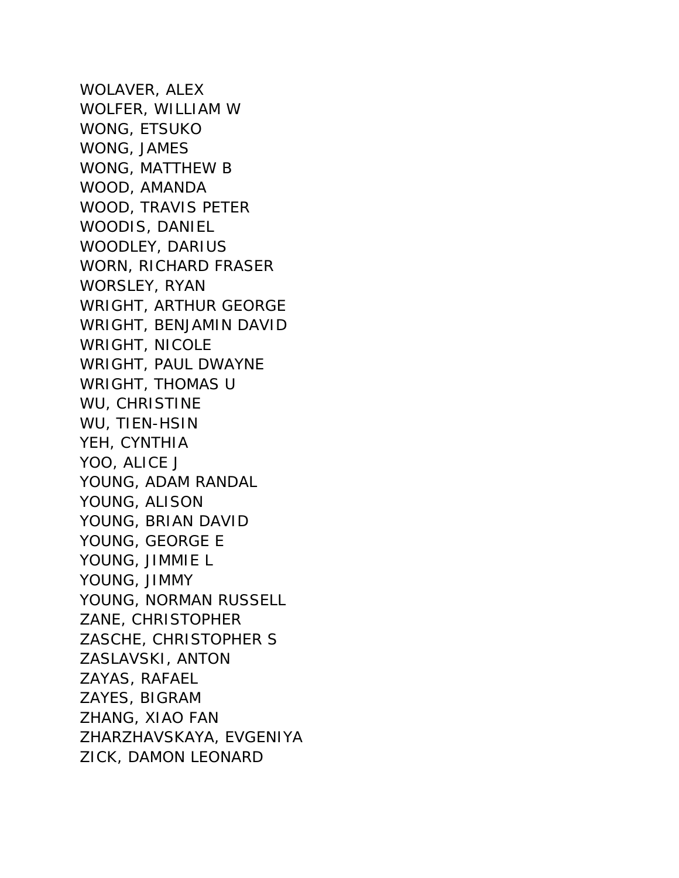WOLAVER, ALEX WOLFER, WILLIAM W WONG, ETSUKO WONG, JAMES WONG, MATTHEW B WOOD, AMANDA WOOD, TRAVIS PETER WOODIS, DANIEL WOODLEY, DARIUS WORN, RICHARD FRASER WORSLEY, RYAN WRIGHT, ARTHUR GEORGE WRIGHT, BENJAMIN DAVID WRIGHT, NICOLE WRIGHT, PAUL DWAYNE WRIGHT, THOMAS U WU, CHRISTINE WU, TIEN-HSIN YEH, CYNTHIA YOO, ALICE J YOUNG, ADAM RANDAL YOUNG, ALISON YOUNG, BRIAN DAVID YOUNG, GEORGE E YOUNG, JIMMIE L YOUNG, JIMMY YOUNG, NORMAN RUSSELL ZANE, CHRISTOPHER ZASCHE, CHRISTOPHER S ZASLAVSKI, ANTON ZAYAS, RAFAEL ZAYES, BIGRAM ZHANG, XIAO FAN ZHARZHAVSKAYA, EVGENIYA ZICK, DAMON LEONARD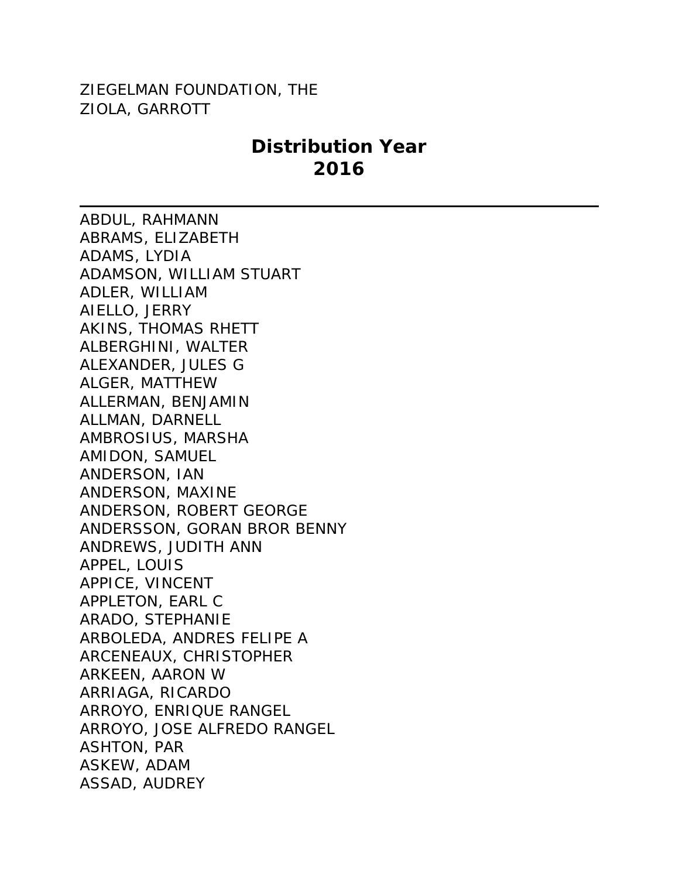## ZIEGELMAN FOUNDATION, THE ZIOLA, GARROTT

## **Distribution Year 2016**

ABDUL, RAHMANN ABRAMS, ELIZABETH ADAMS, LYDIA ADAMSON, WILLIAM STUART ADLER, WILLIAM AIELLO, JERRY AKINS, THOMAS RHETT ALBERGHINI, WALTER ALEXANDER, JULES G ALGER, MATTHEW ALLERMAN, BENJAMIN ALLMAN, DARNELL AMBROSIUS, MARSHA AMIDON, SAMUEL ANDERSON, IAN ANDERSON, MAXINE ANDERSON, ROBERT GEORGE ANDERSSON, GORAN BROR BENNY ANDREWS, JUDITH ANN APPEL, LOUIS APPICE, VINCENT APPLETON, EARL C ARADO, STEPHANIE ARBOLEDA, ANDRES FELIPE A ARCENEAUX, CHRISTOPHER ARKEEN, AARON W ARRIAGA, RICARDO ARROYO, ENRIQUE RANGEL ARROYO, JOSE ALFREDO RANGEL ASHTON, PAR ASKEW, ADAM ASSAD, AUDREY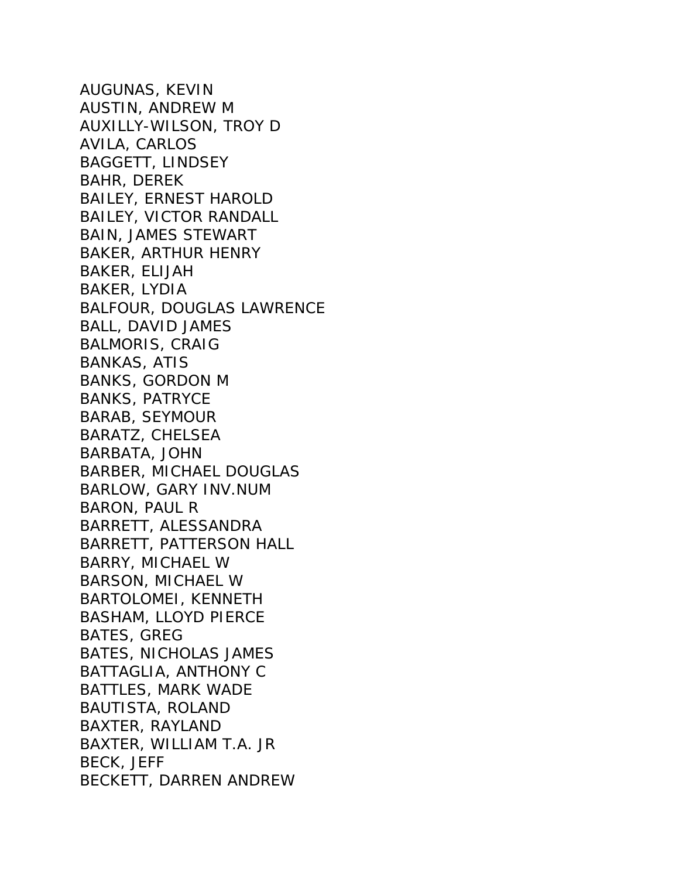AUGUNAS, KEVIN AUSTIN, ANDREW M AUXILLY-WILSON, TROY D AVILA, CARLOS BAGGETT, LINDSEY BAHR, DEREK BAILEY, ERNEST HAROLD BAILEY, VICTOR RANDALL BAIN, JAMES STEWART BAKER, ARTHUR HENRY BAKER, ELIJAH BAKER, LYDIA BALFOUR, DOUGLAS LAWRENCE BALL, DAVID JAMES BALMORIS, CRAIG BANKAS, ATIS BANKS, GORDON M BANKS, PATRYCE BARAB, SEYMOUR BARATZ, CHELSEA BARBATA, JOHN BARBER, MICHAEL DOUGLAS BARLOW, GARY INV.NUM BARON, PAUL R BARRETT, ALESSANDRA BARRETT, PATTERSON HALL BARRY, MICHAEL W BARSON, MICHAEL W BARTOLOMEI, KENNETH BASHAM, LLOYD PIERCE BATES, GREG BATES, NICHOLAS JAMES BATTAGLIA, ANTHONY C BATTLES, MARK WADE BAUTISTA, ROLAND BAXTER, RAYLAND BAXTER, WILLIAM T.A. JR BECK, JEFF BECKETT, DARREN ANDREW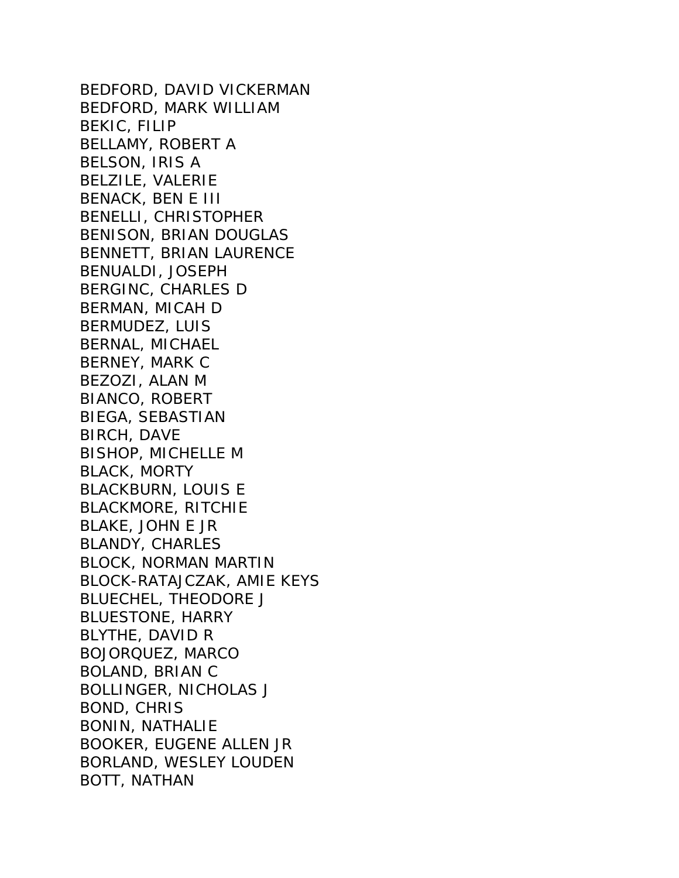BEDFORD, DAVID VICKERMAN BEDFORD, MARK WILLIAM BEKIC, FILIP BELLAMY, ROBERT A BELSON, IRIS A BELZILE, VALERIE BENACK, BEN E III BENELLI, CHRISTOPHER BENISON, BRIAN DOUGLAS BENNETT, BRIAN LAURENCE BENUALDI, JOSEPH BERGINC, CHARLES D BERMAN, MICAH D BERMUDEZ, LUIS BERNAL, MICHAEL BERNEY, MARK C BEZOZI, ALAN M BIANCO, ROBERT BIEGA, SEBASTIAN BIRCH, DAVE BISHOP, MICHELLE M BLACK, MORTY BLACKBURN, LOUIS E BLACKMORE, RITCHIE BLAKE, JOHN E JR BLANDY, CHARLES BLOCK, NORMAN MARTIN BLOCK-RATAJCZAK, AMIE KEYS BLUECHEL, THEODORE J BLUESTONE, HARRY BLYTHE, DAVID R BOJORQUEZ, MARCO BOLAND, BRIAN C BOLLINGER, NICHOLAS J BOND, CHRIS BONIN, NATHALIE BOOKER, EUGENE ALLEN JR BORLAND, WESLEY LOUDEN BOTT, NATHAN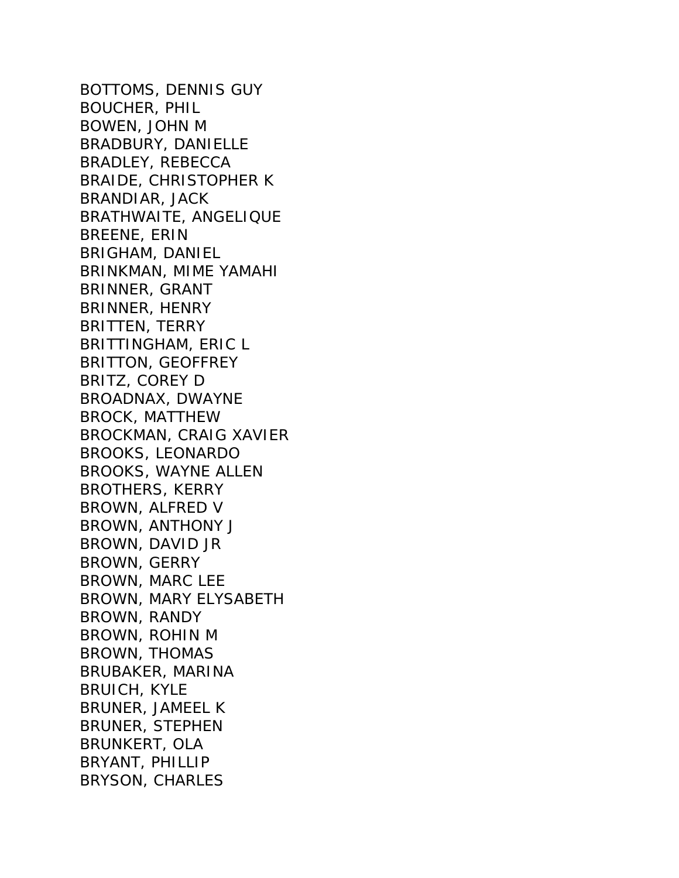BOTTOMS, DENNIS GUY BOUCHER, PHIL BOWEN, JOHN M BRADBURY, DANIELLE BRADLEY, REBECCA BRAIDE, CHRISTOPHER K BRANDIAR, JACK BRATHWAITE, ANGELIQUE BREENE, ERIN BRIGHAM, DANIEL BRINKMAN, MIME YAMAHI BRINNER, GRANT BRINNER, HENRY BRITTEN, TERRY BRITTINGHAM, ERIC L BRITTON, GEOFFREY BRITZ, COREY D BROADNAX, DWAYNE BROCK, MATTHEW BROCKMAN, CRAIG XAVIER BROOKS, LEONARDO BROOKS, WAYNE ALLEN BROTHERS, KERRY BROWN, ALFRED V BROWN, ANTHONY J BROWN, DAVID JR BROWN, GERRY BROWN, MARC LEE BROWN, MARY ELYSABETH BROWN, RANDY BROWN, ROHIN M BROWN, THOMAS BRUBAKER, MARINA BRUICH, KYLE BRUNER, JAMEEL K BRUNER, STEPHEN BRUNKERT, OLA BRYANT, PHILLIP BRYSON, CHARLES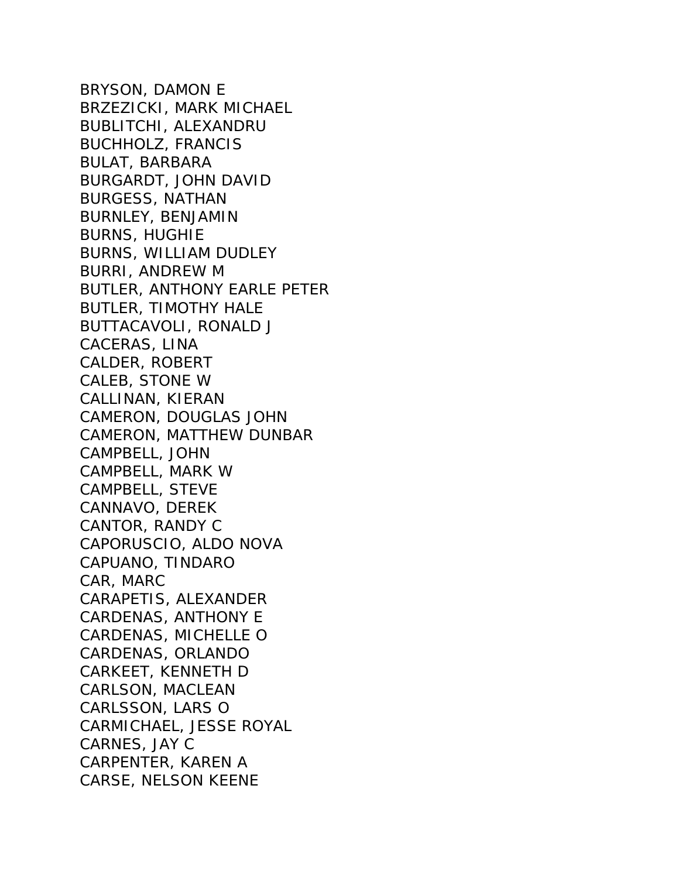BRYSON, DAMON E BRZEZICKI, MARK MICHAEL BUBLITCHI, ALEXANDRU BUCHHOLZ, FRANCIS BULAT, BARBARA BURGARDT, JOHN DAVID BURGESS, NATHAN BURNLEY, BENJAMIN BURNS, HUGHIE BURNS, WILLIAM DUDLEY BURRI, ANDREW M BUTLER, ANTHONY EARLE PETER BUTLER, TIMOTHY HALE BUTTACAVOLI, RONALD J CACERAS, LINA CALDER, ROBERT CALEB, STONE W CALLINAN, KIERAN CAMERON, DOUGLAS JOHN CAMERON, MATTHEW DUNBAR CAMPBELL, JOHN CAMPBELL, MARK W CAMPBELL, STEVE CANNAVO, DEREK CANTOR, RANDY C CAPORUSCIO, ALDO NOVA CAPUANO, TINDARO CAR, MARC CARAPETIS, ALEXANDER CARDENAS, ANTHONY E CARDENAS, MICHELLE O CARDENAS, ORLANDO CARKEET, KENNETH D CARLSON, MACLEAN CARLSSON, LARS O CARMICHAEL, JESSE ROYAL CARNES, JAY C CARPENTER, KAREN A CARSE, NELSON KEENE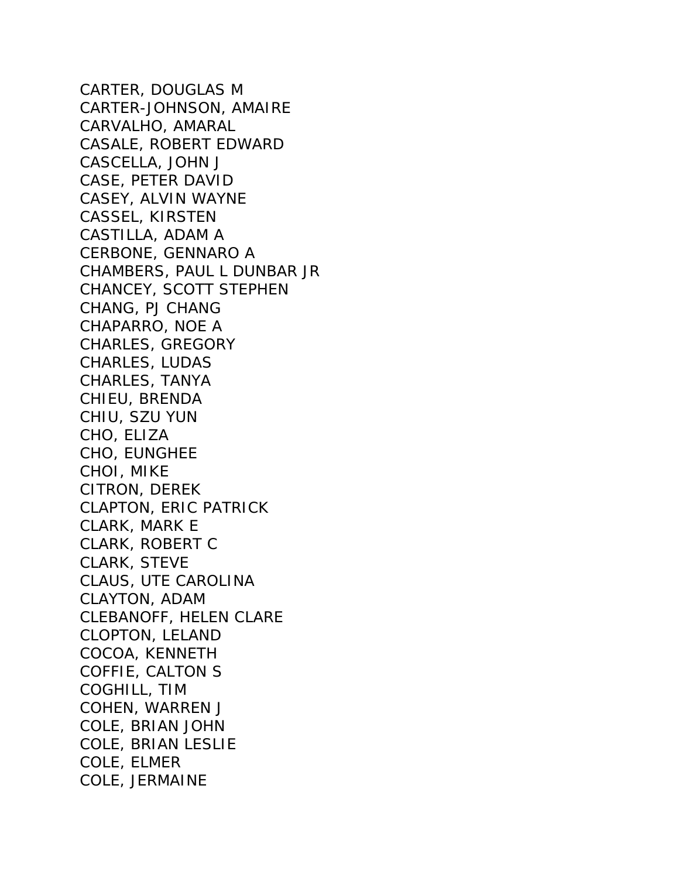CARTER, DOUGLAS M CARTER-JOHNSON, AMAIRE CARVALHO, AMARAL CASALE, ROBERT EDWARD CASCELLA, JOHN J CASE, PETER DAVID CASEY, ALVIN WAYNE CASSEL, KIRSTEN CASTILLA, ADAM A CERBONE, GENNARO A CHAMBERS, PAUL L DUNBAR JR CHANCEY, SCOTT STEPHEN CHANG, PJ CHANG CHAPARRO, NOE A CHARLES, GREGORY CHARLES, LUDAS CHARLES, TANYA CHIEU, BRENDA CHIU, SZU YUN CHO, ELIZA CHO, EUNGHEE CHOI, MIKE CITRON, DEREK CLAPTON, ERIC PATRICK CLARK, MARK E CLARK, ROBERT C CLARK, STEVE CLAUS, UTE CAROLINA CLAYTON, ADAM CLEBANOFF, HELEN CLARE CLOPTON, LELAND COCOA, KENNETH COFFIE, CALTON S COGHILL, TIM COHEN, WARREN J COLE, BRIAN JOHN COLE, BRIAN LESLIE COLE, ELMER COLE, JERMAINE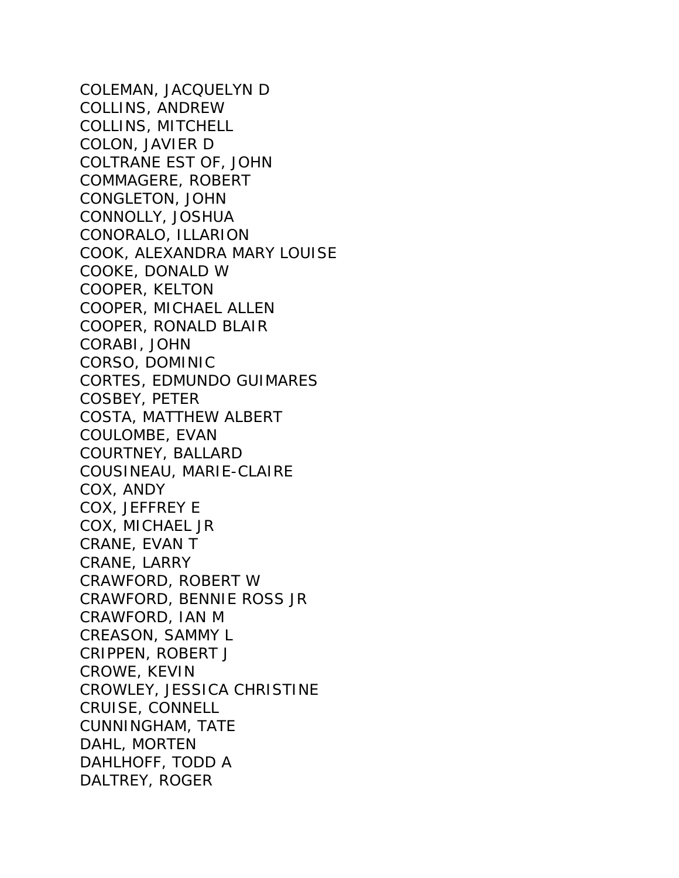COLEMAN, JACQUELYN D COLLINS, ANDREW COLLINS, MITCHELL COLON, JAVIER D COLTRANE EST OF, JOHN COMMAGERE, ROBERT CONGLETON, JOHN CONNOLLY, JOSHUA CONORALO, ILLARION COOK, ALEXANDRA MARY LOUISE COOKE, DONALD W COOPER, KELTON COOPER, MICHAEL ALLEN COOPER, RONALD BLAIR CORABI, JOHN CORSO, DOMINIC CORTES, EDMUNDO GUIMARES COSBEY, PETER COSTA, MATTHEW ALBERT COULOMBE, EVAN COURTNEY, BALLARD COUSINEAU, MARIE-CLAIRE COX, ANDY COX, JEFFREY E COX, MICHAEL JR CRANE, EVAN T CRANE, LARRY CRAWFORD, ROBERT W CRAWFORD, BENNIE ROSS JR CRAWFORD, IAN M CREASON, SAMMY L CRIPPEN, ROBERT J CROWE, KEVIN CROWLEY, JESSICA CHRISTINE CRUISE, CONNELL CUNNINGHAM, TATE DAHL, MORTEN DAHLHOFF, TODD A DALTREY, ROGER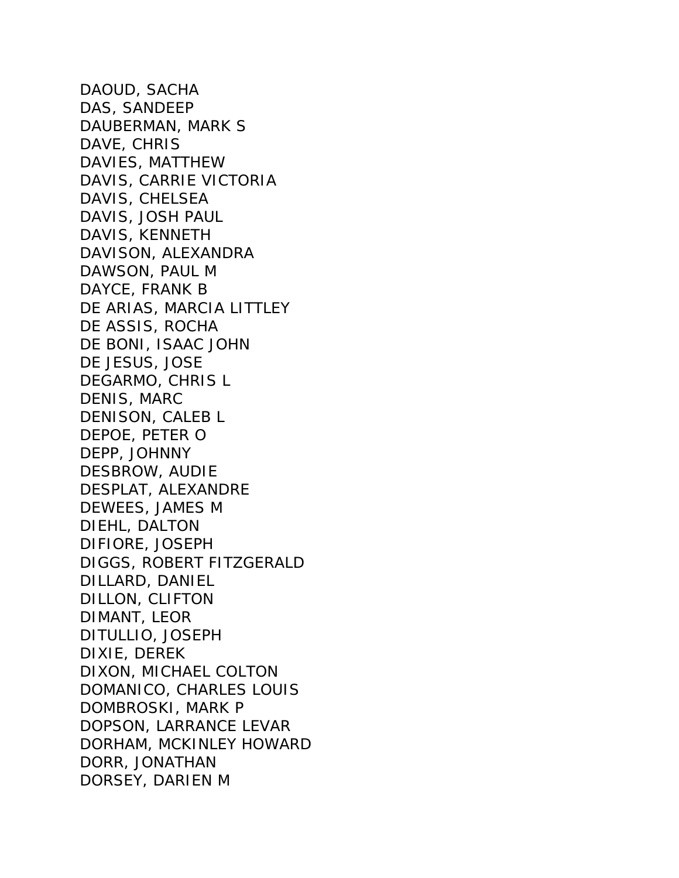DAOUD, SACHA DAS, SANDEEP DAUBERMAN, MARK S DAVE, CHRIS DAVIES, MATTHEW DAVIS, CARRIE VICTORIA DAVIS, CHELSEA DAVIS, JOSH PAUL DAVIS, KENNETH DAVISON, ALEXANDRA DAWSON, PAUL M DAYCE, FRANK B DE ARIAS, MARCIA LITTLEY DE ASSIS, ROCHA DE BONI, ISAAC JOHN DE JESUS, JOSE DEGARMO, CHRIS L DENIS, MARC DENISON, CALEB L DEPOE, PETER O DEPP, JOHNNY DESBROW, AUDIE DESPLAT, ALEXANDRE DEWEES, JAMES M DIEHL, DALTON DIFIORE, JOSEPH DIGGS, ROBERT FITZGERALD DILLARD, DANIEL DILLON, CLIFTON DIMANT, LEOR DITULLIO, JOSEPH DIXIE, DEREK DIXON, MICHAEL COLTON DOMANICO, CHARLES LOUIS DOMBROSKI, MARK P DOPSON, LARRANCE LEVAR DORHAM, MCKINLEY HOWARD DORR, JONATHAN DORSEY, DARIEN M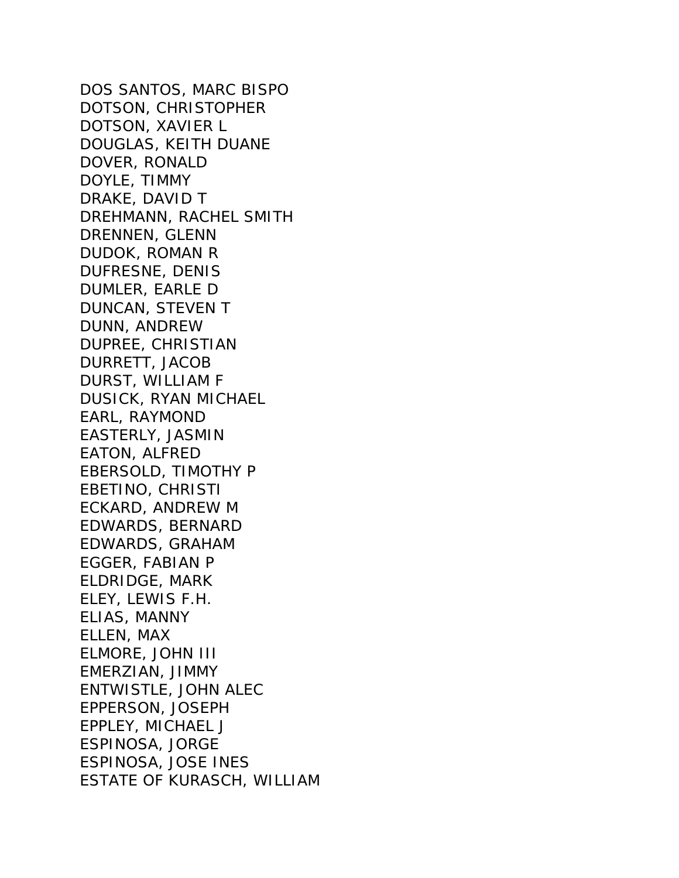DOS SANTOS, MARC BISPO DOTSON, CHRISTOPHER DOTSON, XAVIER L DOUGLAS, KEITH DUANE DOVER, RONALD DOYLE, TIMMY DRAKE, DAVID T DREHMANN, RACHEL SMITH DRENNEN, GLENN DUDOK, ROMAN R DUFRESNE, DENIS DUMLER, EARLE D DUNCAN, STEVEN T DUNN, ANDREW DUPREE, CHRISTIAN DURRETT, JACOB DURST, WILLIAM F DUSICK, RYAN MICHAEL EARL, RAYMOND EASTERLY, JASMIN EATON, ALFRED EBERSOLD, TIMOTHY P EBETINO, CHRISTI ECKARD, ANDREW M EDWARDS, BERNARD EDWARDS, GRAHAM EGGER, FABIAN P ELDRIDGE, MARK ELEY, LEWIS F.H. ELIAS, MANNY ELLEN, MAX ELMORE, JOHN III EMERZIAN, JIMMY ENTWISTLE, JOHN ALEC EPPERSON, JOSEPH EPPLEY, MICHAEL J ESPINOSA, JORGE ESPINOSA, JOSE INES ESTATE OF KURASCH, WILLIAM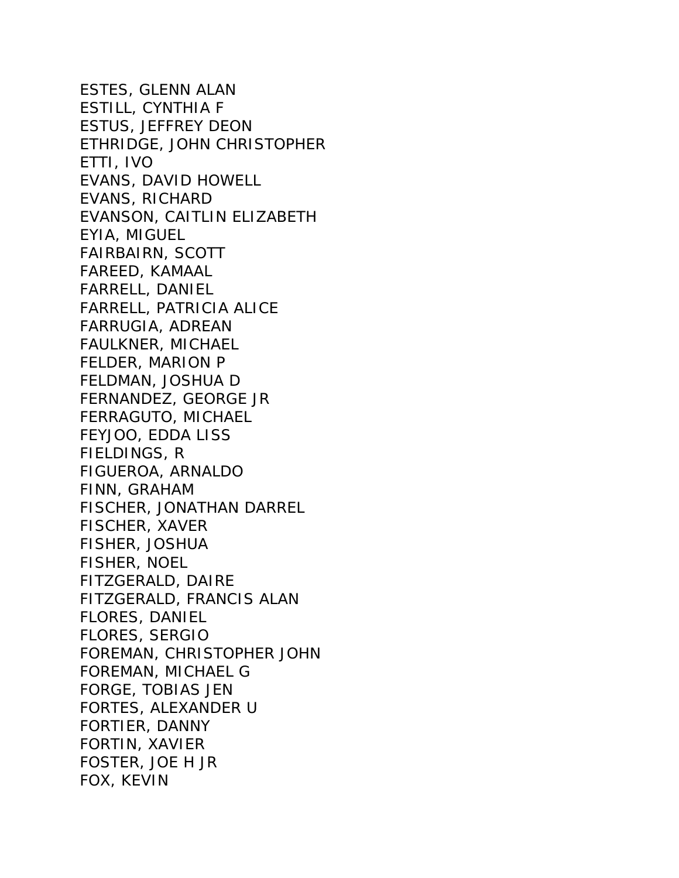ESTES, GLENN ALAN ESTILL, CYNTHIA F ESTUS, JEFFREY DEON ETHRIDGE, JOHN CHRISTOPHER ETTI, IVO EVANS, DAVID HOWELL EVANS, RICHARD EVANSON, CAITLIN ELIZABETH EYIA, MIGUEL FAIRBAIRN, SCOTT FAREED, KAMAAL FARRELL, DANIEL FARRELL, PATRICIA ALICE FARRUGIA, ADREAN FAULKNER, MICHAEL FELDER, MARION P FELDMAN, JOSHUA D FERNANDEZ, GEORGE JR FERRAGUTO, MICHAEL FEYJOO, EDDA LISS FIELDINGS, R FIGUEROA, ARNALDO FINN, GRAHAM FISCHER, JONATHAN DARREL FISCHER, XAVER FISHER, JOSHUA FISHER, NOEL FITZGERALD, DAIRE FITZGERALD, FRANCIS ALAN FLORES, DANIEL FLORES, SERGIO FOREMAN, CHRISTOPHER JOHN FOREMAN, MICHAEL G FORGE, TOBIAS JEN FORTES, ALEXANDER U FORTIER, DANNY FORTIN, XAVIER FOSTER, JOE H JR FOX, KEVIN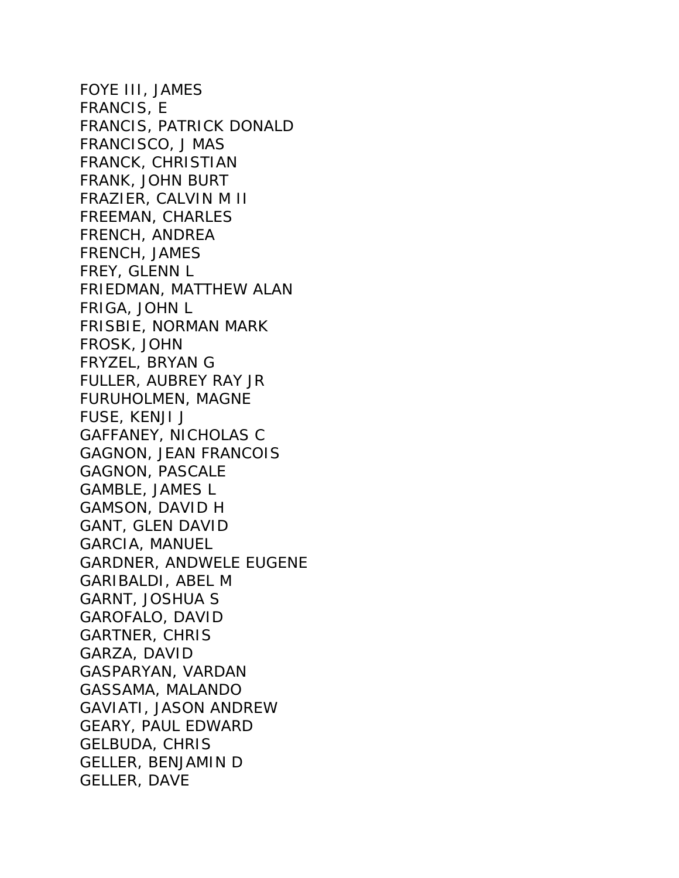FOYE III, JAMES FRANCIS, E FRANCIS, PATRICK DONALD FRANCISCO, J MAS FRANCK, CHRISTIAN FRANK, JOHN BURT FRAZIER, CALVIN M II FREEMAN, CHARLES FRENCH, ANDREA FRENCH, JAMES FREY, GLENN L FRIEDMAN, MATTHEW ALAN FRIGA, JOHN L FRISBIE, NORMAN MARK FROSK, JOHN FRYZEL, BRYAN G FULLER, AUBREY RAY JR FURUHOLMEN, MAGNE FUSE, KENJI J GAFFANEY, NICHOLAS C GAGNON, JEAN FRANCOIS GAGNON, PASCALE GAMBLE, JAMES L GAMSON, DAVID H GANT, GLEN DAVID GARCIA, MANUEL GARDNER, ANDWELE EUGENE GARIBALDI, ABEL M GARNT, JOSHUA S GAROFALO, DAVID GARTNER, CHRIS GARZA, DAVID GASPARYAN, VARDAN GASSAMA, MALANDO GAVIATI, JASON ANDREW GEARY, PAUL EDWARD GELBUDA, CHRIS GELLER, BENJAMIN D GELLER, DAVE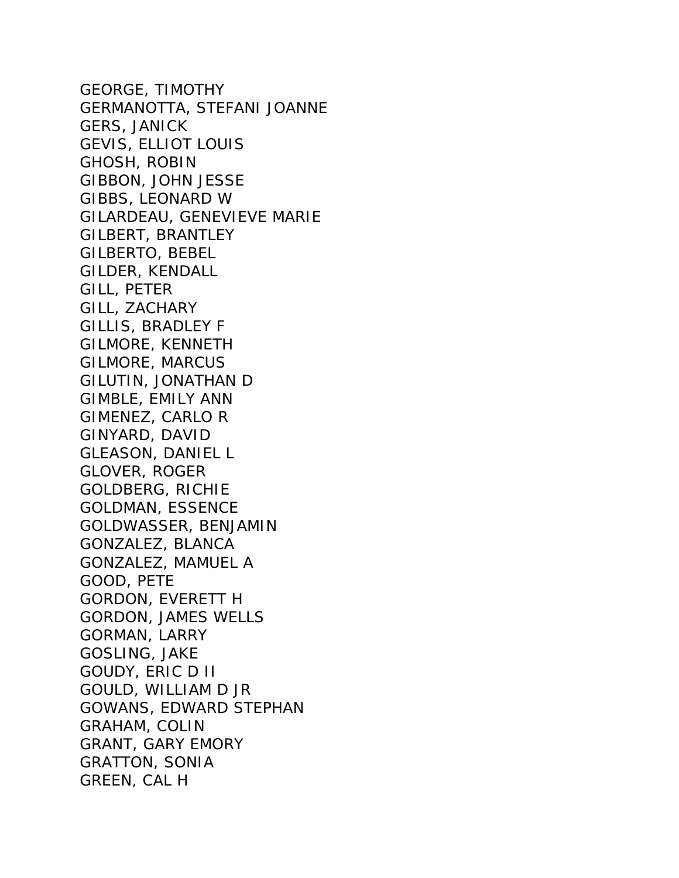GEORGE, TIMOTHY GERMANOTTA, STEFANI JOANNE GERS, JANICK GEVIS, ELLIOT LOUIS GHOSH, ROBIN GIBBON, JOHN JESSE GIBBS, LEONARD W GILARDEAU, GENEVIEVE MARIE GILBERT, BRANTLEY GILBERTO, BEBEL GILDER, KENDALL GILL, PETER GILL, ZACHARY GILLIS, BRADLEY F GILMORE, KENNETH GILMORE, MARCUS GILUTIN, JONATHAN D GIMBLE, EMILY ANN GIMENEZ, CARLO R GINYARD, DAVID GLEASON, DANIEL L GLOVER, ROGER GOLDBERG, RICHIE GOLDMAN, ESSENCE GOLDWASSER, BENJAMIN GONZALEZ, BLANCA GONZALEZ, MAMUEL A GOOD, PETE GORDON, EVERETT H GORDON, JAMES WELLS GORMAN, LARRY GOSLING, JAKE GOUDY, ERIC D II GOULD, WILLIAM D JR GOWANS, EDWARD STEPHAN GRAHAM, COLIN GRANT, GARY EMORY GRATTON, SONIA GREEN, CAL H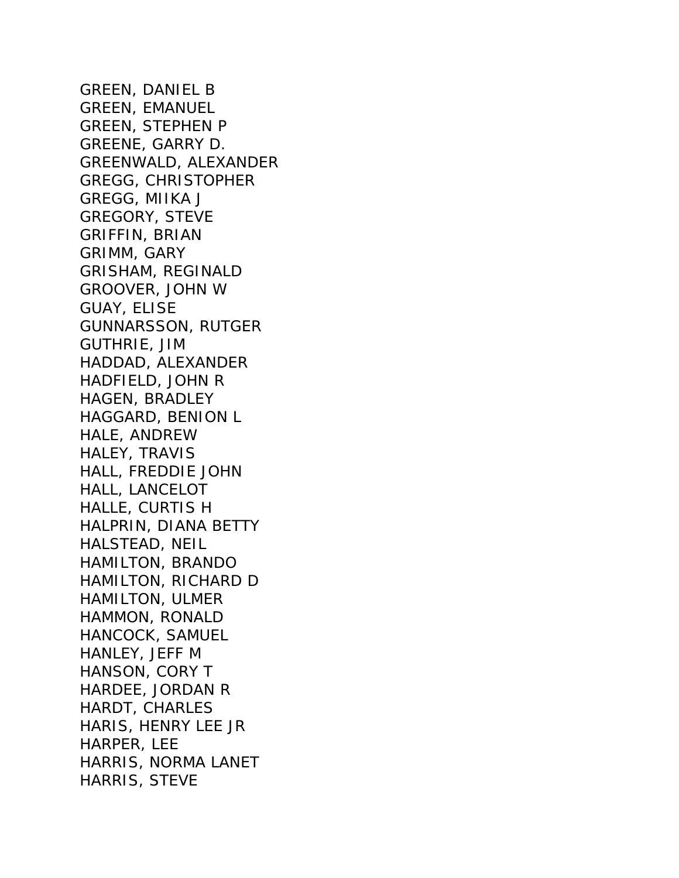GREEN, DANIEL B GREEN, EMANUEL GREEN, STEPHEN P GREENE, GARRY D. GREENWALD, ALEXANDER GREGG, CHRISTOPHER GREGG, MIIKA J GREGORY, STEVE GRIFFIN, BRIAN GRIMM, GARY GRISHAM, REGINALD GROOVER, JOHN W GUAY, ELISE GUNNARSSON, RUTGER GUTHRIE, JIM HADDAD, ALEXANDER HADFIELD, JOHN R HAGEN, BRADLEY HAGGARD, BENION L HALE, ANDREW HALEY, TRAVIS HALL, FREDDIE JOHN HALL, LANCELOT HALLE, CURTIS H HALPRIN, DIANA BETTY HALSTEAD, NEIL HAMILTON, BRANDO HAMILTON, RICHARD D HAMILTON, ULMER HAMMON, RONALD HANCOCK, SAMUEL HANLEY, JEFF M HANSON, CORY T HARDEE, JORDAN R HARDT, CHARLES HARIS, HENRY LEE JR HARPER, LEE HARRIS, NORMA LANET HARRIS, STEVE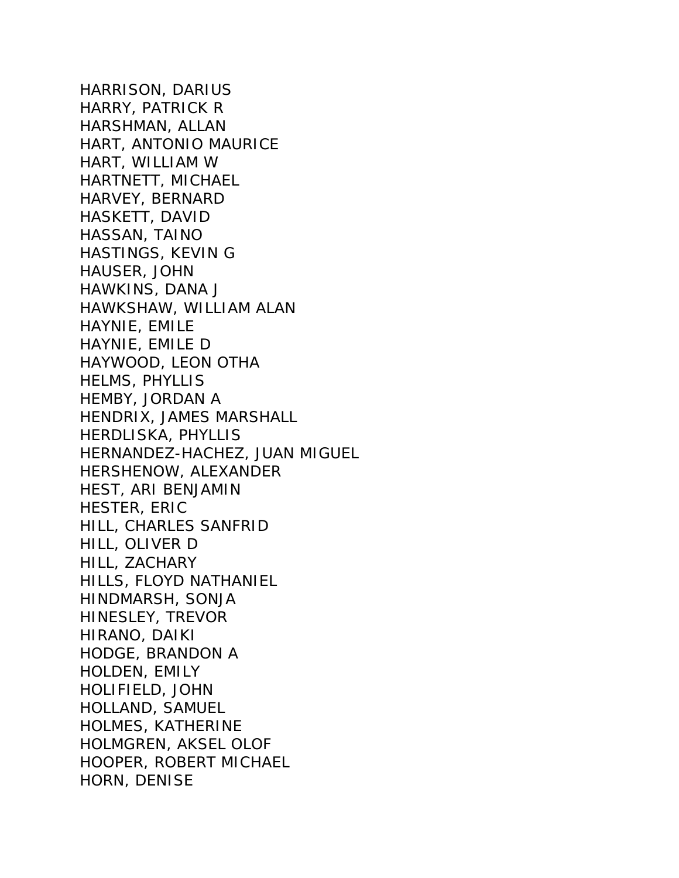HARRISON, DARIUS HARRY, PATRICK R HARSHMAN, ALLAN HART, ANTONIO MAURICE HART, WILLIAM W HARTNETT, MICHAEL HARVEY, BERNARD HASKETT, DAVID HASSAN, TAINO HASTINGS, KEVIN G HAUSER, JOHN HAWKINS, DANA J HAWKSHAW, WILLIAM ALAN HAYNIE, EMILE HAYNIE, EMILE D HAYWOOD, LEON OTHA HELMS, PHYLLIS HEMBY, JORDAN A HENDRIX, JAMES MARSHALL HERDLISKA, PHYLLIS HERNANDEZ-HACHEZ, JUAN MIGUEL HERSHENOW, ALEXANDER HEST, ARI BENJAMIN HESTER, ERIC HILL, CHARLES SANFRID HILL, OLIVER D HILL, ZACHARY HILLS, FLOYD NATHANIEL HINDMARSH, SONJA HINESLEY, TREVOR HIRANO, DAIKI HODGE, BRANDON A HOLDEN, EMILY HOLIFIELD, JOHN HOLLAND, SAMUEL HOLMES, KATHERINE HOLMGREN, AKSEL OLOF HOOPER, ROBERT MICHAEL HORN, DENISE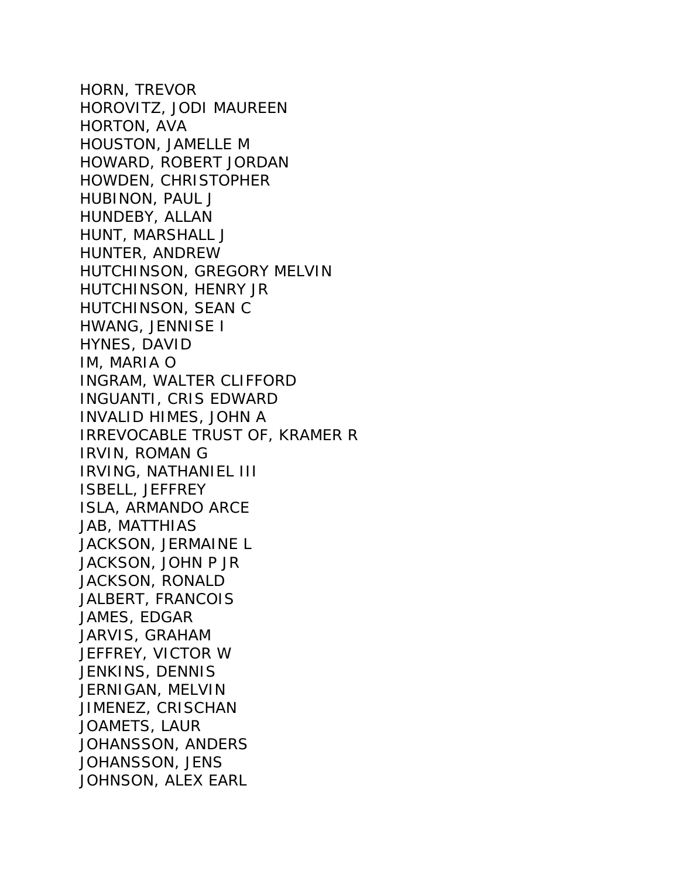HORN, TREVOR HOROVITZ, JODI MAUREEN HORTON, AVA HOUSTON, JAMELLE M HOWARD, ROBERT JORDAN HOWDEN, CHRISTOPHER HUBINON, PAUL J HUNDEBY, ALLAN HUNT, MARSHALL J HUNTER, ANDREW HUTCHINSON, GREGORY MELVIN HUTCHINSON, HENRY JR HUTCHINSON, SEAN C HWANG, JENNISE I HYNES, DAVID IM, MARIA O INGRAM, WALTER CLIFFORD INGUANTI, CRIS EDWARD INVALID HIMES, JOHN A IRREVOCABLE TRUST OF, KRAMER R IRVIN, ROMAN G IRVING, NATHANIEL III ISBELL, JEFFREY ISLA, ARMANDO ARCE JAB, MATTHIAS JACKSON, JERMAINE L JACKSON, JOHN P JR JACKSON, RONALD JALBERT, FRANCOIS JAMES, EDGAR JARVIS, GRAHAM JEFFREY, VICTOR W JENKINS, DENNIS JERNIGAN, MELVIN JIMENEZ, CRISCHAN JOAMETS, LAUR JOHANSSON, ANDERS JOHANSSON, JENS JOHNSON, ALEX EARL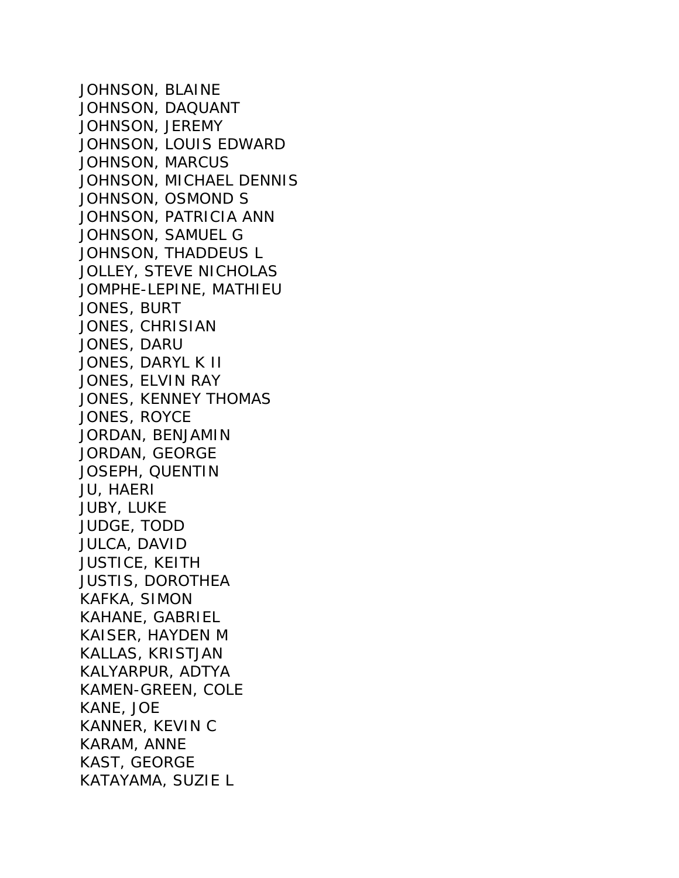JOHNSON, BLAINE JOHNSON, DAQUANT JOHNSON, JEREMY JOHNSON, LOUIS EDWARD JOHNSON, MARCUS JOHNSON, MICHAEL DENNIS JOHNSON, OSMOND S JOHNSON, PATRICIA ANN JOHNSON, SAMUEL G JOHNSON, THADDEUS L JOLLEY, STEVE NICHOLAS JOMPHE-LEPINE, MATHIEU JONES, BURT JONES, CHRISIAN JONES, DARU JONES, DARYL K II JONES, ELVIN RAY JONES, KENNEY THOMAS JONES, ROYCE JORDAN, BENJAMIN JORDAN, GEORGE JOSEPH, QUENTIN JU, HAERI JUBY, LUKE JUDGE, TODD JULCA, DAVID JUSTICE, KEITH JUSTIS, DOROTHEA KAFKA, SIMON KAHANE, GABRIEL KAISER, HAYDEN M KALLAS, KRISTJAN KALYARPUR, ADTYA KAMEN-GREEN, COLE KANE, JOE KANNER, KEVIN C KARAM, ANNE KAST, GEORGE KATAYAMA, SUZIE L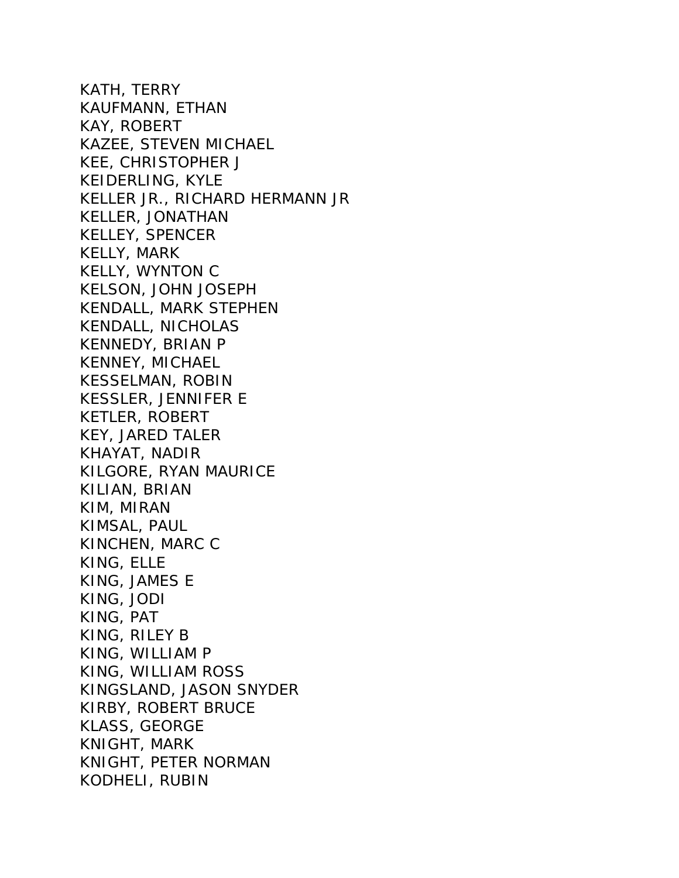KATH, TERRY KAUFMANN, ETHAN KAY, ROBERT KAZEE, STEVEN MICHAEL KEE, CHRISTOPHER J KEIDERLING, KYLE KELLER JR., RICHARD HERMANN JR KELLER, JONATHAN KELLEY, SPENCER KELLY, MARK KELLY, WYNTON C KELSON, JOHN JOSEPH KENDALL, MARK STEPHEN KENDALL, NICHOLAS KENNEDY, BRIAN P KENNEY, MICHAEL KESSELMAN, ROBIN KESSLER, JENNIFER E KETLER, ROBERT KEY, JARED TALER KHAYAT, NADIR KILGORE, RYAN MAURICE KILIAN, BRIAN KIM, MIRAN KIMSAL, PAUL KINCHEN, MARC C KING, ELLE KING, JAMES E KING, JODI KING, PAT KING, RILEY B KING, WILLIAM P KING, WILLIAM ROSS KINGSLAND, JASON SNYDER KIRBY, ROBERT BRUCE KLASS, GEORGE KNIGHT, MARK KNIGHT, PETER NORMAN KODHELI, RUBIN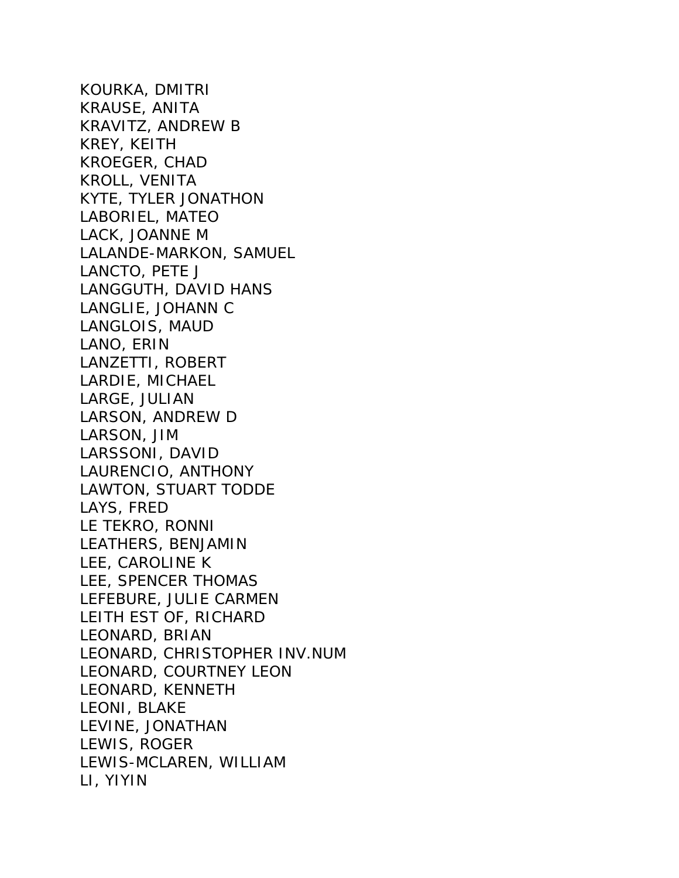KOURKA, DMITRI KRAUSE, ANITA KRAVITZ, ANDREW B KREY, KEITH KROEGER, CHAD KROLL, VENITA KYTE, TYLER JONATHON LABORIEL, MATEO LACK, JOANNE M LALANDE-MARKON, SAMUEL LANCTO, PETE J LANGGUTH, DAVID HANS LANGLIE, JOHANN C LANGLOIS, MAUD LANO, ERIN LANZETTI, ROBERT LARDIE, MICHAEL LARGE, JULIAN LARSON, ANDREW D LARSON, JIM LARSSONI, DAVID LAURENCIO, ANTHONY LAWTON, STUART TODDE LAYS, FRED LE TEKRO, RONNI LEATHERS, BENJAMIN LEE, CAROLINE K LEE, SPENCER THOMAS LEFEBURE, JULIE CARMEN LEITH EST OF, RICHARD LEONARD, BRIAN LEONARD, CHRISTOPHER INV.NUM LEONARD, COURTNEY LEON LEONARD, KENNETH LEONI, BLAKE LEVINE, JONATHAN LEWIS, ROGER LEWIS-MCLAREN, WILLIAM LI, YIYIN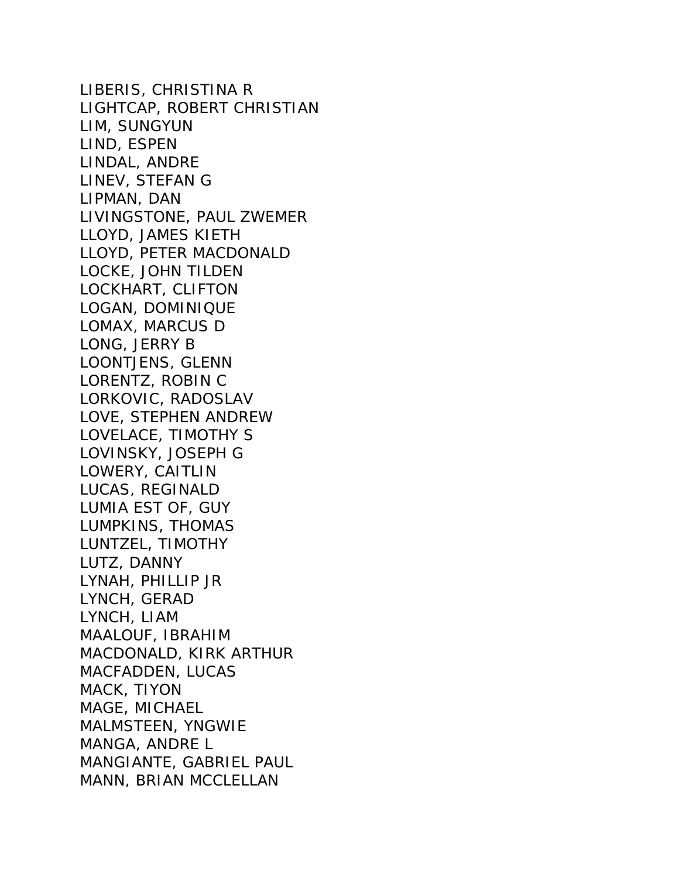LIBERIS, CHRISTINA R LIGHTCAP, ROBERT CHRISTIAN LIM, SUNGYUN LIND, ESPEN LINDAL, ANDRE LINEV, STEFAN G LIPMAN, DAN LIVINGSTONE, PAUL ZWEMER LLOYD, JAMES KIETH LLOYD, PETER MACDONALD LOCKE, JOHN TILDEN LOCKHART, CLIFTON LOGAN, DOMINIQUE LOMAX, MARCUS D LONG, JERRY B LOONTJENS, GLENN LORENTZ, ROBIN C LORKOVIC, RADOSLAV LOVE, STEPHEN ANDREW LOVELACE, TIMOTHY S LOVINSKY, JOSEPH G LOWERY, CAITLIN LUCAS, REGINALD LUMIA EST OF, GUY LUMPKINS, THOMAS LUNTZEL, TIMOTHY LUTZ, DANNY LYNAH, PHILLIP JR LYNCH, GERAD LYNCH, LIAM MAALOUF, IBRAHIM MACDONALD, KIRK ARTHUR MACFADDEN, LUCAS MACK, TIYON MAGE, MICHAEL MALMSTEEN, YNGWIE MANGA, ANDRE L MANGIANTE, GABRIEL PAUL MANN, BRIAN MCCLELLAN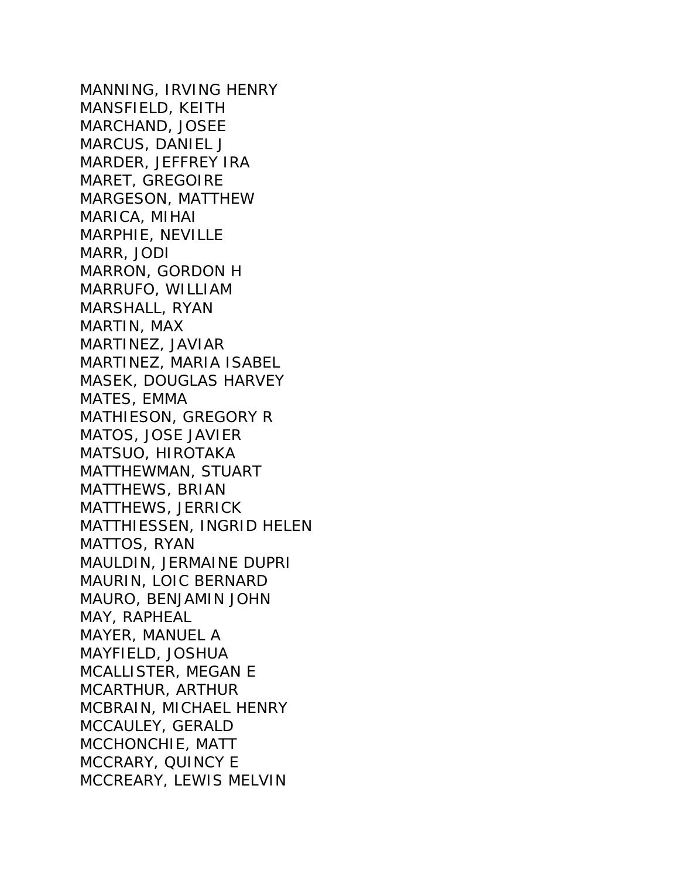MANNING, IRVING HENRY MANSFIELD, KEITH MARCHAND, JOSEE MARCUS, DANIEL J MARDER, JEFFREY IRA MARET, GREGOIRE MARGESON, MATTHEW MARICA, MIHAI MARPHIE, NEVILLE MARR, JODI MARRON, GORDON H MARRUFO, WILLIAM MARSHALL, RYAN MARTIN, MAX MARTINEZ, JAVIAR MARTINEZ, MARIA ISABEL MASEK, DOUGLAS HARVEY MATES, EMMA MATHIESON, GREGORY R MATOS, JOSE JAVIER MATSUO, HIROTAKA MATTHEWMAN, STUART MATTHEWS, BRIAN MATTHEWS, JERRICK MATTHIESSEN, INGRID HELEN MATTOS, RYAN MAULDIN, JERMAINE DUPRI MAURIN, LOIC BERNARD MAURO, BENJAMIN JOHN MAY, RAPHEAL MAYER, MANUEL A MAYFIELD, JOSHUA MCALLISTER, MEGAN E MCARTHUR, ARTHUR MCBRAIN, MICHAEL HENRY MCCAULEY, GERALD MCCHONCHIE, MATT MCCRARY, QUINCY E MCCREARY, LEWIS MELVIN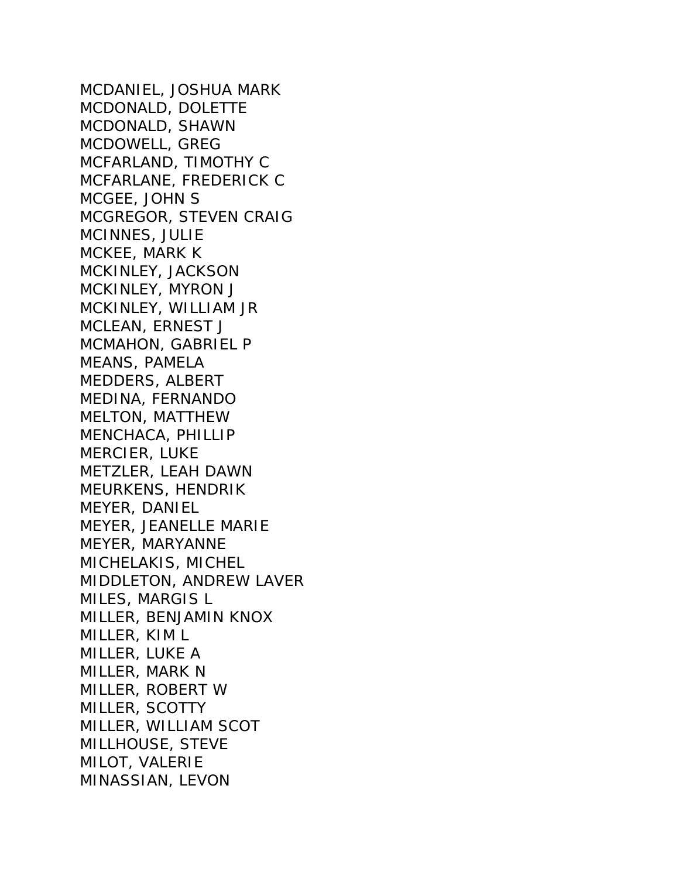MCDANIEL, JOSHUA MARK MCDONALD, DOLETTE MCDONALD, SHAWN MCDOWELL, GREG MCFARLAND, TIMOTHY C MCFARLANE, FREDERICK C MCGEE, JOHN S MCGREGOR, STEVEN CRAIG MCINNES, JULIE MCKEE, MARK K MCKINLEY, JACKSON MCKINLEY, MYRON J MCKINLEY, WILLIAM JR MCLEAN, ERNEST J MCMAHON, GABRIEL P MEANS, PAMELA MEDDERS, ALBERT MEDINA, FERNANDO MELTON, MATTHEW MENCHACA, PHILLIP MERCIER, LUKE METZLER, LEAH DAWN MEURKENS, HENDRIK MEYER, DANIEL MEYER, JEANELLE MARIE MEYER, MARYANNE MICHELAKIS, MICHEL MIDDLETON, ANDREW LAVER MILES, MARGIS L MILLER, BENJAMIN KNOX MILLER, KIM L MILLER, LUKE A MILLER, MARK N MILLER, ROBERT W MILLER, SCOTTY MILLER, WILLIAM SCOT MILLHOUSE, STEVE MILOT, VALERIE MINASSIAN, LEVON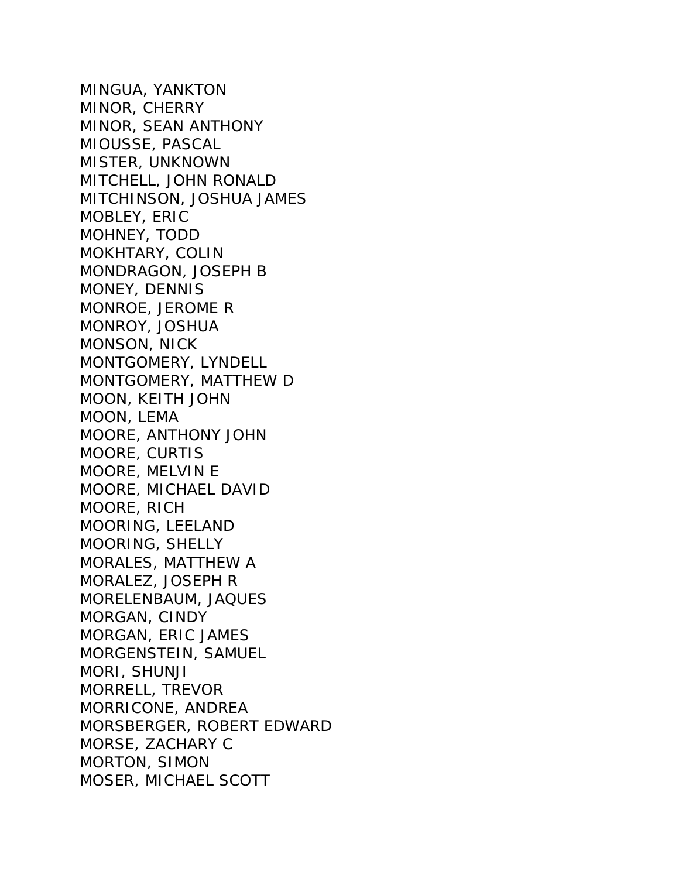MINGUA, YANKTON MINOR, CHERRY MINOR, SEAN ANTHONY MIOUSSE, PASCAL MISTER, UNKNOWN MITCHELL, JOHN RONALD MITCHINSON, JOSHUA JAMES MOBLEY, ERIC MOHNEY, TODD MOKHTARY, COLIN MONDRAGON, JOSEPH B MONEY, DENNIS MONROE, JEROME R MONROY, JOSHUA MONSON, NICK MONTGOMERY, LYNDELL MONTGOMERY, MATTHEW D MOON, KEITH JOHN MOON, LEMA MOORE, ANTHONY JOHN MOORE, CURTIS MOORE, MELVIN E MOORE, MICHAEL DAVID MOORE, RICH MOORING, LEELAND MOORING, SHELLY MORALES, MATTHEW A MORALEZ, JOSEPH R MORELENBAUM, JAQUES MORGAN, CINDY MORGAN, ERIC JAMES MORGENSTEIN, SAMUEL MORI, SHUNJI MORRELL, TREVOR MORRICONE, ANDREA MORSBERGER, ROBERT EDWARD MORSE, ZACHARY C MORTON, SIMON MOSER, MICHAEL SCOTT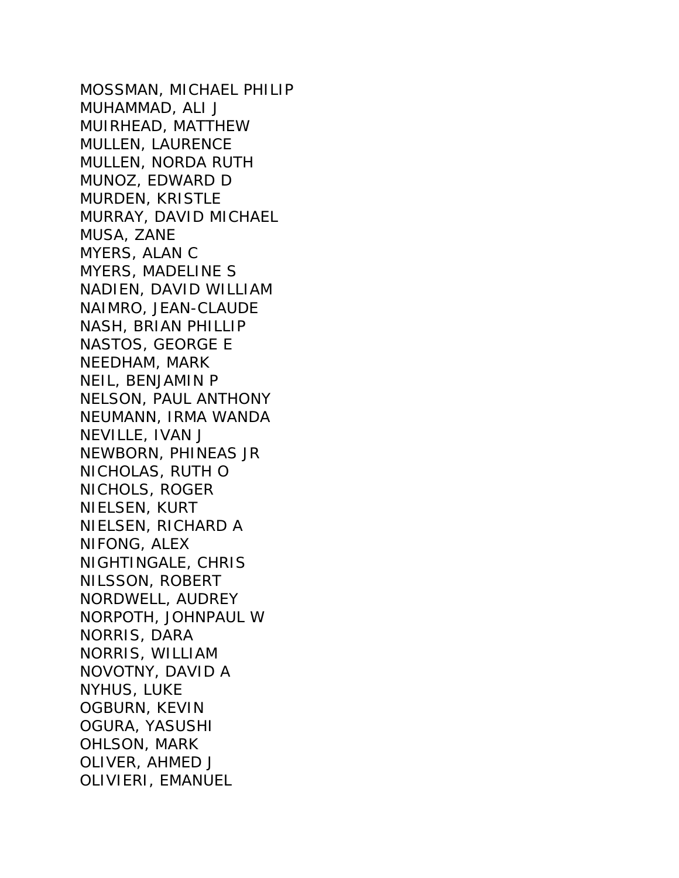MOSSMAN, MICHAEL PHILIP MUHAMMAD, ALI J MUIRHEAD, MATTHEW MULLEN, LAURENCE MULLEN, NORDA RUTH MUNOZ, EDWARD D MURDEN, KRISTLE MURRAY, DAVID MICHAEL MUSA, ZANE MYERS, ALAN C MYERS, MADELINE S NADIEN, DAVID WILLIAM NAIMRO, JEAN-CLAUDE NASH, BRIAN PHILLIP NASTOS, GEORGE E NEEDHAM, MARK NEIL, BENJAMIN P NELSON, PAUL ANTHONY NEUMANN, IRMA WANDA NEVILLE, IVAN J NEWBORN, PHINEAS JR NICHOLAS, RUTH O NICHOLS, ROGER NIELSEN, KURT NIELSEN, RICHARD A NIFONG, ALEX NIGHTINGALE, CHRIS NILSSON, ROBERT NORDWELL, AUDREY NORPOTH, JOHNPAUL W NORRIS, DARA NORRIS, WILLIAM NOVOTNY, DAVID A NYHUS, LUKE OGBURN, KEVIN OGURA, YASUSHI OHLSON, MARK OLIVER, AHMED J OLIVIERI, EMANUEL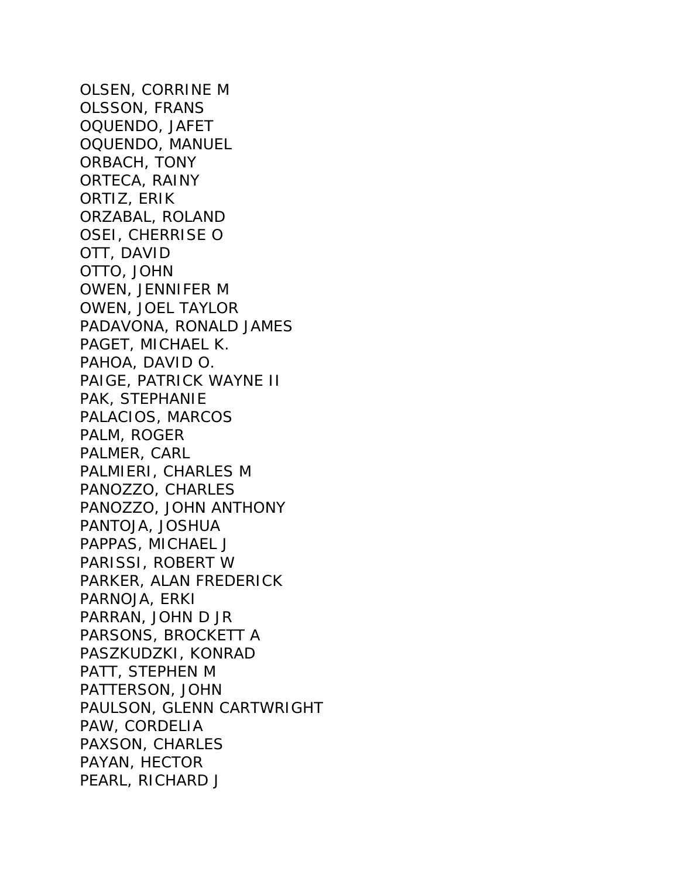OLSEN, CORRINE M OLSSON, FRANS OQUENDO, JAFET OQUENDO, MANUEL ORBACH, TONY ORTECA, RAINY ORTIZ, ERIK ORZABAL, ROLAND OSEI, CHERRISE O OTT, DAVID OTTO, JOHN OWEN, JENNIFER M OWEN, JOEL TAYLOR PADAVONA, RONALD JAMES PAGET, MICHAEL K. PAHOA, DAVID O. PAIGE, PATRICK WAYNE II PAK, STEPHANIE PALACIOS, MARCOS PALM, ROGER PALMER, CARL PALMIERI, CHARLES M PANOZZO, CHARLES PANOZZO, JOHN ANTHONY PANTOJA, JOSHUA PAPPAS, MICHAEL J PARISSI, ROBERT W PARKER, ALAN FREDERICK PARNOJA, ERKI PARRAN, JOHN D JR PARSONS, BROCKETT A PASZKUDZKI, KONRAD PATT, STEPHEN M PATTERSON, JOHN PAULSON, GLENN CARTWRIGHT PAW, CORDELIA PAXSON, CHARLES PAYAN, HECTOR PEARL, RICHARD J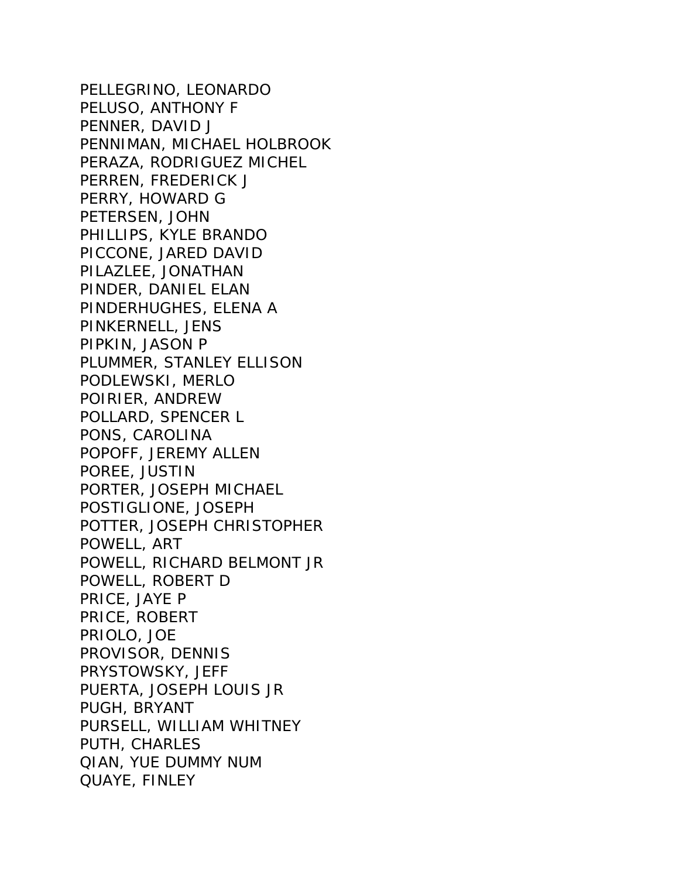PELLEGRINO, LEONARDO PELUSO, ANTHONY F PENNER, DAVID J PENNIMAN, MICHAEL HOLBROOK PERAZA, RODRIGUEZ MICHEL PERREN, FREDERICK J PERRY, HOWARD G PETERSEN, JOHN PHILLIPS, KYLE BRANDO PICCONE, JARED DAVID PILAZLEE, JONATHAN PINDER, DANIEL ELAN PINDERHUGHES, ELENA A PINKERNELL, JENS PIPKIN, JASON P PLUMMER, STANLEY ELLISON PODLEWSKI, MERLO POIRIER, ANDREW POLLARD, SPENCER L PONS, CAROLINA POPOFF, JEREMY ALLEN POREE, JUSTIN PORTER, JOSEPH MICHAEL POSTIGLIONE, JOSEPH POTTER, JOSEPH CHRISTOPHER POWELL, ART POWELL, RICHARD BELMONT JR POWELL, ROBERT D PRICE, JAYE P PRICE, ROBERT PRIOLO, JOE PROVISOR, DENNIS PRYSTOWSKY, JEFF PUERTA, JOSEPH LOUIS JR PUGH, BRYANT PURSELL, WILLIAM WHITNEY PUTH, CHARLES QIAN, YUE DUMMY NUM QUAYE, FINLEY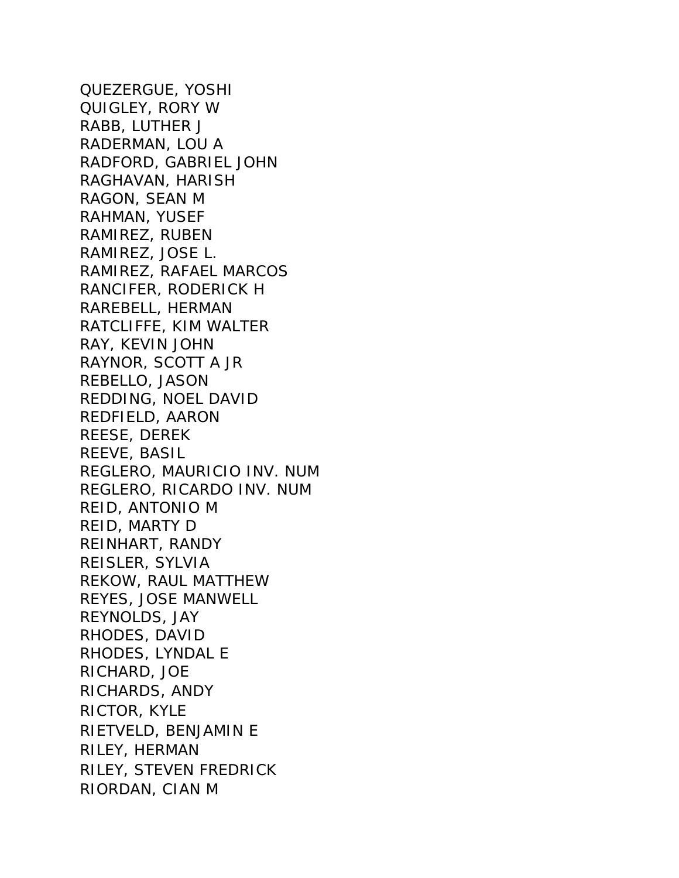QUEZERGUE, YOSHI QUIGLEY, RORY W RABB, LUTHER J RADERMAN, LOU A RADFORD, GABRIEL JOHN RAGHAVAN, HARISH RAGON, SEAN M RAHMAN, YUSEF RAMIREZ, RUBEN RAMIREZ, JOSE L. RAMIREZ, RAFAEL MARCOS RANCIFER, RODERICK H RAREBELL, HERMAN RATCLIFFE, KIM WALTER RAY, KEVIN JOHN RAYNOR, SCOTT A JR REBELLO, JASON REDDING, NOEL DAVID REDFIELD, AARON REESE, DEREK REEVE, BASIL REGLERO, MAURICIO INV. NUM REGLERO, RICARDO INV. NUM REID, ANTONIO M REID, MARTY D REINHART, RANDY REISLER, SYLVIA REKOW, RAUL MATTHEW REYES, JOSE MANWELL REYNOLDS, JAY RHODES, DAVID RHODES, LYNDAL E RICHARD, JOE RICHARDS, ANDY RICTOR, KYLE RIETVELD, BENJAMIN E RILEY, HERMAN RILEY, STEVEN FREDRICK RIORDAN, CIAN M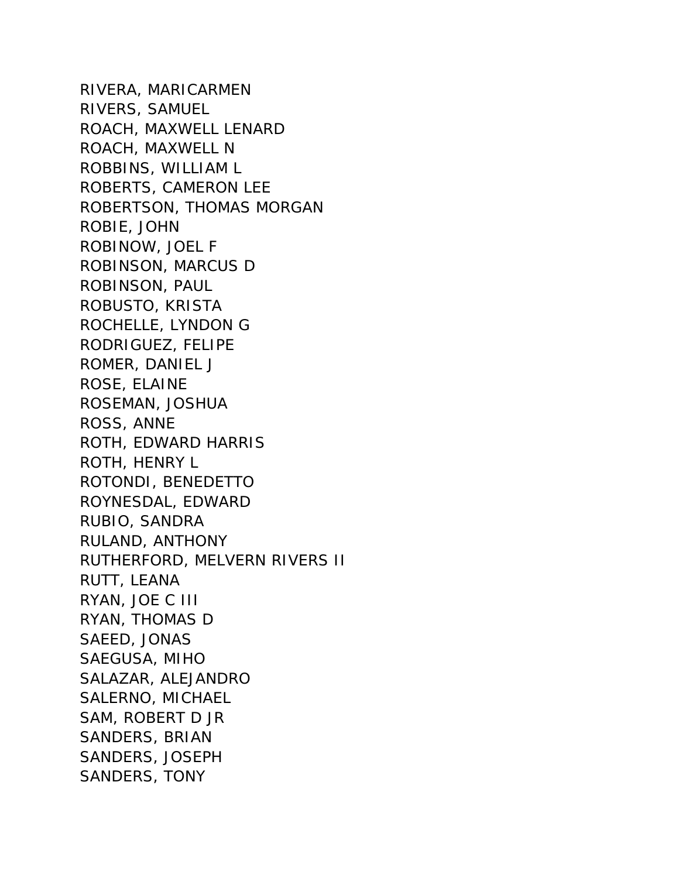RIVERA, MARICARMEN RIVERS, SAMUEL ROACH, MAXWELL LENARD ROACH, MAXWELL N ROBBINS, WILLIAM L ROBERTS, CAMERON LEE ROBERTSON, THOMAS MORGAN ROBIE, JOHN ROBINOW, JOEL F ROBINSON, MARCUS D ROBINSON, PAUL ROBUSTO, KRISTA ROCHELLE, LYNDON G RODRIGUEZ, FELIPE ROMER, DANIEL J ROSE, ELAINE ROSEMAN, JOSHUA ROSS, ANNE ROTH, EDWARD HARRIS ROTH, HENRY L ROTONDI, BENEDETTO ROYNESDAL, EDWARD RUBIO, SANDRA RULAND, ANTHONY RUTHERFORD, MELVERN RIVERS II RUTT, LEANA RYAN, JOE C III RYAN, THOMAS D SAEED, JONAS SAEGUSA, MIHO SALAZAR, ALEJANDRO SALERNO, MICHAEL SAM, ROBERT D JR SANDERS, BRIAN SANDERS, JOSEPH SANDERS, TONY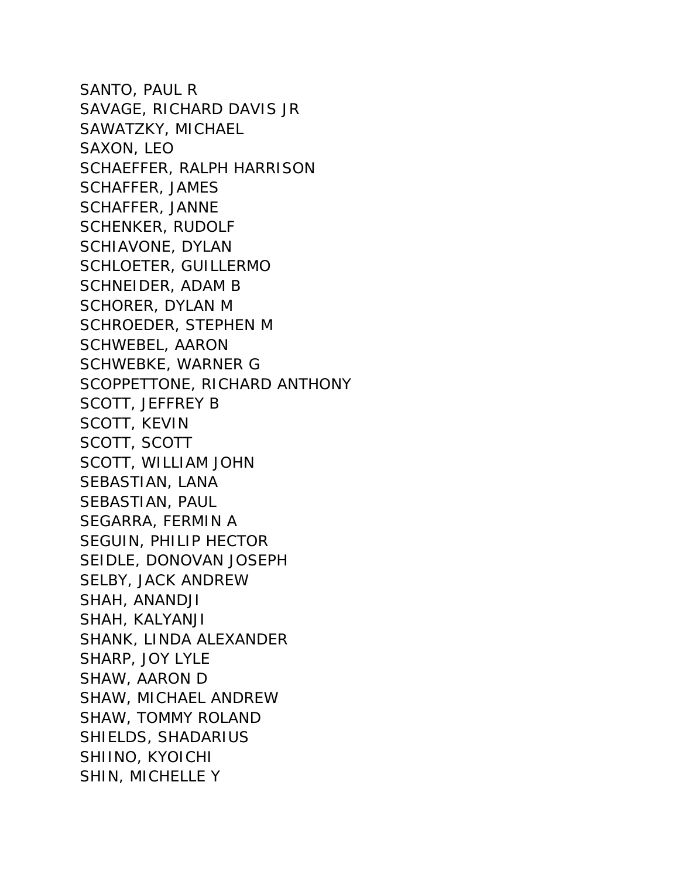SANTO, PAUL R SAVAGE, RICHARD DAVIS JR SAWATZKY, MICHAEL SAXON, LEO SCHAEFFER, RALPH HARRISON SCHAFFER, JAMES SCHAFFER, JANNE SCHENKER, RUDOLF SCHIAVONE, DYLAN SCHLOETER, GUILLERMO SCHNEIDER, ADAM B SCHORER, DYLAN M SCHROEDER, STEPHEN M SCHWEBEL, AARON SCHWEBKE, WARNER G SCOPPETTONE, RICHARD ANTHONY SCOTT, JEFFREY B SCOTT, KEVIN SCOTT, SCOTT SCOTT, WILLIAM JOHN SEBASTIAN, LANA SEBASTIAN, PAUL SEGARRA, FERMIN A SEGUIN, PHILIP HECTOR SEIDLE, DONOVAN JOSEPH SELBY, JACK ANDREW SHAH, ANANDJI SHAH, KALYANJI SHANK, LINDA ALEXANDER SHARP, JOY LYLE SHAW, AARON D SHAW, MICHAEL ANDREW SHAW, TOMMY ROLAND SHIELDS, SHADARIUS SHIINO, KYOICHI SHIN, MICHELLE Y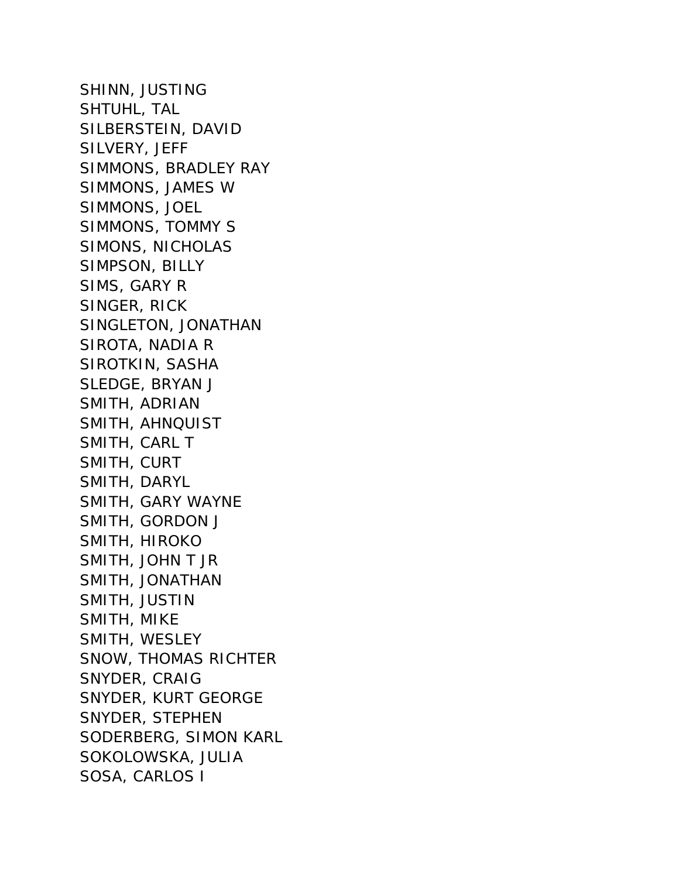SHINN, JUSTING SHTUHL, TAL SILBERSTEIN, DAVID SILVERY, JEFF SIMMONS, BRADLEY RAY SIMMONS, JAMES W SIMMONS, JOEL SIMMONS, TOMMY S SIMONS, NICHOLAS SIMPSON, BILLY SIMS, GARY R SINGER, RICK SINGLETON, JONATHAN SIROTA, NADIA R SIROTKIN, SASHA SLEDGE, BRYAN J SMITH, ADRIAN SMITH, AHNQUIST SMITH, CARL T SMITH, CURT SMITH, DARYL SMITH, GARY WAYNE SMITH, GORDON J SMITH, HIROKO SMITH, JOHN T JR SMITH, JONATHAN SMITH, JUSTIN SMITH, MIKE SMITH, WESLEY SNOW, THOMAS RICHTER SNYDER, CRAIG SNYDER, KURT GEORGE SNYDER, STEPHEN SODERBERG, SIMON KARL SOKOLOWSKA, JULIA SOSA, CARLOS I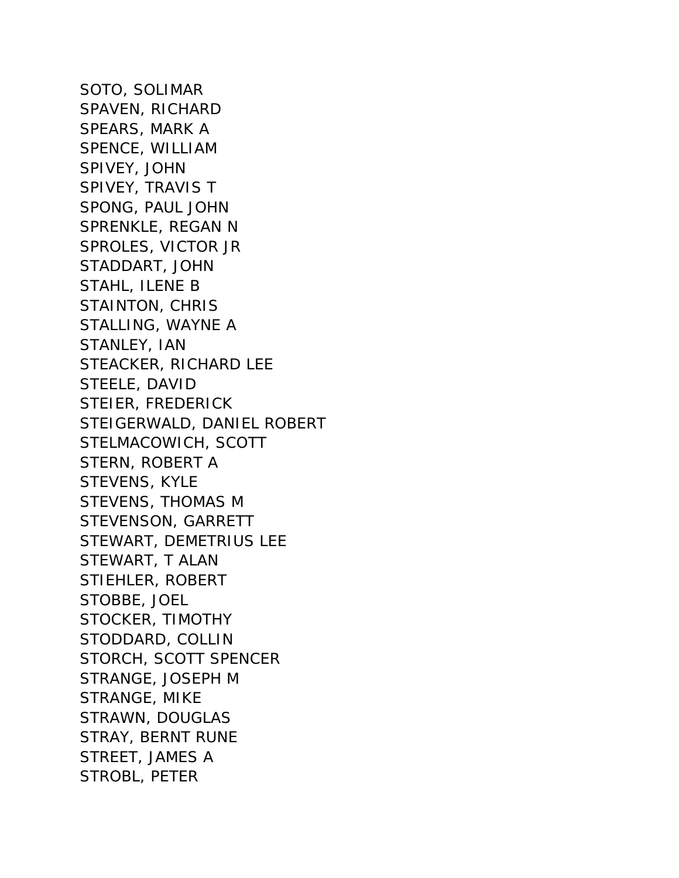SOTO, SOLIMAR SPAVEN, RICHARD SPEARS, MARK A SPENCE, WILLIAM SPIVEY, JOHN SPIVEY, TRAVIS T SPONG, PAUL JOHN SPRENKLE, REGAN N SPROLES, VICTOR JR STADDART, JOHN STAHL, ILENE B STAINTON, CHRIS STALLING, WAYNE A STANLEY, IAN STEACKER, RICHARD LEE STEELE, DAVID STEIER, FREDERICK STEIGERWALD, DANIEL ROBERT STELMACOWICH, SCOTT STERN, ROBERT A STEVENS, KYLE STEVENS, THOMAS M STEVENSON, GARRETT STEWART, DEMETRIUS LEE STEWART, T ALAN STIEHLER, ROBERT STOBBE, JOEL STOCKER, TIMOTHY STODDARD, COLLIN STORCH, SCOTT SPENCER STRANGE, JOSEPH M STRANGE, MIKE STRAWN, DOUGLAS STRAY, BERNT RUNE STREET, JAMES A STROBL, PETER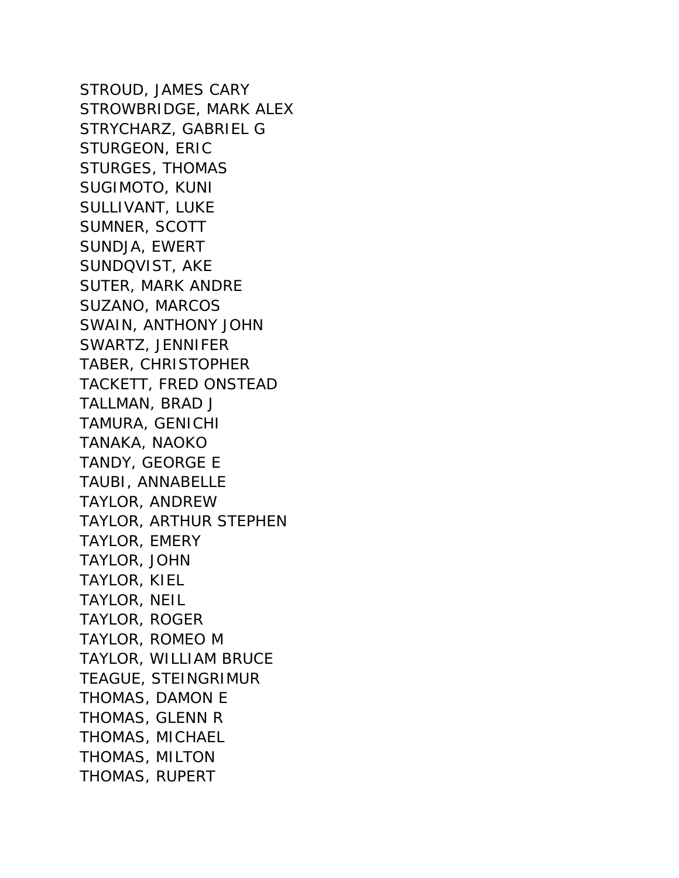STROUD, JAMES CARY STROWBRIDGE, MARK ALEX STRYCHARZ, GABRIEL G STURGEON, ERIC STURGES, THOMAS SUGIMOTO, KUNI SULLIVANT, LUKE SUMNER, SCOTT SUNDJA, EWERT SUNDQVIST, AKE SUTER, MARK ANDRE SUZANO, MARCOS SWAIN, ANTHONY JOHN SWARTZ, JENNIFER TABER, CHRISTOPHER TACKETT, FRED ONSTEAD TALLMAN, BRAD J TAMURA, GENICHI TANAKA, NAOKO TANDY, GEORGE E TAUBI, ANNABELLE TAYLOR, ANDREW TAYLOR, ARTHUR STEPHEN TAYLOR, EMERY TAYLOR, JOHN TAYLOR, KIEL TAYLOR, NEIL TAYLOR, ROGER TAYLOR, ROMEO M TAYLOR, WILLIAM BRUCE TEAGUE, STEINGRIMUR THOMAS, DAMON E THOMAS, GLENN R THOMAS, MICHAEL THOMAS, MILTON THOMAS, RUPERT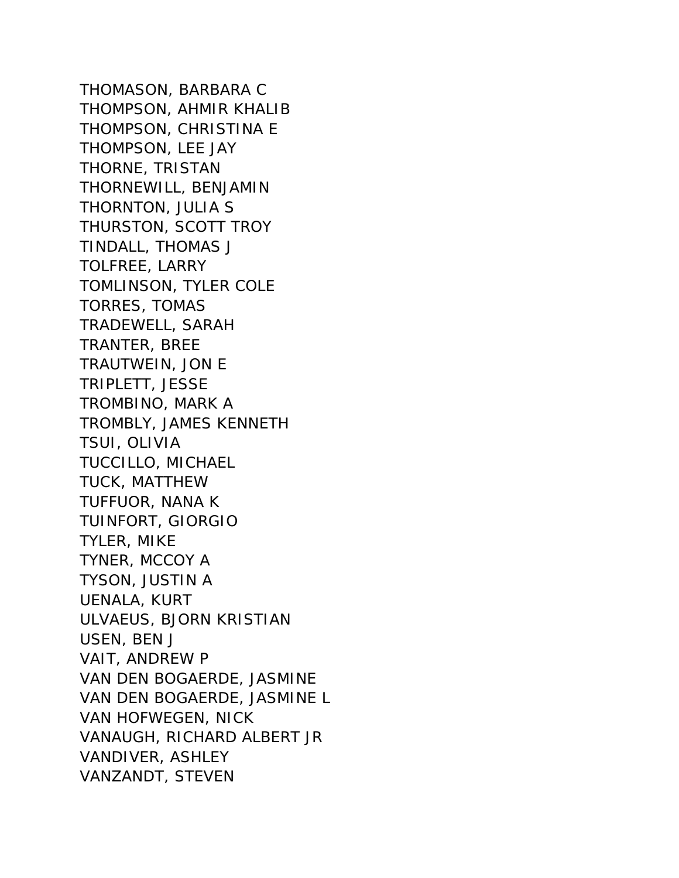THOMASON, BARBARA C THOMPSON, AHMIR KHALIB THOMPSON, CHRISTINA E THOMPSON, LEE JAY THORNE, TRISTAN THORNEWILL, BENJAMIN THORNTON, JULIA S THURSTON, SCOTT TROY TINDALL, THOMAS J TOLFREE, LARRY TOMLINSON, TYLER COLE TORRES, TOMAS TRADEWELL, SARAH TRANTER, BREE TRAUTWEIN, JON E TRIPLETT, JESSE TROMBINO, MARK A TROMBLY, JAMES KENNETH TSUI, OLIVIA TUCCILLO, MICHAEL TUCK, MATTHEW TUFFUOR, NANA K TUINFORT, GIORGIO TYLER, MIKE TYNER, MCCOY A TYSON, JUSTIN A UENALA, KURT ULVAEUS, BJORN KRISTIAN USEN, BEN J VAIT, ANDREW P VAN DEN BOGAERDE, JASMINE VAN DEN BOGAERDE, JASMINE L VAN HOFWEGEN, NICK VANAUGH, RICHARD ALBERT JR VANDIVER, ASHLEY VANZANDT, STEVEN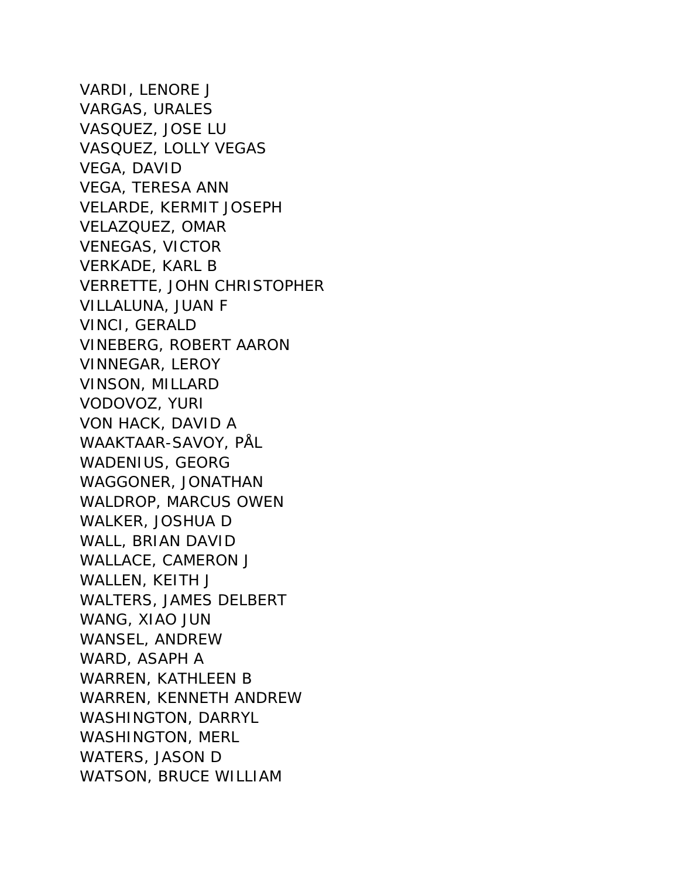VARDI, LENORE J VARGAS, URALES VASQUEZ, JOSE LU VASQUEZ, LOLLY VEGAS VEGA, DAVID VEGA, TERESA ANN VELARDE, KERMIT JOSEPH VELAZQUEZ, OMAR VENEGAS, VICTOR VERKADE, KARL B VERRETTE, JOHN CHRISTOPHER VILLALUNA, JUAN F VINCI, GERALD VINEBERG, ROBERT AARON VINNEGAR, LEROY VINSON, MILLARD VODOVOZ, YURI VON HACK, DAVID A WAAKTAAR-SAVOY, PÅL WADENIUS, GEORG WAGGONER, JONATHAN WALDROP, MARCUS OWEN WALKER, JOSHUA D WALL, BRIAN DAVID WALLACE, CAMERON J WALLEN, KEITH J WALTERS, JAMES DELBERT WANG, XIAO JUN WANSEL, ANDREW WARD, ASAPH A WARREN, KATHLEEN B WARREN, KENNETH ANDREW WASHINGTON, DARRYL WASHINGTON, MERL WATERS, JASON D WATSON, BRUCE WILLIAM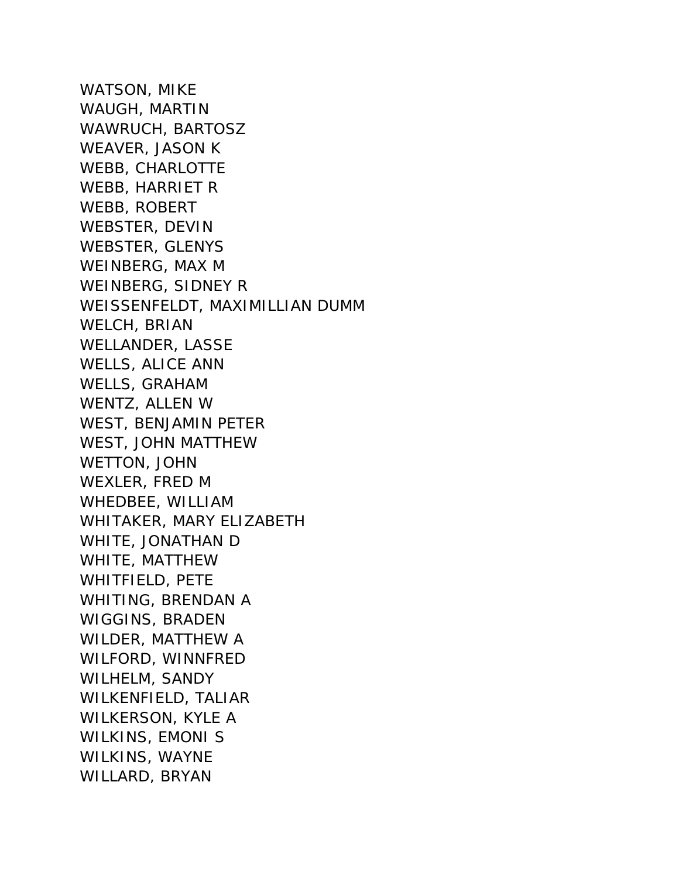WATSON, MIKE WAUGH, MARTIN WAWRUCH, BARTOSZ WEAVER, JASON K WEBB, CHARLOTTE WEBB, HARRIET R WEBB, ROBERT WEBSTER, DEVIN WEBSTER, GLENYS WEINBERG, MAX M WEINBERG, SIDNEY R WEISSENFELDT, MAXIMILLIAN DUMM WELCH, BRIAN WELLANDER, LASSE WELLS, ALICE ANN WELLS, GRAHAM WENTZ, ALLEN W WEST, BENJAMIN PETER WEST, JOHN MATTHEW WETTON, JOHN WEXLER, FRED M WHEDBEE, WILLIAM WHITAKER, MARY ELIZABETH WHITE, JONATHAN D WHITE, MATTHEW WHITFIELD, PETE WHITING, BRENDAN A WIGGINS, BRADEN WILDER, MATTHEW A WILFORD, WINNFRED WILHELM, SANDY WILKENFIELD, TALIAR WILKERSON, KYLE A WILKINS, EMONI S WILKINS, WAYNE WILLARD, BRYAN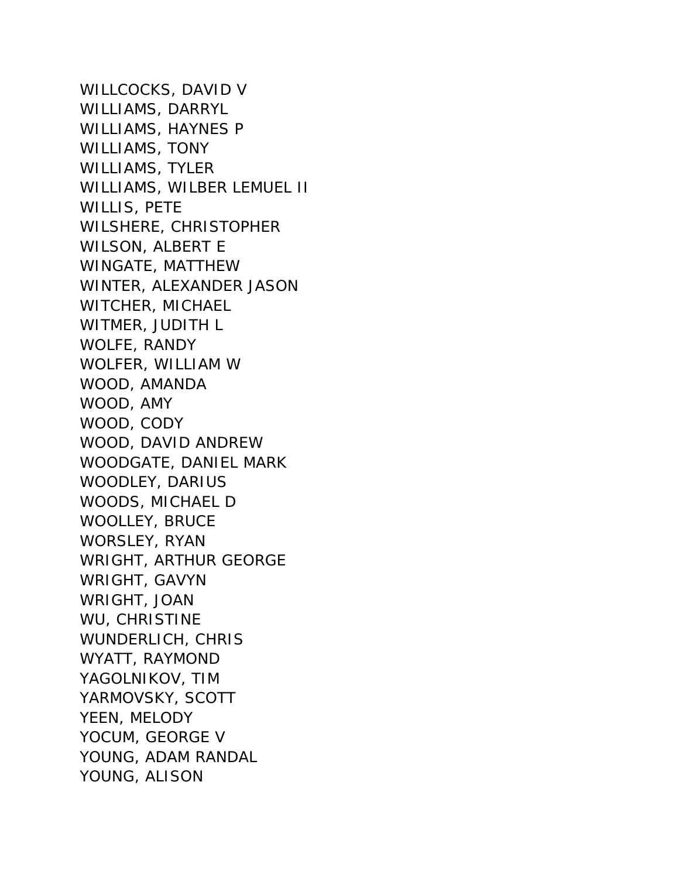WILLCOCKS, DAVID V WILLIAMS, DARRYL WILLIAMS, HAYNES P WILLIAMS, TONY WILLIAMS, TYLER WILLIAMS, WILBER LEMUEL II WILLIS, PETE WILSHERE, CHRISTOPHER WILSON, ALBERT E WINGATE, MATTHEW WINTER, ALEXANDER JASON WITCHER, MICHAEL WITMER, JUDITH L WOLFE, RANDY WOLFER, WILLIAM W WOOD, AMANDA WOOD, AMY WOOD, CODY WOOD, DAVID ANDREW WOODGATE, DANIEL MARK WOODLEY, DARIUS WOODS, MICHAEL D WOOLLEY, BRUCE WORSLEY, RYAN WRIGHT, ARTHUR GEORGE WRIGHT, GAVYN WRIGHT, JOAN WU, CHRISTINE WUNDERLICH, CHRIS WYATT, RAYMOND YAGOLNIKOV, TIM YARMOVSKY, SCOTT YEEN, MELODY YOCUM, GEORGE V YOUNG, ADAM RANDAL YOUNG, ALISON